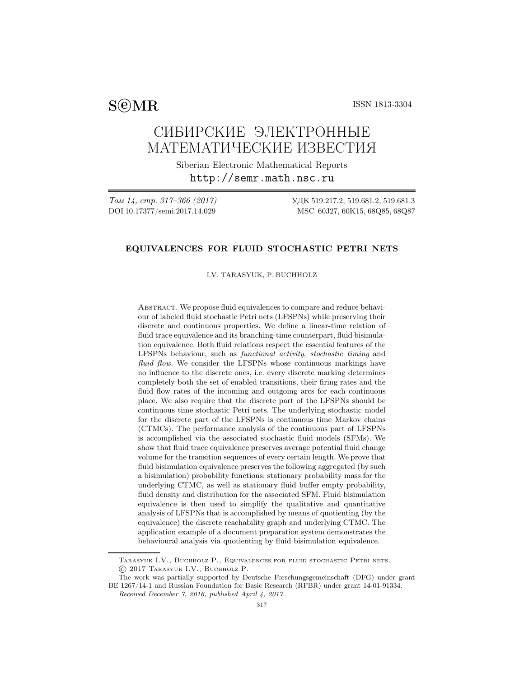SCMR ISSN 1813-3304

# СИБИРСКИЕ ЭЛЕКТРОННЫЕ МАТЕМАТИЧЕСКИЕ ИЗВЕСТИЯ

Siberian Electronic Mathematical Reports http://semr.math.nsc.ru

Том 14, стр. 317–366 (2017) УДК 519.217.2, 519.681.2, 519.681.3 DOI 10.17377/semi.2017.14.029 MSC 60J27, 60K15, 68Q85, 68Q87

## EQUIVALENCES FOR FLUID STOCHASTIC PETRI NETS

I.V. TARASYUK, P. BUCHHOLZ

ABSTRACT. We propose fluid equivalences to compare and reduce behaviour of labeled fluid stochastic Petri nets (LFSPNs) while preserving their discrete and continuous properties. We define a linear-time relation of fluid trace equivalence and its branching-time counterpart, fluid bisimulation equivalence. Both fluid relations respect the essential features of the LFSPNs behaviour, such as functional activity, stochastic timing and fluid flow. We consider the LFSPNs whose continuous markings have no influence to the discrete ones, i.e. every discrete marking determines completely both the set of enabled transitions, their firing rates and the fluid flow rates of the incoming and outgoing arcs for each continuous place. We also require that the discrete part of the LFSPNs should be continuous time stochastic Petri nets. The underlying stochastic model for the discrete part of the LFSPNs is continuous time Markov chains (CTMCs). The performance analysis of the continuous part of LFSPNs is accomplished via the associated stochastic fluid models (SFMs). We show that fluid trace equivalence preserves average potential fluid change volume for the transition sequences of every certain length. We prove that fluid bisimulation equivalence preserves the following aggregated (by such a bisimulation) probability functions: stationary probability mass for the underlying CTMC, as well as stationary fluid buffer empty probability, fluid density and distribution for the associated SFM. Fluid bisimulation equivalence is then used to simplify the qualitative and quantitative analysis of LFSPNs that is accomplished by means of quotienting (by the equivalence) the discrete reachability graph and underlying CTMC. The application example of a document preparation system demonstrates the behavioural analysis via quotienting by fluid bisimulation equivalence.

Tarasyuk I.V., Buchholz P., Equivalences for fluid stochastic Petri nets. © 2017 Tarasyuk I.V., Buchholz P.

The work was partially supported by Deutsche Forschungsgemeinschaft (DFG) under grant BE 1267/14-1 and Russian Foundation for Basic Research (RFBR) under grant 14-01-91334.

Received December 7, 2016, published April 4, 2017.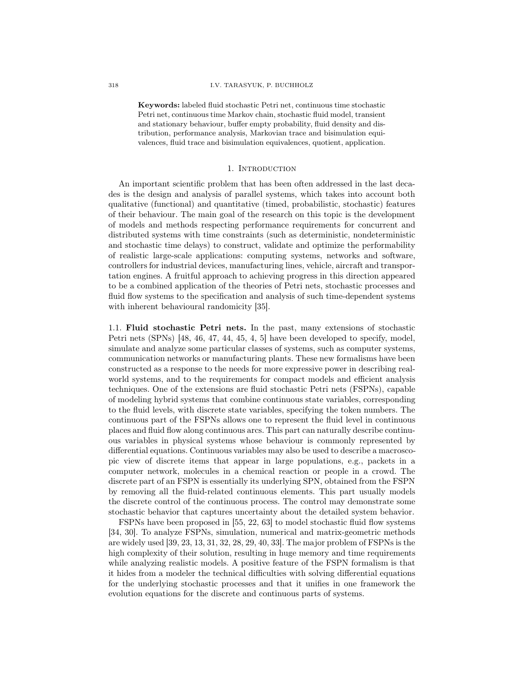Keywords: labeled fluid stochastic Petri net, continuous time stochastic Petri net, continuous time Markov chain, stochastic fluid model, transient and stationary behaviour, buffer empty probability, fluid density and distribution, performance analysis, Markovian trace and bisimulation equivalences, fluid trace and bisimulation equivalences, quotient, application.

#### 1. Introduction

An important scientific problem that has been often addressed in the last decades is the design and analysis of parallel systems, which takes into account both qualitative (functional) and quantitative (timed, probabilistic, stochastic) features of their behaviour. The main goal of the research on this topic is the development of models and methods respecting performance requirements for concurrent and distributed systems with time constraints (such as deterministic, nondeterministic and stochastic time delays) to construct, validate and optimize the performability of realistic large-scale applications: computing systems, networks and software, controllers for industrial devices, manufacturing lines, vehicle, aircraft and transportation engines. A fruitful approach to achieving progress in this direction appeared to be a combined application of the theories of Petri nets, stochastic processes and fluid flow systems to the specification and analysis of such time-dependent systems with inherent behavioural randomicity [35].

1.1. Fluid stochastic Petri nets. In the past, many extensions of stochastic Petri nets (SPNs) [48, 46, 47, 44, 45, 4, 5] have been developed to specify, model, simulate and analyze some particular classes of systems, such as computer systems, communication networks or manufacturing plants. These new formalisms have been constructed as a response to the needs for more expressive power in describing realworld systems, and to the requirements for compact models and efficient analysis techniques. One of the extensions are fluid stochastic Petri nets (FSPNs), capable of modeling hybrid systems that combine continuous state variables, corresponding to the fluid levels, with discrete state variables, specifying the token numbers. The continuous part of the FSPNs allows one to represent the fluid level in continuous places and fluid flow along continuous arcs. This part can naturally describe continuous variables in physical systems whose behaviour is commonly represented by differential equations. Continuous variables may also be used to describe a macroscopic view of discrete items that appear in large populations, e.g., packets in a computer network, molecules in a chemical reaction or people in a crowd. The discrete part of an FSPN is essentially its underlying SPN, obtained from the FSPN by removing all the fluid-related continuous elements. This part usually models the discrete control of the continuous process. The control may demonstrate some stochastic behavior that captures uncertainty about the detailed system behavior.

FSPNs have been proposed in [55, 22, 63] to model stochastic fluid flow systems [34, 30]. To analyze FSPNs, simulation, numerical and matrix-geometric methods are widely used [39, 23, 13, 31, 32, 28, 29, 40, 33]. The major problem of FSPNs is the high complexity of their solution, resulting in huge memory and time requirements while analyzing realistic models. A positive feature of the FSPN formalism is that it hides from a modeler the technical difficulties with solving differential equations for the underlying stochastic processes and that it unifies in one framework the evolution equations for the discrete and continuous parts of systems.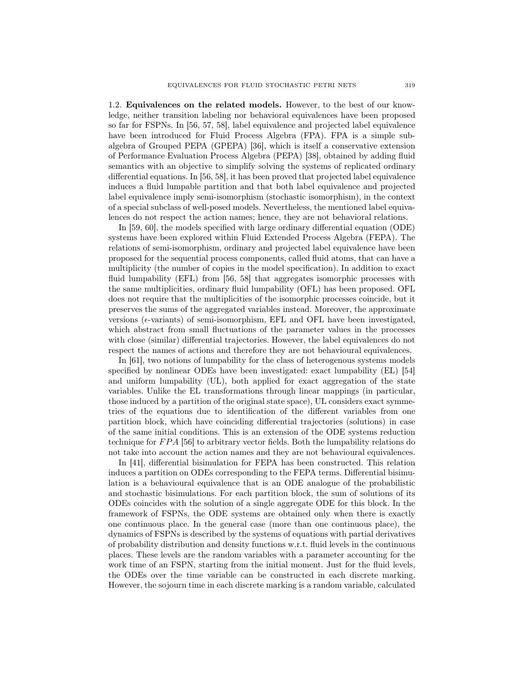1.2. Equivalences on the related models. However, to the best of our knowledge, neither transition labeling nor behavioral equivalences have been proposed so far for FSPNs. In [56, 57, 58], label equivalence and projected label equivalence have been introduced for Fluid Process Algebra (FPA). FPA is a simple subalgebra of Grouped PEPA (GPEPA) [36], which is itself a conservative extension of Performance Evaluation Process Algebra (PEPA) [38], obtained by adding fluid semantics with an objective to simplify solving the systems of replicated ordinary differential equations. In [56, 58], it has been proved that projected label equivalence induces a fluid lumpable partition and that both label equivalence and projected label equivalence imply semi-isomorphism (stochastic isomorphism), in the context of a special subclass of well-posed models. Nevertheless, the mentioned label equivalences do not respect the action names; hence, they are not behavioral relations.

In [59, 60], the models specified with large ordinary differential equation (ODE) systems have been explored within Fluid Extended Process Algebra (FEPA). The relations of semi-isomorphism, ordinary and projected label equivalence have been proposed for the sequential process components, called fluid atoms, that can have a multiplicity (the number of copies in the model specification). In addition to exact fluid lumpability (EFL) from [56, 58] that aggregates isomorphic processes with the same multiplicities, ordinary fluid lumpability (OFL) has been proposed. OFL does not require that the multiplicities of the isomorphic processes coincide, but it preserves the sums of the aggregated variables instead. Moreover, the approximate versions ( $\epsilon$ -variants) of semi-isomorphism, EFL and OFL have been investigated, which abstract from small fluctuations of the parameter values in the processes with close (similar) differential trajectories. However, the label equivalences do not respect the names of actions and therefore they are not behavioural equivalences.

In [61], two notions of lumpability for the class of heterogenous systems models specified by nonlinear ODEs have been investigated: exact lumpability (EL) [54] and uniform lumpability (UL), both applied for exact aggregation of the state variables. Unlike the EL transformations through linear mappings (in particular, those induced by a partition of the original state space), UL considers exact symmetries of the equations due to identification of the different variables from one partition block, which have coinciding differential trajectories (solutions) in case of the same initial conditions. This is an extension of the ODE systems reduction technique for  $FPA$  [56] to arbitrary vector fields. Both the lumpability relations do not take into account the action names and they are not behavioural equivalences.

In [41], differential bisimulation for FEPA has been constructed. This relation induces a partition on ODEs corresponding to the FEPA terms. Differential bisimulation is a behavioural equivalence that is an ODE analogue of the probabilistic and stochastic bisimulations. For each partition block, the sum of solutions of its ODEs coincides with the solution of a single aggregate ODE for this block. In the framework of FSPNs, the ODE systems are obtained only when there is exactly one continuous place. In the general case (more than one continuous place), the dynamics of FSPNs is described by the systems of equations with partial derivatives of probability distribution and density functions w.r.t. fluid levels in the continuous places. These levels are the random variables with a parameter accounting for the work time of an FSPN, starting from the initial moment. Just for the fluid levels, the ODEs over the time variable can be constructed in each discrete marking. However, the sojourn time in each discrete marking is a random variable, calculated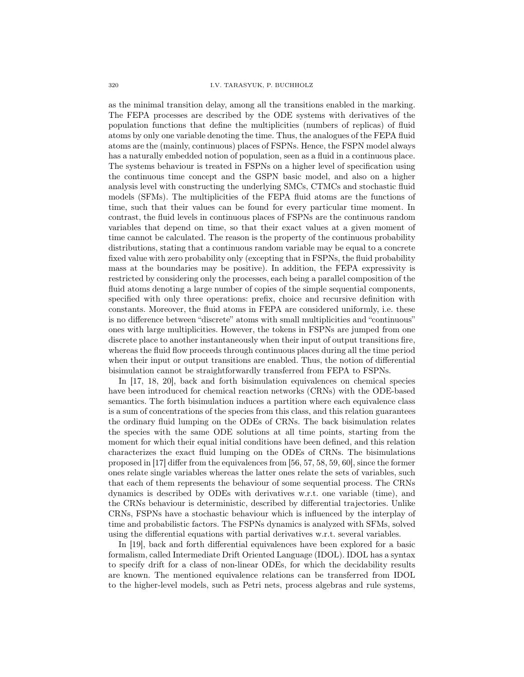as the minimal transition delay, among all the transitions enabled in the marking. The FEPA processes are described by the ODE systems with derivatives of the population functions that define the multiplicities (numbers of replicas) of fluid atoms by only one variable denoting the time. Thus, the analogues of the FEPA fluid atoms are the (mainly, continuous) places of FSPNs. Hence, the FSPN model always has a naturally embedded notion of population, seen as a fluid in a continuous place. The systems behaviour is treated in FSPNs on a higher level of specification using the continuous time concept and the GSPN basic model, and also on a higher analysis level with constructing the underlying SMCs, CTMCs and stochastic fluid models (SFMs). The multiplicities of the FEPA fluid atoms are the functions of time, such that their values can be found for every particular time moment. In contrast, the fluid levels in continuous places of FSPNs are the continuous random variables that depend on time, so that their exact values at a given moment of time cannot be calculated. The reason is the property of the continuous probability distributions, stating that a continuous random variable may be equal to a concrete fixed value with zero probability only (excepting that in FSPNs, the fluid probability mass at the boundaries may be positive). In addition, the FEPA expressivity is restricted by considering only the processes, each being a parallel composition of the fluid atoms denoting a large number of copies of the simple sequential components, specified with only three operations: prefix, choice and recursive definition with constants. Moreover, the fluid atoms in FEPA are considered uniformly, i.e. these is no difference between "discrete" atoms with small multiplicities and "continuous" ones with large multiplicities. However, the tokens in FSPNs are jumped from one discrete place to another instantaneously when their input of output transitions fire, whereas the fluid flow proceeds through continuous places during all the time period when their input or output transitions are enabled. Thus, the notion of differential bisimulation cannot be straightforwardly transferred from FEPA to FSPNs.

In [17, 18, 20], back and forth bisimulation equivalences on chemical species have been introduced for chemical reaction networks (CRNs) with the ODE-based semantics. The forth bisimulation induces a partition where each equivalence class is a sum of concentrations of the species from this class, and this relation guarantees the ordinary fluid lumping on the ODEs of CRNs. The back bisimulation relates the species with the same ODE solutions at all time points, starting from the moment for which their equal initial conditions have been defined, and this relation characterizes the exact fluid lumping on the ODEs of CRNs. The bisimulations proposed in [17] differ from the equivalences from [56, 57, 58, 59, 60], since the former ones relate single variables whereas the latter ones relate the sets of variables, such that each of them represents the behaviour of some sequential process. The CRNs dynamics is described by ODEs with derivatives w.r.t. one variable (time), and the CRNs behaviour is deterministic, described by differential trajectories. Unlike CRNs, FSPNs have a stochastic behaviour which is influenced by the interplay of time and probabilistic factors. The FSPNs dynamics is analyzed with SFMs, solved using the differential equations with partial derivatives w.r.t. several variables.

In [19], back and forth differential equivalences have been explored for a basic formalism, called Intermediate Drift Oriented Language (IDOL). IDOL has a syntax to specify drift for a class of non-linear ODEs, for which the decidability results are known. The mentioned equivalence relations can be transferred from IDOL to the higher-level models, such as Petri nets, process algebras and rule systems,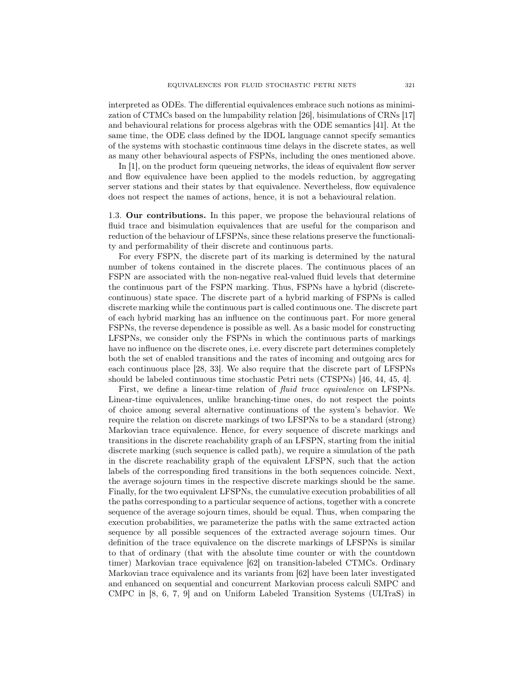interpreted as ODEs. The differential equivalences embrace such notions as minimization of CTMCs based on the lumpability relation [26], bisimulations of CRNs [17] and behavioural relations for process algebras with the ODE semantics [41]. At the same time, the ODE class defined by the IDOL language cannot specify semantics of the systems with stochastic continuous time delays in the discrete states, as well as many other behavioural aspects of FSPNs, including the ones mentioned above.

In [1], on the product form queueing networks, the ideas of equivalent flow server and flow equivalence have been applied to the models reduction, by aggregating server stations and their states by that equivalence. Nevertheless, flow equivalence does not respect the names of actions, hence, it is not a behavioural relation.

1.3. Our contributions. In this paper, we propose the behavioural relations of fluid trace and bisimulation equivalences that are useful for the comparison and reduction of the behaviour of LFSPNs, since these relations preserve the functionality and performability of their discrete and continuous parts.

For every FSPN, the discrete part of its marking is determined by the natural number of tokens contained in the discrete places. The continuous places of an FSPN are associated with the non-negative real-valued fluid levels that determine the continuous part of the FSPN marking. Thus, FSPNs have a hybrid (discretecontinuous) state space. The discrete part of a hybrid marking of FSPNs is called discrete marking while the continuous part is called continuous one. The discrete part of each hybrid marking has an influence on the continuous part. For more general FSPNs, the reverse dependence is possible as well. As a basic model for constructing LFSPNs, we consider only the FSPNs in which the continuous parts of markings have no influence on the discrete ones, i.e. every discrete part determines completely both the set of enabled transitions and the rates of incoming and outgoing arcs for each continuous place [28, 33]. We also require that the discrete part of LFSPNs should be labeled continuous time stochastic Petri nets (CTSPNs) [46, 44, 45, 4].

First, we define a linear-time relation of *fluid trace equivalence* on LFSPNs. Linear-time equivalences, unlike branching-time ones, do not respect the points of choice among several alternative continuations of the system's behavior. We require the relation on discrete markings of two LFSPNs to be a standard (strong) Markovian trace equivalence. Hence, for every sequence of discrete markings and transitions in the discrete reachability graph of an LFSPN, starting from the initial discrete marking (such sequence is called path), we require a simulation of the path in the discrete reachability graph of the equivalent LFSPN, such that the action labels of the corresponding fired transitions in the both sequences coincide. Next, the average sojourn times in the respective discrete markings should be the same. Finally, for the two equivalent LFSPNs, the cumulative execution probabilities of all the paths corresponding to a particular sequence of actions, together with a concrete sequence of the average sojourn times, should be equal. Thus, when comparing the execution probabilities, we parameterize the paths with the same extracted action sequence by all possible sequences of the extracted average sojourn times. Our definition of the trace equivalence on the discrete markings of LFSPNs is similar to that of ordinary (that with the absolute time counter or with the countdown timer) Markovian trace equivalence [62] on transition-labeled CTMCs. Ordinary Markovian trace equivalence and its variants from [62] have been later investigated and enhanced on sequential and concurrent Markovian process calculi SMPC and CMPC in [8, 6, 7, 9] and on Uniform Labeled Transition Systems (ULTraS) in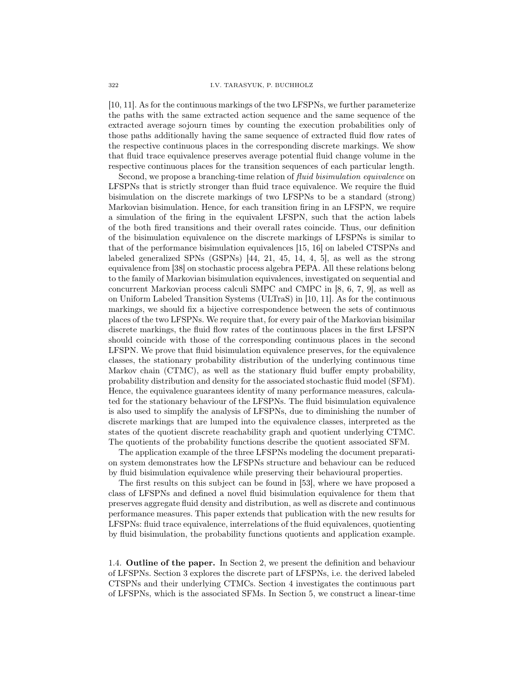[10, 11]. As for the continuous markings of the two LFSPNs, we further parameterize the paths with the same extracted action sequence and the same sequence of the extracted average sojourn times by counting the execution probabilities only of those paths additionally having the same sequence of extracted fluid flow rates of the respective continuous places in the corresponding discrete markings. We show that fluid trace equivalence preserves average potential fluid change volume in the respective continuous places for the transition sequences of each particular length.

Second, we propose a branching-time relation of *fluid bisimulation equivalence* on LFSPNs that is strictly stronger than fluid trace equivalence. We require the fluid bisimulation on the discrete markings of two LFSPNs to be a standard (strong) Markovian bisimulation. Hence, for each transition firing in an LFSPN, we require a simulation of the firing in the equivalent LFSPN, such that the action labels of the both fired transitions and their overall rates coincide. Thus, our definition of the bisimulation equivalence on the discrete markings of LFSPNs is similar to that of the performance bisimulation equivalences [15, 16] on labeled CTSPNs and labeled generalized SPNs (GSPNs) [44, 21, 45, 14, 4, 5], as well as the strong equivalence from [38] on stochastic process algebra PEPA. All these relations belong to the family of Markovian bisimulation equivalences, investigated on sequential and concurrent Markovian process calculi SMPC and CMPC in [8, 6, 7, 9], as well as on Uniform Labeled Transition Systems (ULTraS) in [10, 11]. As for the continuous markings, we should fix a bijective correspondence between the sets of continuous places of the two LFSPNs. We require that, for every pair of the Markovian bisimilar discrete markings, the fluid flow rates of the continuous places in the first LFSPN should coincide with those of the corresponding continuous places in the second LFSPN. We prove that fluid bisimulation equivalence preserves, for the equivalence classes, the stationary probability distribution of the underlying continuous time Markov chain (CTMC), as well as the stationary fluid buffer empty probability, probability distribution and density for the associated stochastic fluid model (SFM). Hence, the equivalence guarantees identity of many performance measures, calculated for the stationary behaviour of the LFSPNs. The fluid bisimulation equivalence is also used to simplify the analysis of LFSPNs, due to diminishing the number of discrete markings that are lumped into the equivalence classes, interpreted as the states of the quotient discrete reachability graph and quotient underlying CTMC. The quotients of the probability functions describe the quotient associated SFM.

The application example of the three LFSPNs modeling the document preparation system demonstrates how the LFSPNs structure and behaviour can be reduced by fluid bisimulation equivalence while preserving their behavioural properties.

The first results on this subject can be found in [53], where we have proposed a class of LFSPNs and defined a novel fluid bisimulation equivalence for them that preserves aggregate fluid density and distribution, as well as discrete and continuous performance measures. This paper extends that publication with the new results for LFSPNs: fluid trace equivalence, interrelations of the fluid equivalences, quotienting by fluid bisimulation, the probability functions quotients and application example.

1.4. Outline of the paper. In Section 2, we present the definition and behaviour of LFSPNs. Section 3 explores the discrete part of LFSPNs, i.e. the derived labeled CTSPNs and their underlying CTMCs. Section 4 investigates the continuous part of LFSPNs, which is the associated SFMs. In Section 5, we construct a linear-time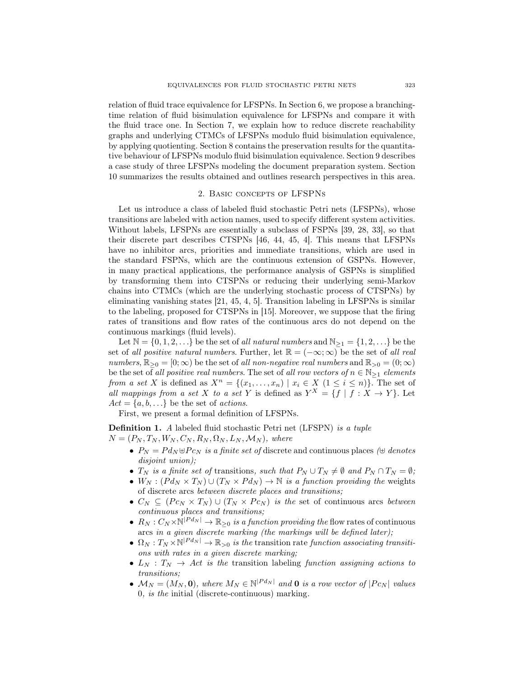relation of fluid trace equivalence for LFSPNs. In Section 6, we propose a branchingtime relation of fluid bisimulation equivalence for LFSPNs and compare it with the fluid trace one. In Section 7, we explain how to reduce discrete reachability graphs and underlying CTMCs of LFSPNs modulo fluid bisimulation equivalence, by applying quotienting. Section 8 contains the preservation results for the quantitative behaviour of LFSPNs modulo fluid bisimulation equivalence. Section 9 describes a case study of three LFSPNs modeling the document preparation system. Section 10 summarizes the results obtained and outlines research perspectives in this area.

#### 2. Basic concepts of LFSPNs

Let us introduce a class of labeled fluid stochastic Petri nets (LFSPNs), whose transitions are labeled with action names, used to specify different system activities. Without labels, LFSPNs are essentially a subclass of FSPNs [39, 28, 33], so that their discrete part describes CTSPNs [46, 44, 45, 4]. This means that LFSPNs have no inhibitor arcs, priorities and immediate transitions, which are used in the standard FSPNs, which are the continuous extension of GSPNs. However, in many practical applications, the performance analysis of GSPNs is simplified by transforming them into CTSPNs or reducing their underlying semi-Markov chains into CTMCs (which are the underlying stochastic process of CTSPNs) by eliminating vanishing states [21, 45, 4, 5]. Transition labeling in LFSPNs is similar to the labeling, proposed for CTSPNs in [15]. Moreover, we suppose that the firing rates of transitions and flow rates of the continuous arcs do not depend on the continuous markings (fluid levels).

Let  $\mathbb{N} = \{0, 1, 2, \ldots\}$  be the set of all natural numbers and  $\mathbb{N}_{\geq 1} = \{1, 2, \ldots\}$  be the set of all positive natural numbers. Further, let  $\mathbb{R} = (-\infty, \infty)$  be the set of all real numbers,  $\mathbb{R}_{\geq 0} = [0; \infty)$  be the set of all non-negative real numbers and  $\mathbb{R}_{\geq 0} = (0; \infty)$ be the set of all positive real numbers. The set of all row vectors of  $n \in \mathbb{N}_{\geq 1}$  elements from a set X is defined as  $X^n = \{(x_1, \ldots, x_n) \mid x_i \in X \ (1 \leq i \leq n)\}\.$  The set of all mappings from a set X to a set Y is defined as  $Y^X = \{f | f : X \to Y\}$ . Let  $Act = \{a, b, \ldots\}$  be the set of *actions*.

First, we present a formal definition of LFSPNs.

Definition 1. A labeled fluid stochastic Petri net (LFSPN) is a tuple  $N = (P_N, T_N, W_N, C_N, R_N, \Omega_N, L_N, \mathcal{M}_N)$ , where

- $P_N = P d_N \oplus P c_N$  is a finite set of discrete and continuous places ( $\oplus$  denotes disjoint union);
- $T_N$  is a finite set of transitions, such that  $P_N \cup T_N \neq \emptyset$  and  $P_N \cap T_N = \emptyset$ ;
- $W_N : (P d_N \times T_N) \cup (T_N \times P d_N) \rightarrow \mathbb{N}$  is a function providing the weights of discrete arcs between discrete places and transitions;
- $C_N \subseteq (P c_N \times T_N) \cup (T_N \times P c_N)$  is the set of continuous arcs between continuous places and transitions;
- $R_N : C_N \times \mathbb{N}^{|P d_N|} \to \mathbb{R}_{\geq 0}$  is a function providing the flow rates of continuous arcs in a given discrete marking (the markings will be defined later);
- $\Omega_N: T_N \times \mathbb{N}^{|P d_N|} \to \mathbb{R}_{>0}$  is the transition rate function associating transitions with rates in a given discrete marking;
- $L_N$  :  $T_N \rightarrow Act$  is the transition labeling function assigning actions to transitions;
- $\mathcal{M}_N = (M_N, \mathbf{0}),$  where  $M_N \in \mathbb{N}^{|P d_N|}$  and **0** is a row vector of  $|P c_N|$  values 0, is the initial (discrete-continuous) marking.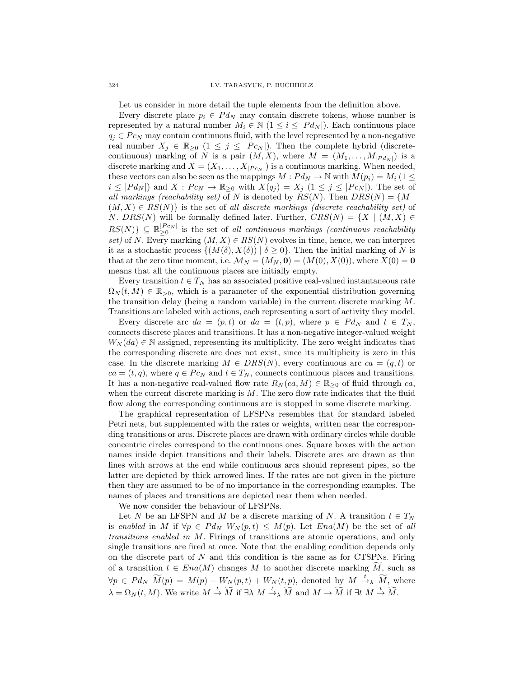Let us consider in more detail the tuple elements from the definition above.

Every discrete place  $p_i \in P d_N$  may contain discrete tokens, whose number is represented by a natural number  $M_i \in \mathbb{N}$  ( $1 \leq i \leq |P d_N|$ ). Each continuous place  $q_j \in P_{C_N}$  may contain continuous fluid, with the level represented by a non-negative real number  $X_j \in \mathbb{R}_{\geq 0}$   $(1 \leq j \leq |P c_N|)$ . Then the complete hybrid (discretecontinuous) marking of N is a pair  $(M, X)$ , where  $M = (M_1, \ldots, M_{|P d_N|})$  is a discrete marking and  $X = (X_1, \ldots, X_{|P_{CN}|})$  is a continuous marking. When needed, these vectors can also be seen as the mappings  $M: P d_N \to \mathbb{N}$  with  $M(p_i) = M_i$  (1  $\leq$  $i \leq |P d_N|$  and  $X: P c_N \to \mathbb{R}_{\geq 0}$  with  $X(q_j) = X_j \ (1 \leq j \leq |P c_N|)$ . The set of all markings (reachability set) of N is denoted by  $RS(N)$ . Then  $DRS(N) = \{M \mid$  $(M, X) \in RS(N)$  is the set of all discrete markings (discrete reachability set) of *N.*  $DRS(N)$  will be formally defined later. Further,  $CRS(N) = \{X \mid (M, X) \in$  $RS(N)$ }  $\subseteq \mathbb{R}_{\geq 0}^{|Pc_N|}$  $\sum_{n=0}^{\lfloor T \cdot c_N \rfloor}$  is the set of all continuous markings (continuous reachability set) of N. Every marking  $(M, X) \in RS(N)$  evolves in time, hence, we can interpret it as a stochastic process  $\{(M(\delta), X(\delta)) \mid \delta \geq 0\}$ . Then the initial marking of N is that at the zero time moment, i.e.  $\mathcal{M}_N = (M_N, \mathbf{0}) = (M(0), X(0))$ , where  $X(0) = 0$ means that all the continuous places are initially empty.

Every transition  $t \in T_N$  has an associated positive real-valued instantaneous rate  $\Omega_N(t,M) \in \mathbb{R}_{>0}$ , which is a parameter of the exponential distribution governing the transition delay (being a random variable) in the current discrete marking  $M$ . Transitions are labeled with actions, each representing a sort of activity they model.

Every discrete arc  $da = (p, t)$  or  $da = (t, p)$ , where  $p \in P d_N$  and  $t \in T_N$ , connects discrete places and transitions. It has a non-negative integer-valued weight  $W_N(da) \in \mathbb{N}$  assigned, representing its multiplicity. The zero weight indicates that the corresponding discrete arc does not exist, since its multiplicity is zero in this case. In the discrete marking  $M \in DRS(N)$ , every continuous arc  $ca = (q, t)$  or  $ca = (t, q)$ , where  $q \in Pc_N$  and  $t \in T_N$ , connects continuous places and transitions. It has a non-negative real-valued flow rate  $R_N(ca, M) \in \mathbb{R}_{\geq 0}$  of fluid through ca, when the current discrete marking is  $M$ . The zero flow rate indicates that the fluid flow along the corresponding continuous arc is stopped in some discrete marking.

The graphical representation of LFSPNs resembles that for standard labeled Petri nets, but supplemented with the rates or weights, written near the corresponding transitions or arcs. Discrete places are drawn with ordinary circles while double concentric circles correspond to the continuous ones. Square boxes with the action names inside depict transitions and their labels. Discrete arcs are drawn as thin lines with arrows at the end while continuous arcs should represent pipes, so the latter are depicted by thick arrowed lines. If the rates are not given in the picture then they are assumed to be of no importance in the corresponding examples. The names of places and transitions are depicted near them when needed.

We now consider the behaviour of LFSPNs.

Let N be an LFSPN and M be a discrete marking of N. A transition  $t \in T_N$ is enabled in M if  $\forall p \in P d_N$   $W_N(p,t) \leq M(p)$ . Let  $Ena(M)$  be the set of all transitions enabled in M. Firings of transitions are atomic operations, and only single transitions are fired at once. Note that the enabling condition depends only on the discrete part of  $N$  and this condition is the same as for CTSPNs. Firing of a transition  $t \in Ena(M)$  changes M to another discrete marking M, such as  $\forall p \in P d_N \widetilde{M}(p) = M(p) - W_N(p,t) + W_N(t,p)$ , denoted by  $M \xrightarrow{t} \widetilde{M}$ , where  $\lambda = \Omega_N(t, M)$ . We write  $M \stackrel{t}{\rightarrow} \widetilde{M}$  if  $\exists \lambda \ M \stackrel{t}{\rightarrow} \widetilde{M}$  and  $M \rightarrow \widetilde{M}$  if  $\exists t \ M \stackrel{t}{\rightarrow} \widetilde{M}$ .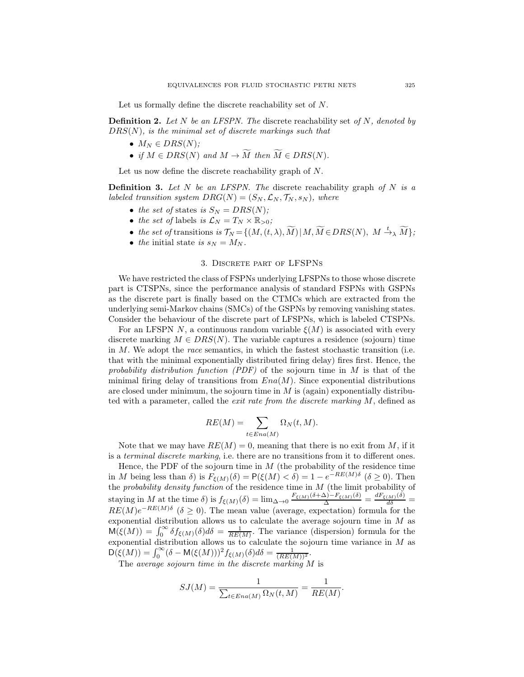Let us formally define the discrete reachability set of N.

**Definition 2.** Let N be an LFSPN. The discrete reachability set of N, denoted by  $DRS(N)$ , is the minimal set of discrete markings such that

- $M_N \in DRS(N)$ ;
- if  $M \in DRS(N)$  and  $M \to \widetilde{M}$  then  $\widetilde{M} \in DRS(N)$ .

Let us now define the discrete reachability graph of N.

**Definition 3.** Let N be an LFSPN. The discrete reachability graph of N is a labeled transition system  $DRG(N) = (S_N, \mathcal{L}_N, \mathcal{T}_N, s_N)$ , where

- the set of states is  $S_N = DRS(N);$
- the set of labels is  $\mathcal{L}_N = T_N \times \mathbb{R}_{>0}$ ;
- the set of transitions is  $\mathcal{T}_N = \{(M,(t,\lambda),\widetilde{M})\,|\, M, \widetilde{M}\in DRS(N),\ M\stackrel{t}{\to}_\lambda \widetilde{M}\};$
- the initial state is  $s_N = M_N$ .

### 3. Discrete part of LFSPNs

We have restricted the class of FSPNs underlying LFSPNs to those whose discrete part is CTSPNs, since the performance analysis of standard FSPNs with GSPNs as the discrete part is finally based on the CTMCs which are extracted from the underlying semi-Markov chains (SMCs) of the GSPNs by removing vanishing states. Consider the behaviour of the discrete part of LFSPNs, which is labeled CTSPNs.

For an LFSPN N, a continuous random variable  $\xi(M)$  is associated with every discrete marking  $M \in DRS(N)$ . The variable captures a residence (sojourn) time in  $M$ . We adopt the *race* semantics, in which the fastest stochastic transition (i.e. that with the minimal exponentially distributed firing delay) fires first. Hence, the probability distribution function  $(PDF)$  of the sojourn time in M is that of the minimal firing delay of transitions from  $Ena(M)$ . Since exponential distributions are closed under minimum, the sojourn time in  $M$  is (again) exponentially distributed with a parameter, called the exit rate from the discrete marking M, defined as

$$
RE(M) = \sum_{t \in Ena(M)} \Omega_N(t, M).
$$

Note that we may have  $RE(M) = 0$ , meaning that there is no exit from M, if it is a *terminal discrete marking*, i.e. there are no transitions from it to different ones.

Hence, the PDF of the sojourn time in  $M$  (the probability of the residence time in M being less than  $\delta$ ) is  $F_{\xi(M)}(\delta) = P(\xi(M) < \delta) = 1 - e^{-RE(M)\delta}$  ( $\delta \ge 0$ ). Then the *probability density function* of the residence time in  $M$  (the limit probability of staying in M at the time  $\delta$ ) is  $f_{\xi(M)}(\delta) = \lim_{\Delta \to 0} \frac{F_{\xi(M)}(\delta + \Delta) - F_{\xi(M)}(\delta)}{\Delta} = \frac{dF_{\xi(M)}(\delta)}{d\delta} =$  $RE(M)e^{-RE(M)\delta}$  ( $\delta \ge 0$ ). The mean value (average, expectation) formula for the exponential distribution allows us to calculate the average sojourn time in  $M$  as  $\mathsf{M}(\xi(M)) = \int_0^\infty \delta f_{\xi(M)}(\delta) d\delta = \frac{1}{RE(M)}$ . The variance (dispersion) formula for the exponential distribution allows us to calculate the sojourn time variance in  $M$  as  $\mathsf{D}(\xi(M)) = \int_0^\infty (\delta - \mathsf{M}(\xi(M)))^2 f_{\xi(M)}(\delta) d\delta = \frac{1}{(RE(M))^2}.$ 

The average sojourn time in the discrete marking  $M$  is

$$
SJ(M) = \frac{1}{\sum_{t \in Ena(M)} \Omega_N(t, M)} = \frac{1}{RE(M)}.
$$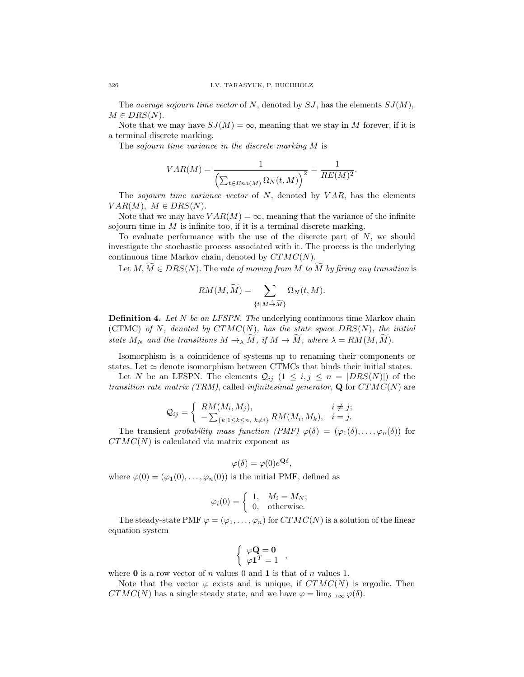The average sojourn time vector of N, denoted by  $SJ$ , has the elements  $SJ(M)$ ,  $M \in DRS(N)$ .

Note that we may have  $SJ(M) = \infty$ , meaning that we stay in M forever, if it is a terminal discrete marking.

The sojourn time variance in the discrete marking M is

$$
VAR(M) = \frac{1}{\left(\sum_{t \in Ena(M)} \Omega_N(t, M)\right)^2} = \frac{1}{RE(M)^2}.
$$

The sojourn time variance vector of N, denoted by  $VAR$ , has the elements  $VAR(M), M \in DRS(N).$ 

Note that we may have  $VAR(M) = \infty$ , meaning that the variance of the infinite sojourn time in  $M$  is infinite too, if it is a terminal discrete marking.

To evaluate performance with the use of the discrete part of  $N$ , we should investigate the stochastic process associated with it. The process is the underlying continuous time Markov chain, denoted by  $CTMC(N)$ .

Let  $M, \widetilde{M} \in DRS(N)$ . The rate of moving from M to  $\widetilde{M}$  by firing any transition is

$$
RM(M, \widetilde{M}) = \sum_{\{t \mid M \stackrel{t}{\rightarrow} \widetilde{M}\}} \Omega_N(t, M).
$$

**Definition 4.** Let N be an LFSPN. The underlying continuous time Markov chain (CTMC) of N, denoted by  $CTMC(N)$ , has the state space  $DRS(N)$ , the initial state  $M_N$  and the transitions  $M \to \lambda M$ , if  $M \to M$ , where  $\lambda = RM(M, M)$ .

Isomorphism is a coincidence of systems up to renaming their components or states. Let  $\simeq$  denote isomorphism between CTMCs that binds their initial states.

Let N be an LFSPN. The elements  $Q_{ij}$   $(1 \leq i, j \leq n = |DRS(N)|)$  of the transition rate matrix (TRM), called infinitesimal generator,  $\mathbf Q$  for  $CTMC(N)$  are

$$
Q_{ij} = \begin{cases} RM(M_i, M_j), & i \neq j; \\ -\sum_{\{k|1 \leq k \leq n, \ k \neq i\}} RM(M_i, M_k), & i = j. \end{cases}
$$

The transient probability mass function  $(PMF) \varphi(\delta) = (\varphi_1(\delta), \ldots, \varphi_n(\delta))$  for  $CTMC(N)$  is calculated via matrix exponent as

$$
\varphi(\delta) = \varphi(0)e^{\mathbf{Q}\delta},
$$

where  $\varphi(0) = (\varphi_1(0), \ldots, \varphi_n(0))$  is the initial PMF, defined as

$$
\varphi_i(0) = \begin{cases} 1, & M_i = M_N; \\ 0, & \text{otherwise.} \end{cases}
$$

The steady-state PMF  $\varphi = (\varphi_1, \ldots, \varphi_n)$  for  $CTMC(N)$  is a solution of the linear equation system

$$
\left\{ \begin{array}{c} \varphi \mathbf{Q} = \mathbf{0} \\ \varphi \mathbf{1}^T = 1 \end{array} \right.,
$$

where **0** is a row vector of n values 0 and 1 is that of n values 1.

Note that the vector  $\varphi$  exists and is unique, if  $CTMC(N)$  is ergodic. Then  $CTMC(N)$  has a single steady state, and we have  $\varphi = \lim_{\delta \to \infty} \varphi(\delta)$ .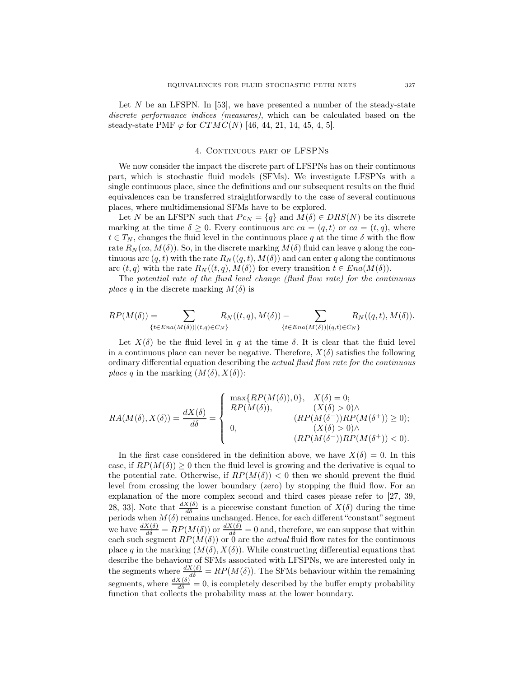Let N be an LFSPN. In [53], we have presented a number of the steady-state discrete performance indices (measures), which can be calculated based on the steady-state PMF  $\varphi$  for  $CTMC(N)$  [46, 44, 21, 14, 45, 4, 5].

#### 4. CONTINUOUS PART OF LFSPNS

We now consider the impact the discrete part of LFSPNs has on their continuous part, which is stochastic fluid models (SFMs). We investigate LFSPNs with a single continuous place, since the definitions and our subsequent results on the fluid equivalences can be transferred straightforwardly to the case of several continuous places, where multidimensional SFMs have to be explored.

Let N be an LFSPN such that  $P c_N = \{q\}$  and  $M(\delta) \in DRS(N)$  be its discrete marking at the time  $\delta \geq 0$ . Every continuous arc  $ca = (q, t)$  or  $ca = (t, q)$ , where  $t \in T_N$ , changes the fluid level in the continuous place q at the time  $\delta$  with the flow rate  $R_N(ca, M(\delta))$ . So, in the discrete marking  $M(\delta)$  fluid can leave q along the continuous arc  $(q, t)$  with the rate  $R_N((q, t), M(\delta))$  and can enter q along the continuous arc  $(t, q)$  with the rate  $R_N((t, q), M(\delta))$  for every transition  $t \in Ena(M(\delta))$ .

The potential rate of the fluid level change (fluid flow rate) for the continuous *place q* in the discrete marking  $M(\delta)$  is

$$
RP(M(\delta)) = \sum_{\{t \in Ena(M(\delta))|(t,q) \in C_N\}} R_N((t,q),M(\delta)) - \sum_{\{t \in Ena(M(\delta))|(q,t) \in C_N\}} R_N((q,t),M(\delta)).
$$

Let  $X(\delta)$  be the fluid level in q at the time  $\delta$ . It is clear that the fluid level in a continuous place can never be negative. Therefore,  $X(\delta)$  satisfies the following ordinary differential equation describing the actual fluid flow rate for the continuous place q in the marking  $(M(\delta), X(\delta))$ :

$$
RA(M(\delta),X(\delta))=\frac{dX(\delta)}{d\delta}=\left\{\begin{array}{ll} \max\{RP(M(\delta)),0\}, & X(\delta)=0;\\ RP(M(\delta)), & (X(\delta)>0)\wedge\\ 0, & (RP(M(\delta^-))RP(M(\delta^+))\geq 0);\\ 0, & (X(\delta)>0)\wedge\\ (RP(M(\delta^-))RP(M(\delta^+))<0).\end{array}\right.
$$

In the first case considered in the definition above, we have  $X(\delta) = 0$ . In this case, if  $RP(M(\delta)) \geq 0$  then the fluid level is growing and the derivative is equal to the potential rate. Otherwise, if  $RP(M(\delta)) < 0$  then we should prevent the fluid level from crossing the lower boundary (zero) by stopping the fluid flow. For an explanation of the more complex second and third cases please refer to [27, 39, 28, 33. Note that  $\frac{dX(\delta)}{d\delta}$  is a piecewise constant function of  $X(\delta)$  during the time periods when  $M(\delta)$  remains unchanged. Hence, for each different "constant" segment we have  $\frac{dX(\delta)}{d\delta} = RP(M(\delta))$  or  $\frac{dX(\delta)}{d\delta} = 0$  and, therefore, we can suppose that within each such segment  $RP(M(\delta))$  or 0 are the *actual* fluid flow rates for the continuous place q in the marking  $(M(\delta), X(\delta))$ . While constructing differential equations that describe the behaviour of SFMs associated with LFSPNs, we are interested only in the segments where  $\frac{dX(\delta)}{d\delta} = RP(M(\delta))$ . The SFMs behaviour within the remaining segments, where  $\frac{dX(\delta)}{d\delta} = 0$ , is completely described by the buffer empty probability function that collects the probability mass at the lower boundary.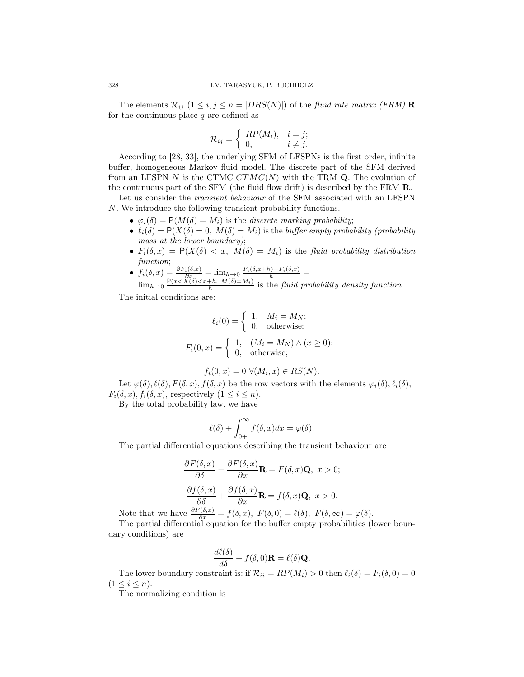The elements  $\mathcal{R}_{ij}$   $(1 \leq i, j \leq n = |DRS(N)|)$  of the fluid rate matrix (FRM) **R** for the continuous place  $q$  are defined as

$$
\mathcal{R}_{ij} = \begin{cases} RP(M_i), & i = j; \\ 0, & i \neq j. \end{cases}
$$

According to [28, 33], the underlying SFM of LFSPNs is the first order, infinite buffer, homogeneous Markov fluid model. The discrete part of the SFM derived from an LFSPN N is the CTMC  $CTMC(N)$  with the TRM Q. The evolution of the continuous part of the SFM (the fluid flow drift) is described by the FRM R.

Let us consider the transient behaviour of the SFM associated with an LFSPN N. We introduce the following transient probability functions.

- $\varphi_i(\delta) = P(M(\delta) = M_i)$  is the discrete marking probability;
- $\ell_i(\delta) = P(X(\delta) = 0, M(\delta) = M_i)$  is the buffer empty probability (probability mass at the lower boundary);
- $F_i(\delta, x) = P(X(\delta) < x, M(\delta) = M_i)$  is the fluid probability distribution function;
- $f_i(\delta, x) = \frac{\partial F_i(\delta, x)}{\partial x_i} = \lim_{h \to 0} \frac{F_i(\delta, x+h) F_i(\delta, x)}{h}$  $\lim_{h\to 0} \frac{P(x < X(\delta) < x+h, M(\delta) = M_i)}{h}$  is the fluid probability density function.

The initial conditions are:

$$
\ell_i(0) = \begin{cases} 1, & M_i = M_N; \\ 0, & \text{otherwise}; \end{cases}
$$
\n
$$
F_i(0, x) = \begin{cases} 1, & (M_i = M_N) \land (x \ge 0); \\ 0, & \text{otherwise}; \end{cases}
$$

$$
f_i(0, x) = 0 \ \forall (M_i, x) \in RS(N).
$$

Let  $\varphi(\delta), \ell(\delta), F(\delta, x), f(\delta, x)$  be the row vectors with the elements  $\varphi_i(\delta), \ell_i(\delta),$  $F_i(\delta, x)$ ,  $f_i(\delta, x)$ , respectively  $(1 \leq i \leq n)$ .

By the total probability law, we have

$$
\ell(\delta) + \int_{0+}^{\infty} f(\delta, x) dx = \varphi(\delta).
$$

The partial differential equations describing the transient behaviour are

$$
\frac{\partial F(\delta, x)}{\partial \delta} + \frac{\partial F(\delta, x)}{\partial x} \mathbf{R} = F(\delta, x) \mathbf{Q}, \ x > 0;
$$
  

$$
\frac{\partial f(\delta, x)}{\partial \delta} + \frac{\partial f(\delta, x)}{\partial x} \mathbf{R} = f(\delta, x) \mathbf{Q}, \ x > 0.
$$

Note that we have  $\frac{\partial F(\delta, x)}{\partial x} = f(\delta, x), F(\delta, 0) = \ell(\delta), F(\delta, \infty) = \varphi(\delta).$ 

The partial differential equation for the buffer empty probabilities (lower boundary conditions) are

$$
\frac{d\ell(\delta)}{d\delta} + f(\delta,0)\mathbf{R} = \ell(\delta)\mathbf{Q}.
$$

The lower boundary constraint is: if  $\mathcal{R}_{ii} = RP(M_i) > 0$  then  $\ell_i(\delta) = F_i(\delta, 0) = 0$  $(1 \leq i \leq n).$ 

The normalizing condition is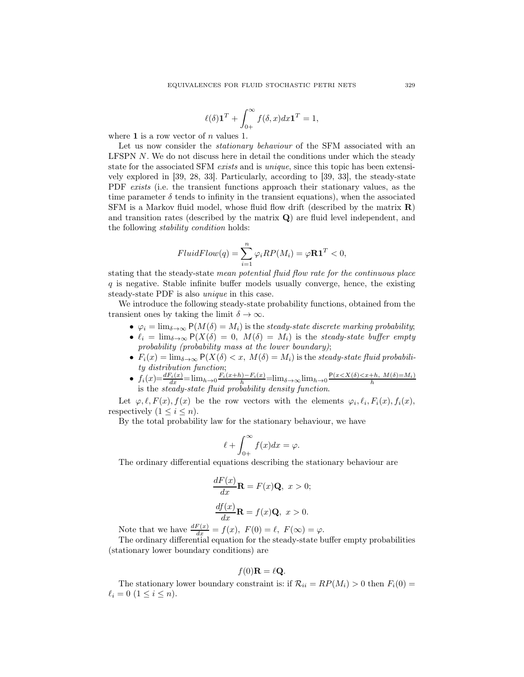$$
\ell(\delta) \mathbf{1}^T + \int_{0+}^{\infty} f(\delta, x) dx \mathbf{1}^T = 1,
$$

where 1 is a row vector of  $n$  values 1.

Let us now consider the *stationary behaviour* of the SFM associated with an LFSPN N. We do not discuss here in detail the conditions under which the steady state for the associated SFM exists and is *unique*, since this topic has been extensively explored in [39, 28, 33]. Particularly, according to [39, 33], the steady-state PDF exists (i.e. the transient functions approach their stationary values, as the time parameter  $\delta$  tends to infinity in the transient equations), when the associated SFM is a Markov fluid model, whose fluid flow drift (described by the matrix  $\mathbf{R}$ ) and transition rates (described by the matrix  $Q$ ) are fluid level independent, and the following stability condition holds:

$$
FluidFlow(q) = \sum_{i=1}^{n} \varphi_i RP(M_i) = \varphi \mathbf{R} \mathbf{1}^T < 0,
$$

stating that the steady-state mean potential fluid flow rate for the continuous place q is negative. Stable infinite buffer models usually converge, hence, the existing steady-state PDF is also unique in this case.

We introduce the following steady-state probability functions, obtained from the transient ones by taking the limit  $\delta \to \infty$ .

- $\varphi_i = \lim_{\delta \to \infty} P(M(\delta) = M_i)$  is the steady-state discrete marking probability;
- $\ell_i = \lim_{\delta \to \infty} P(X(\delta) = 0, M(\delta) = M_i)$  is the steady-state buffer empty probability (probability mass at the lower boundary);
- $F_i(x) = \lim_{\delta \to \infty} P(X(\delta) < x, M(\delta) = M_i)$  is the steady-state fluid probability distribution function;
- $f_i(x) = \frac{dF_i(x)}{dx} = \lim_{h \to 0} \frac{F_i(x+h) F_i(x)}{h} = \lim_{\delta \to \infty} \lim_{h \to 0} \frac{P(x < X(\delta) < x+h, M(\delta) = M_i)}{h}$  is the *steady-state fluid probability density function*.

Let  $\varphi, \ell, F(x), f(x)$  be the row vectors with the elements  $\varphi_i, \ell_i, F_i(x), f_i(x)$ , respectively  $(1 \leq i \leq n)$ .

By the total probability law for the stationary behaviour, we have

$$
\ell + \int_{0+}^{\infty} f(x)dx = \varphi.
$$

The ordinary differential equations describing the stationary behaviour are

$$
\frac{dF(x)}{dx}\mathbf{R} = F(x)\mathbf{Q}, \ x > 0;
$$

$$
\frac{df(x)}{dx}\mathbf{R} = f(x)\mathbf{Q}, \ x > 0.
$$

Note that we have  $\frac{dF(x)}{dx} = f(x)$ ,  $F(0) = \ell$ ,  $F(\infty) = \varphi$ .

The ordinary differential equation for the steady-state buffer empty probabilities (stationary lower boundary conditions) are

$$
f(0)\mathbf{R} = \ell \mathbf{Q}.
$$

The stationary lower boundary constraint is: if  $\mathcal{R}_{ii} = RP(M_i) > 0$  then  $F_i(0) =$  $\ell_i = 0 \ (1 \leq i \leq n).$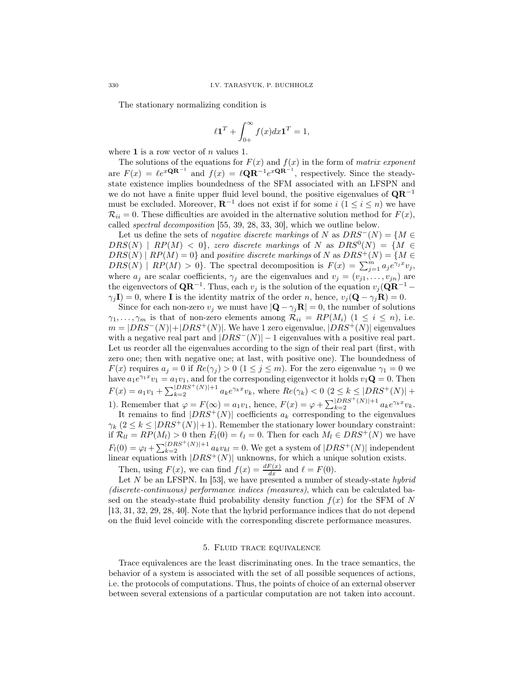The stationary normalizing condition is

$$
\ell \mathbf{1}^T + \int_{0+}^{\infty} f(x) dx \mathbf{1}^T = 1,
$$

where 1 is a row vector of  $n$  values 1.

The solutions of the equations for  $F(x)$  and  $f(x)$  in the form of matrix exponent are  $F(x) = \ell e^{x \mathbf{Q} \mathbf{R}^{-1}}$  and  $f(x) = \ell \mathbf{Q} \mathbf{R}^{-1} e^{x \mathbf{Q} \mathbf{R}^{-1}}$ , respectively. Since the steadystate existence implies boundedness of the SFM associated with an LFSPN and we do not have a finite upper fluid level bound, the positive eigenvalues of  $\mathbf{QR}^{-1}$ must be excluded. Moreover,  $\mathbf{R}^{-1}$  does not exist if for some  $i$   $(1 \leq i \leq n)$  we have  $\mathcal{R}_{ii} = 0$ . These difficulties are avoided in the alternative solution method for  $F(x)$ , called spectral decomposition [55, 39, 28, 33, 30], which we outline below.

Let us define the sets of *negative discrete markings* of N as  $DRS^{-}(N) = \{M \in$  $DRS(N)$  |  $RP(M) < 0$ , zero discrete markings of N as  $DRS^{0}(N) = \{M \in \mathbb{R} \mid N \leq N\}$  $DRS(N) | RP(M) = 0$ } and positive discrete markings of N as  $DRS^{+}(N) = \{M \in$  $DRS(N) | RP(M) > 0$ . The spectral decomposition is  $F(x) = \sum_{j=1}^{m} a_j e^{\gamma_j x} v_j$ , where  $a_j$  are scalar coefficients,  $\gamma_j$  are the eigenvalues and  $v_j = (v_{j1}, \ldots, v_{jn})$  are the eigenvectors of  $\mathbf{QR}^{-1}$ . Thus, each  $v_j$  is the solution of the equation  $v_j(\mathbf{QR}^{-1}$  –  $\gamma_i \mathbf{I} = 0$ , where **I** is the identity matrix of the order n, hence,  $v_i(\mathbf{Q} - \gamma_i \mathbf{R}) = 0$ .

Since for each non-zero  $v_i$  we must have  $|\mathbf{Q} - \gamma_i \mathbf{R}| = 0$ , the number of solutions  $\gamma_1, \ldots, \gamma_m$  is that of non-zero elements among  $\mathcal{R}_{ii} = RP(M_i)$   $(1 \le i \le n)$ , i.e.  $m = |DRS^{-}(N)| + |DRS^{+}(N)|$ . We have 1 zero eigenvalue,  $|DRS^{+}(N)|$  eigenvalues with a negative real part and  $|DRS^{-}(N)| - 1$  eigenvalues with a positive real part. Let us reorder all the eigenvalues according to the sign of their real part (first, with zero one; then with negative one; at last, with positive one). The boundedness of  $F(x)$  requires  $a_j = 0$  if  $Re(\gamma_j) > 0$   $(1 \leq j \leq m)$ . For the zero eigenvalue  $\gamma_1 = 0$  we have  $a_1e^{\gamma_1x}v_1 = a_1v_1$ , and for the corresponding eigenvector it holds  $v_1\mathbf{Q} = 0$ . Then  $F(x) = a_1v_1 + \sum_{k=2}^{|DRS^+(N)|+1} a_k e^{\gamma_k x} v_k$ , where  $Re(\gamma_k) < 0$   $(2 \le k \le |DRS^+(N)| +$ 1). Remember that  $\varphi = F(\infty) = a_1v_1$ , hence,  $F(x) = \varphi + \sum_{k=2}^{\lfloor DRS^+(N) \rfloor + 1} a_k e^{\gamma_k x} v_k$ .

It remains to find  $|DRS^+(N)|$  coefficients  $a_k$  corresponding to the eigenvalues  $\gamma_k$   $(2 \leq k \leq |DRS^+(N)| + 1)$ . Remember the stationary lower boundary constraint: if  $\mathcal{R}_{ll} = RP(M_l) > 0$  then  $F_l(0) = \ell_l = 0$ . Then for each  $M_l \in DRS^+(N)$  we have  $F_l(0) = \varphi_l + \sum_{k=2}^{\lfloor DRS^+(N)\rfloor+1} a_k v_{kl} = 0$ . We get a system of  $|DRS^+(N)|$  independent linear equations with  $|DRS^+(N)|$  unknowns, for which a unique solution exists.

Then, using  $F(x)$ , we can find  $f(x) = \frac{dF(x)}{dx}$  and  $\ell = F(0)$ .

Let  $N$  be an LFSPN. In [53], we have presented a number of steady-state hybrid (discrete-continuous) performance indices (measures), which can be calculated based on the steady-state fluid probability density function  $f(x)$  for the SFM of N [13, 31, 32, 29, 28, 40]. Note that the hybrid performance indices that do not depend on the fluid level coincide with the corresponding discrete performance measures.

#### 5. Fluid trace equivalence

Trace equivalences are the least discriminating ones. In the trace semantics, the behavior of a system is associated with the set of all possible sequences of actions, i.e. the protocols of computations. Thus, the points of choice of an external observer between several extensions of a particular computation are not taken into account.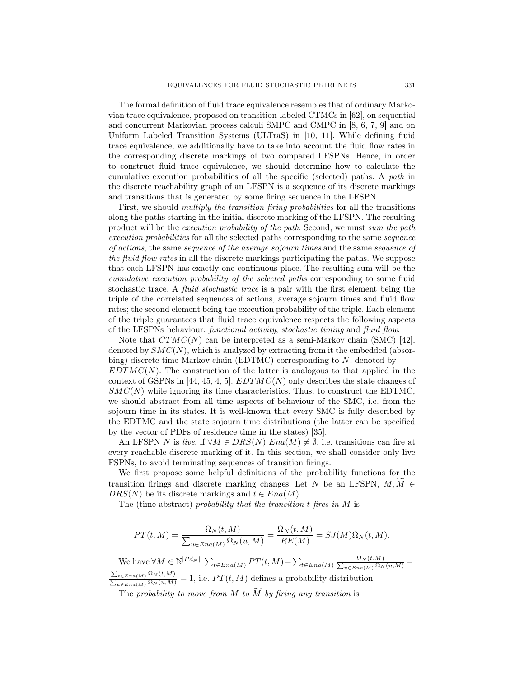The formal definition of fluid trace equivalence resembles that of ordinary Markovian trace equivalence, proposed on transition-labeled CTMCs in [62], on sequential and concurrent Markovian process calculi SMPC and CMPC in [8, 6, 7, 9] and on Uniform Labeled Transition Systems (ULTraS) in [10, 11]. While defining fluid trace equivalence, we additionally have to take into account the fluid flow rates in the corresponding discrete markings of two compared LFSPNs. Hence, in order to construct fluid trace equivalence, we should determine how to calculate the cumulative execution probabilities of all the specific (selected) paths. A path in the discrete reachability graph of an LFSPN is a sequence of its discrete markings and transitions that is generated by some firing sequence in the LFSPN.

First, we should *multiply the transition firing probabilities* for all the transitions along the paths starting in the initial discrete marking of the LFSPN. The resulting product will be the execution probability of the path. Second, we must sum the path execution probabilities for all the selected paths corresponding to the same sequence of actions, the same sequence of the average sojourn times and the same sequence of the fluid flow rates in all the discrete markings participating the paths. We suppose that each LFSPN has exactly one continuous place. The resulting sum will be the cumulative execution probability of the selected paths corresponding to some fluid stochastic trace. A fluid stochastic trace is a pair with the first element being the triple of the correlated sequences of actions, average sojourn times and fluid flow rates; the second element being the execution probability of the triple. Each element of the triple guarantees that fluid trace equivalence respects the following aspects of the LFSPNs behaviour: functional activity, stochastic timing and fluid flow.

Note that  $CTMC(N)$  can be interpreted as a semi-Markov chain (SMC) [42], denoted by  $SMC(N)$ , which is analyzed by extracting from it the embedded (absorbing) discrete time Markov chain (EDTMC) corresponding to  $N$ , denoted by  $EDTMC(N)$ . The construction of the latter is analogous to that applied in the context of GSPNs in [44, 45, 4, 5].  $EDTMC(N)$  only describes the state changes of  $SMC(N)$  while ignoring its time characteristics. Thus, to construct the EDTMC, we should abstract from all time aspects of behaviour of the SMC, i.e. from the sojourn time in its states. It is well-known that every SMC is fully described by the EDTMC and the state sojourn time distributions (the latter can be specified by the vector of PDFs of residence time in the states) [35].

An LFSPN N is live, if  $\forall M \in DRS(N)$  Ena(M)  $\neq \emptyset$ , i.e. transitions can fire at every reachable discrete marking of it. In this section, we shall consider only live FSPNs, to avoid terminating sequences of transition firings.

We first propose some helpful definitions of the probability functions for the transition firings and discrete marking changes. Let N be an LFSPN,  $M, \overline{M} \in$  $DRS(N)$  be its discrete markings and  $t \in Ena(M)$ .

The (time-abstract) probability that the transition  $t$  fires in  $M$  is

$$
PT(t, M) = \frac{\Omega_N(t, M)}{\sum_{u \in Ena(M)} \Omega_N(u, M)} = \frac{\Omega_N(t, M)}{RE(M)} = SJ(M)\Omega_N(t, M).
$$

We have  $\forall M \in \mathbb{N}^{|P d_N|}$   $\sum_{t \in Ena(M)} PT(t, M) = \sum_{t \in Ena(M)} \frac{\Omega_N(t, M)}{\sum_{u \in Ena(M)} \Omega_N(u, M)}$  $\frac{\sum_{t \in Era(M)} \Omega_N(t,M)}{\sum_{u \in Era(M)} \Omega_N(u,M)} = 1$ , i.e.  $PT(t,M)$  defines a probability distribution.

The probability to move from M to  $\widetilde{M}$  by firing any transition is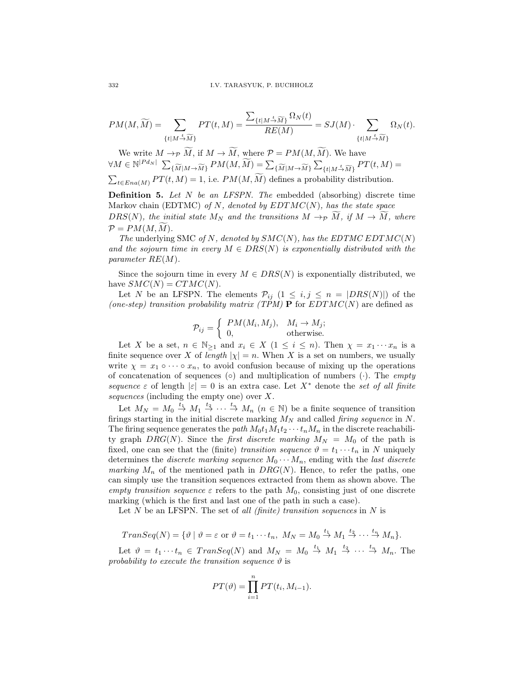$$
PM(M, \widetilde{M}) = \sum_{\{t \mid M \stackrel{t}{\rightarrow} \widetilde{M}\}} PT(t, M) = \frac{\sum_{\{t \mid M \stackrel{t}{\rightarrow} \widetilde{M}\}} \Omega_N(t)}{RE(M)} = SJ(M) \cdot \sum_{\{t \mid M \stackrel{t}{\rightarrow} \widetilde{M}\}} \Omega_N(t).
$$

We write  $M \to_{\mathcal{P}} \widetilde{M}$ , if  $M \to \widetilde{M}$ , where  $\mathcal{P} = PM(M, \widetilde{M})$ . We have  $\forall M \in \mathbb{N}^{|P d_N|} \sum_{\{\widetilde{M} | M \to \widetilde{M}\}} P M(M, \widetilde{M}) = \sum_{\{\widetilde{M} | M \to \widetilde{M}\}} \sum_{\exists \widetilde{M} | M \to \widetilde{M}} P M(M, \widetilde{M})$  ${t | M \stackrel{t}{\rightarrow} \widetilde{M}}$   $PT(t, M) =$  $\sum_{t \in Ena(M)} PT(t, M) = 1$ , i.e.  $PM(M, \widetilde{M})$  defines a probability distribution.

**Definition 5.** Let  $N$  be an LFSPN. The embedded (absorbing) discrete time Markov chain (EDTMC) of  $N$ , denoted by  $EDTMC(N)$ , has the state space DRS(N), the initial state  $M_N$  and the transitions  $M \to p \dot{M}$ , if  $M \to \dot{M}$ , where  $\mathcal{P} = PM(M, M).$ 

The underlying SMC of N, denoted by  $SMC(N)$ , has the EDTMC EDTMC(N) and the sojourn time in every  $M \in DRS(N)$  is exponentially distributed with the parameter RE(M).

Since the sojourn time in every  $M \in DRS(N)$  is exponentially distributed, we have  $SMC(N) = CTMC(N)$ .

Let N be an LFSPN. The elements  $\mathcal{P}_{ij}$   $(1 \leq i, j \leq n = |DRS(N)|)$  of the (one-step) transition probability matrix (TPM) **P** for  $EDTMC(N)$  are defined as

$$
\mathcal{P}_{ij} = \begin{cases} PM(M_i, M_j), & M_i \to M_j; \\ 0, & \text{otherwise.} \end{cases}
$$

Let X be a set,  $n \in \mathbb{N}_{\geq 1}$  and  $x_i \in X$   $(1 \leq i \leq n)$ . Then  $\chi = x_1 \cdots x_n$  is a finite sequence over X of length  $|\chi| = n$ . When X is a set on numbers, we usually write  $\chi = x_1 \circ \cdots \circ x_n$ , to avoid confusion because of mixing up the operations of concatenation of sequences ( $\circ$ ) and multiplication of numbers ( $\cdot$ ). The *empty* sequence  $\varepsilon$  of length  $|\varepsilon|=0$  is an extra case. Let  $X^*$  denote the set of all finite sequences (including the empty one) over X.

Let  $M_N = M_0 \stackrel{t_1}{\rightarrow} M_1 \stackrel{t_2}{\rightarrow} \cdots \stackrel{t_n}{\rightarrow} M_n$   $(n \in \mathbb{N})$  be a finite sequence of transition firings starting in the initial discrete marking  $M_N$  and called *firing sequence* in N. The firing sequence generates the path  $M_0t_1M_1t_2\cdots t_nM_n$  in the discrete reachability graph  $DRG(N)$ . Since the *first discrete marking*  $M_N = M_0$  of the path is fixed, one can see that the (finite) transition sequence  $\vartheta = t_1 \cdots t_n$  in N uniquely determines the *discrete marking sequence*  $M_0 \cdots M_n$ , ending with the *last discrete* marking  $M_n$  of the mentioned path in  $DRG(N)$ . Hence, to refer the paths, one can simply use the transition sequences extracted from them as shown above. The empty transition sequence  $\varepsilon$  refers to the path  $M_0$ , consisting just of one discrete marking (which is the first and last one of the path in such a case).

Let  $N$  be an LFSPN. The set of all (finite) transition sequences in  $N$  is

$$
Transeq(N) = \{ \vartheta \mid \vartheta = \varepsilon \text{ or } \vartheta = t_1 \cdots t_n, M_N = M_0 \stackrel{t_1}{\rightarrow} M_1 \stackrel{t_2}{\rightarrow} \cdots \stackrel{t_n}{\rightarrow} M_n \}.
$$

Let  $\vartheta = t_1 \cdots t_n \in Transeq(N)$  and  $M_N = M_0 \stackrel{t_1}{\rightarrow} M_1 \stackrel{t_2}{\rightarrow} \cdots \stackrel{t_n}{\rightarrow} M_n$ . The probability to execute the transition sequence  $\vartheta$  is

$$
PT(\vartheta) = \prod_{i=1}^{n} PT(t_i, M_{i-1}).
$$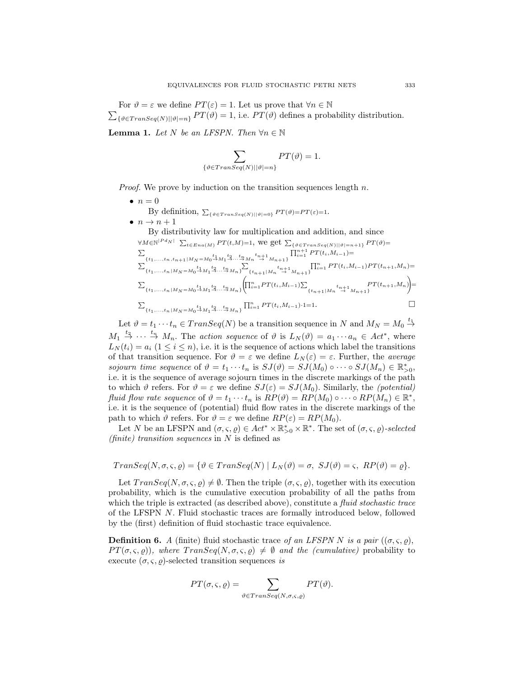$\sum_{\{\vartheta \in Transeq(N)||\vartheta|=n\}} PT(\vartheta) = 1$ , i.e.  $PT(\vartheta)$  defines a probability distribution. For  $\vartheta = \varepsilon$  we define  $PT(\varepsilon) = 1$ . Let us prove that  $\forall n \in \mathbb{N}$ 

**Lemma 1.** Let N be an LFSPN. Then  $\forall n \in \mathbb{N}$ 

$$
\sum_{\{\vartheta \in Transeq(N) \mid |\vartheta|=n\}} PT(\vartheta) = 1.
$$

*Proof.* We prove by induction on the transition sequences length  $n$ .

- $\bullet$   $n=0$ By definition,  $\sum_{\{\vartheta \in Transeq(N) \mid |\vartheta|=0\}} PT(\vartheta) = PT(\varepsilon) = 1$ .
- $\bullet$   $n \rightarrow n+1$

By distributivity law for multiplication and addition, and since  
\n
$$
\forall M \in \mathbb{N}^{|Pd_N|} \sum_{t \in Ena(M)} PT(t, M) = 1, \text{ we get } \sum_{\{\vartheta \in Transeq(N)| |\vartheta| = n+1\}} PT(\vartheta) =
$$
\n
$$
\sum_{\{t_1, ..., t_n, t_{n+1}|M_N = M_0 \stackrel{t_1}{\rightarrow} M_1 \stackrel{t_2}{\rightarrow} ... \stackrel{t_n}{\rightarrow} M_n \stackrel{t_{n+1}}{\rightarrow} M_{n+1}\}} \prod_{i=1}^{n+1} PT(t_i, M_{i-1}) =
$$
\n
$$
\sum_{\{t_1, ..., t_n|M_N = M_0 \stackrel{t_1}{\rightarrow} M_1 \stackrel{t_2}{\rightarrow} ... \stackrel{t_n}{\rightarrow} M_n\}} \sum_{\{t_{n+1}|M_n \stackrel{t_{n+1}}{\rightarrow} M_{n+1}\}} \prod_{i=1}^{n} PT(t_i, M_{i-1}) PT(t_{n+1}, M_n) =
$$
\n
$$
\sum_{\{t_1, ..., t_n|M_N = M_0 \stackrel{t_1}{\rightarrow} M_1 \stackrel{t_2}{\rightarrow} ... \stackrel{t_n}{\rightarrow} M_n\}} \left(\prod_{i=1}^{n} PT(t_i, M_{i-1}) \sum_{\{t_{n+1}|M_n \stackrel{t_{n+1}}{\rightarrow} M_{n+1}\}} PT(t_{n+1}, M_n)\right) =
$$
\n
$$
\sum_{\{t_1, ..., t_n|M_N = M_0 \stackrel{t_1}{\rightarrow} M_1 \stackrel{t_2}{\rightarrow} ... \stackrel{t_n}{\rightarrow} M_n\}} \prod_{i=1}^{n} PT(t_i, M_{i-1}) \cdot 1 = 1.
$$

Let  $\vartheta = t_1 \cdots t_n \in Transeq(N)$  be a transition sequence in N and  $M_N = M_0 \stackrel{t_1}{\rightarrow}$  $M_1 \stackrel{t_2}{\rightarrow} \cdots \stackrel{t_n}{\rightarrow} M_n$ . The *action sequence* of  $\vartheta$  is  $L_N(\vartheta) = a_1 \cdots a_n \in Act^*$ , where  $L_N(t_i) = a_i$   $(1 \leq i \leq n)$ , i.e. it is the sequence of actions which label the transitions of that transition sequence. For  $\vartheta = \varepsilon$  we define  $L_N(\varepsilon) = \varepsilon$ . Further, the *average* sojourn time sequence of  $\vartheta = t_1 \cdots t_n$  is  $SJ(\vartheta) = SJ(M_0) \circ \cdots \circ SJ(M_n) \in \mathbb{R}_{>0}^*$ , i.e. it is the sequence of average sojourn times in the discrete markings of the path to which  $\vartheta$  refers. For  $\vartheta = \varepsilon$  we define  $SJ(\varepsilon) = SJ(M_0)$ . Similarly, the *(potential)* fluid flow rate sequence of  $\vartheta = t_1 \cdots t_n$  is  $RP(\vartheta) = RP(M_0) \circ \cdots \circ RP(M_n) \in \mathbb{R}^*,$ i.e. it is the sequence of (potential) fluid flow rates in the discrete markings of the path to which  $\vartheta$  refers. For  $\vartheta = \varepsilon$  we define  $RP(\varepsilon) = RP(M_0)$ .

Let N be an LFSPN and  $(\sigma, \varsigma, \varrho) \in Act^* \times \mathbb{R}_{>0}^* \times \mathbb{R}^*$ . The set of  $(\sigma, \varsigma, \varrho)$ -selected (finite) transition sequences in  $N$  is defined as

$$
Trans\text{Eq}(N, \sigma, \varsigma, \varrho) = \{ \vartheta \in Trans\text{Eq}(N) \mid L_N(\vartheta) = \sigma, \ SJ(\vartheta) = \varsigma, \ RP(\vartheta) = \varrho \}.
$$

Let  $TransSeq(N, \sigma, \varsigma, \varrho) \neq \emptyset$ . Then the triple  $(\sigma, \varsigma, \varrho)$ , together with its execution probability, which is the cumulative execution probability of all the paths from which the triple is extracted (as described above), constitute a *fluid stochastic trace* of the LFSPN N. Fluid stochastic traces are formally introduced below, followed by the (first) definition of fluid stochastic trace equivalence.

**Definition 6.** A (finite) fluid stochastic trace of an LFSPN N is a pair  $((\sigma, \varsigma, \rho),$  $PT(\sigma, \varsigma, \varrho)$ , where  $TransEq(N, \sigma, \varsigma, \varrho) \neq \emptyset$  and the (cumulative) probability to execute  $(\sigma, \varsigma, \varrho)$ -selected transition sequences is

$$
PT(\sigma, \varsigma, \varrho) = \sum_{\vartheta \in Transeq(N, \sigma, \varsigma, \varrho)} PT(\vartheta).
$$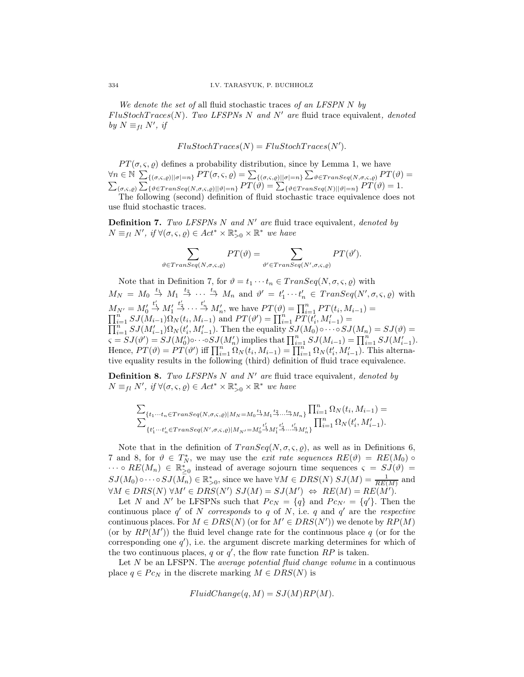We denote the set of all fluid stochastic traces of an LFSPN  $N$  by  $FlustochTraces(N)$ . Two LFSPNs N and N' are fluid trace equivalent, denoted by  $N \equiv_{fl} N'$ , if

 $FluStochTrace(N) = FluStochTrace(N').$ 

 $PT(\sigma, \varsigma, \varrho)$  defines a probability distribution, since by Lemma 1, we have  $\forall n \in \mathbb{N}$   $\sum_{\{(\sigma,\varsigma,\varrho) \mid \vert \sigma \vert = n\}} PT(\sigma,\varsigma,\varrho) = \sum_{\{(\sigma,\varsigma,\varrho) \mid \vert \sigma \vert = n\}} \sum_{\vartheta \in Transeq(N,\sigma,\varsigma,\varrho)} PT(\vartheta) = \sum_{\{\sigma,\varsigma,\varrho\} \vert \vert \sigma \vert = n\}} PT(\vartheta) = \sum_{\{\vartheta \in Transeq(N) \mid \vert \vartheta \vert = n\}} PT(\vartheta) = 1.$ The following (second) definition of fluid stochastic trace equivalence does not

use fluid stochastic traces.

**Definition 7.** Two LFSPNs N and N' are fluid trace equivalent, denoted by  $N \equiv_{fl} N'$ , if  $\forall (\sigma, \varsigma, \varrho) \in Act^* \times \mathbb{R}_{>0}^* \times \mathbb{R}^*$  we have

$$
\sum_{\vartheta \in Transeq(N,\sigma,\varsigma,\varrho)} PT(\vartheta) = \sum_{\vartheta' \in Transeq(N',\sigma,\varsigma,\varrho)} PT(\vartheta').
$$

Note that in Definition 7, for  $\vartheta = t_1 \cdots t_n \in Transeq(N, \sigma, \varsigma, \rho)$  with  $M_N = M_0 \stackrel{t_1}{\rightarrow} M_1 \stackrel{t_2}{\rightarrow} \cdots \stackrel{t_n}{\rightarrow} M_n$  and  $\vartheta' = t'_1 \cdots t'_n \in Transeq(N', \sigma, \varsigma, \varrho)$  with  $M_{N'}=M_0'$  $\stackrel{t_1'}{\rightarrow} M_1'$  $M_{N'} = M'_{0} \stackrel{t'_{1}}{\rightarrow} M'_{1} \stackrel{t'_{2}}{\rightarrow} \cdots \stackrel{t'_{n}}{\rightarrow} M'_{n}$ , we have  $PT(\vartheta) = \prod_{i=1}^{n} PT(t_{i}, M_{i-1}) = \prod_{i=1}^{n} SJ(M_{i-1})\Omega_{N}(t_{i}, M_{i-1})$  and  $PT(\vartheta') = \prod_{i=1}^{n} PT(t'_{i}, M'_{i-1}) = \prod_{i=1}^{n} GT(t'_{i}, M'_{i-1})$  $\prod_{i=1}^{n} SJ(M'_{i-1})\Omega_N(t'_i, M'_{i-1})$ . Then the equality  $SJ(M_0) \circ \cdots \circ SJ(M_n) = SJ(\vartheta) =$  $\prod_{i=1}^{n} SJ(M_{i-1})^{s}N(k_i, M_{i-1})$ . Then the equality  $SJ(M_0) \circ \cdots \circ SJ(M_n) = SJ(v) =$ <br>  $\varsigma = SJ(\vartheta') = SJ(M_0') \circ \cdots \circ SJ(M_n')$  implies that  $\prod_{i=1}^{n} SJ(M_{i-1}) = \prod_{i=1}^{n} SJ(M_{i-1}')$ . Hence,  $PT(\vartheta) = PT(\vartheta')$  iff  $\prod_{i=1}^{n} \Omega_N(t_i, M_{i-1}) = \prod_{i=1}^{n} \Omega_N(t_i', M'_{i-1})$ . This alternative equality results in the following (third) definition of fluid trace equivalence.

**Definition 8.** Two LFSPNs N and N' are fluid trace equivalent, denoted by  $N \equiv_{fl} N'$ , if  $\forall (\sigma, \varsigma, \varrho) \in Act^* \times \mathbb{R}_{>0}^* \times \mathbb{R}^*$  we have

$$
\begin{array}{l} \sum_{\{t_1\cdots t_n\in Transeq(N,\sigma,\varsigma,\varrho)\mid M_N=M_0\stackrel{t_1}{\rightarrow}M_1\stackrel{t_2}{\rightarrow}\cdots\stackrel{t_n}{\rightarrow}M_n\}}\prod_{i=1}^n\Omega_N(t_i,M_{i-1})=\\ \sum_{\{t'_1\cdots t'_n\in Transeq(N',\sigma,\varsigma,\varrho)\mid M_{N'}=M_0'\stackrel{t'_1}{\rightarrow}M_1'\stackrel{t'_2}{\rightarrow}\cdots\stackrel{t'_n}{\rightarrow}M'_n\}}\prod_{i=1}^n\Omega_N(t'_i,M'_{i-1}). \end{array}
$$

Note that in the definition of  $TransSeq(N, \sigma, \varsigma, \rho)$ , as well as in Definitions 6, 7 and 8, for  $\vartheta \in T_N^*$ , we may use the *exit rate sequences*  $RE(\vartheta) = RE(M_0) \circ$  $\cdots \circ RE(M_n) \in \mathbb{R}_{\geq 0}^*$  instead of average sojourn time sequences  $\varsigma = SJ(\vartheta) =$  $SJ(M_0)\circ\cdots\circ SJ(M_n)\in \mathbb{R}_{>0}^*$ , since we have  $\forall M\in DRS(N)$   $SJ(M)=\frac{1}{RE(M)}$  and  $\forall M \in DRS(N) \ \forall M' \in DRS(N') \ SU(M) = \mathcal{S}J(M') \ \Leftrightarrow \ RE(M) = RE(M').$ 

Let N and N' be LFSPNs such that  $P c_N = \{q\}$  and  $P c_{N'} = \{q'\}$ . Then the continuous place  $q'$  of N corresponds to q of N, i.e. q and  $q'$  are the respective continuous places. For  $M \in DRS(N)$  (or for  $M' \in DRS(N')$ ) we denote by  $RP(M)$ (or by  $RP(M')$ ) the fluid level change rate for the continuous place q (or for the corresponding one  $q'$ , i.e. the argument discrete marking determines for which of the two continuous places, q or  $q'$ , the flow rate function  $RP$  is taken.

Let  $N$  be an LFSPN. The *average potential fluid change volume* in a continuous place  $q \in Pc_N$  in the discrete marking  $M \in DRS(N)$  is

$$
FluidChange(q, M) = SJ(M)RP(M).
$$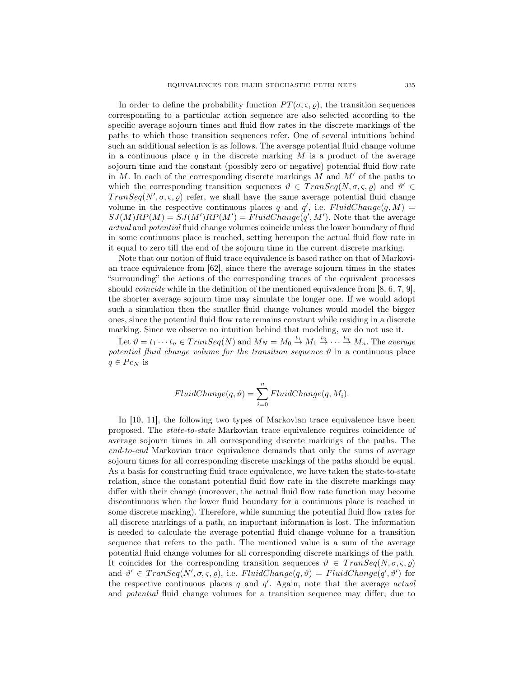In order to define the probability function  $PT(\sigma, \varsigma, \varrho)$ , the transition sequences corresponding to a particular action sequence are also selected according to the specific average sojourn times and fluid flow rates in the discrete markings of the paths to which those transition sequences refer. One of several intuitions behind such an additional selection is as follows. The average potential fluid change volume in a continuous place q in the discrete marking  $M$  is a product of the average sojourn time and the constant (possibly zero or negative) potential fluid flow rate in  $M$ . In each of the corresponding discrete markings  $M$  and  $M'$  of the paths to which the corresponding transition sequences  $\vartheta \in Transeq(N, \sigma, \varsigma, \varrho)$  and  $\vartheta' \in$  $Transeq(N', \sigma, \varsigma, \varrho)$  refer, we shall have the same average potential fluid change volume in the respective continuous places q and  $q'$ , i.e.  $FluidChange(q, M) =$  $SJ(M)RP(M) = SJ(M')RP(M') = FluidChange(q', M')$ . Note that the average actual and potential fluid change volumes coincide unless the lower boundary of fluid in some continuous place is reached, setting hereupon the actual fluid flow rate in it equal to zero till the end of the sojourn time in the current discrete marking.

Note that our notion of fluid trace equivalence is based rather on that of Markovian trace equivalence from [62], since there the average sojourn times in the states "surrounding" the actions of the corresponding traces of the equivalent processes should *coincide* while in the definition of the mentioned equivalence from [8, 6, 7, 9], the shorter average sojourn time may simulate the longer one. If we would adopt such a simulation then the smaller fluid change volumes would model the bigger ones, since the potential fluid flow rate remains constant while residing in a discrete marking. Since we observe no intuition behind that modeling, we do not use it.

Let  $\vartheta = t_1 \cdots t_n \in Transeq(N)$  and  $M_N = M_0 \stackrel{t_1}{\rightarrow} M_1 \stackrel{t_2}{\rightarrow} \cdots \stackrel{t_n}{\rightarrow} M_n$ . The average potential fluid change volume for the transition sequence  $\vartheta$  in a continuous place  $q \in Pc_N$  is

$$
FluidChange(q, \vartheta) = \sum_{i=0}^{n} FluidChange(q, M_i).
$$

In [10, 11], the following two types of Markovian trace equivalence have been proposed. The state-to-state Markovian trace equivalence requires coincidence of average sojourn times in all corresponding discrete markings of the paths. The end-to-end Markovian trace equivalence demands that only the sums of average sojourn times for all corresponding discrete markings of the paths should be equal. As a basis for constructing fluid trace equivalence, we have taken the state-to-state relation, since the constant potential fluid flow rate in the discrete markings may differ with their change (moreover, the actual fluid flow rate function may become discontinuous when the lower fluid boundary for a continuous place is reached in some discrete marking). Therefore, while summing the potential fluid flow rates for all discrete markings of a path, an important information is lost. The information is needed to calculate the average potential fluid change volume for a transition sequence that refers to the path. The mentioned value is a sum of the average potential fluid change volumes for all corresponding discrete markings of the path. It coincides for the corresponding transition sequences  $\vartheta \in Transeq(N, \sigma, \varsigma, \varrho)$ and  $\vartheta' \in Transeq(N', \sigma, \varsigma, \varrho)$ , i.e.  $FluidChange(q, \vartheta) = FluidChange(q', \vartheta')$  for the respective continuous places  $q$  and  $q'$ . Again, note that the average *actual* and potential fluid change volumes for a transition sequence may differ, due to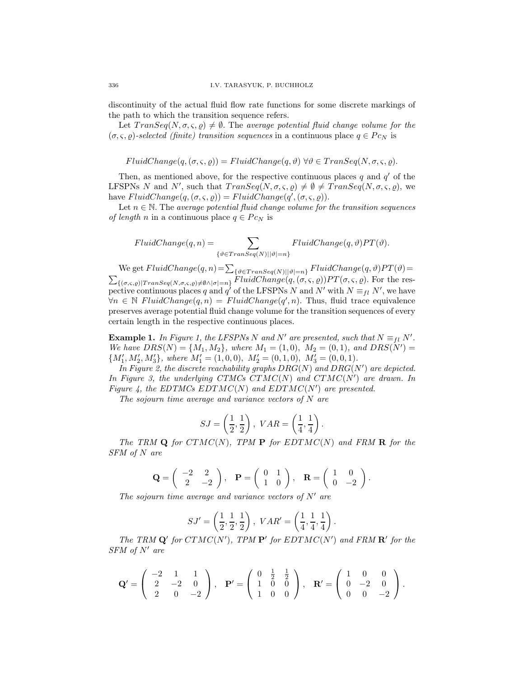discontinuity of the actual fluid flow rate functions for some discrete markings of the path to which the transition sequence refers.

Let  $Transeq(N, \sigma, \varsigma, \rho) \neq \emptyset$ . The average potential fluid change volume for the  $(\sigma, \varsigma, \varrho)$ -selected (finite) transition sequences in a continuous place  $q \in P_{\mathcal{C}_N}$  is

$$
FluidChange(q, (\sigma, \varsigma, \varrho)) = FluidChange(q, \vartheta) \,\forall \vartheta \in Transeq(N, \sigma, \varsigma, \varrho).
$$

Then, as mentioned above, for the respective continuous places  $q$  and  $q'$  of the LFSPNs N and N', such that  $Transeq(N, \sigma, \varsigma, \varrho) \neq \emptyset \neq Transeq(N, \sigma, \varsigma, \varrho)$ , we have  $FluidChange(q, (\sigma, \varsigma, \varrho)) = FluidChange(q', (\sigma, \varsigma, \varrho)).$ 

Let  $n \in \mathbb{N}$ . The average potential fluid change volume for the transition sequences of length n in a continuous place  $q \in P_{C_N}$  is

$$
FluidChange(q, n) = \sum_{\{\vartheta \in Transeq(N) \mid |\vartheta| = n\}} FluidChange(q, \vartheta) PT(\vartheta).
$$

We get  $FluidChange(q, n) = \sum_{\{\vartheta \in Transeq(N)| |\vartheta| = n\}} FluidChange(q, \vartheta) PT(\vartheta) = \sum_{\{\sigma, \varsigma, \varrho\} \neq \vartheta \wedge |\sigma| = n\}} FluidChange(q, (\sigma, \varsigma, \varrho)) PT(\sigma, \varsigma, \varrho)$ . For the respective continuous places q and q' of the LFSPNs N and N' with  $N \equiv_{fl} N'$ , we have  $\forall n \in \mathbb{N}$  FluidChange $(q, n) =$  FluidChange $(q', n)$ . Thus, fluid trace equivalence preserves average potential fluid change volume for the transition sequences of every certain length in the respective continuous places.

**Example 1.** In Figure 1, the LFSPNs N and N' are presented, such that  $N \equiv_{fl} N'$ . We have  $DRS(N) = \{M_1, M_2\}$ , where  $M_1 = (1, 0)$ ,  $M_2 = (0, 1)$ , and  $DRS(N') =$  ${M'_1, M'_2, M'_3}, where M'_1 = (1, 0, 0), M'_2 = (0, 1, 0), M'_3 = (0, 0, 1).$ 

In Figure 2, the discrete reachability graphs  $DRG(N)$  and  $DRG(N')$  are depicted. In Figure 3, the underlying CTMCs  $CTMC(N)$  and  $CTMC(N')$  are drawn. In Figure 4, the EDTMCs  $EDTMC(N)$  and  $EDTMC(N')$  are presented.

The sojourn time average and variance vectors of  $N$  are

$$
SJ = \left(\frac{1}{2}, \frac{1}{2}\right), \text{ } VAR = \left(\frac{1}{4}, \frac{1}{4}\right).
$$

The TRM  $Q$  for  $CTMC(N)$ , TPM  $P$  for  $EDTMC(N)$  and FRM  $R$  for the SFM of N are

$$
\mathbf{Q} = \begin{pmatrix} -2 & 2 \\ 2 & -2 \end{pmatrix}, \quad \mathbf{P} = \begin{pmatrix} 0 & 1 \\ 1 & 0 \end{pmatrix}, \quad \mathbf{R} = \begin{pmatrix} 1 & 0 \\ 0 & -2 \end{pmatrix}.
$$

The sojourn time average and variance vectors of  $N'$  are

$$
SJ' = \left( \frac{1}{2}, \frac{1}{2}, \frac{1}{2} \right), \; VAR' = \left( \frac{1}{4}, \frac{1}{4}, \frac{1}{4} \right).
$$

The TRM  $\mathbf{Q}'$  for  $CTMC(N')$ , TPM  $\mathbf{P}'$  for  $EDTMC(N')$  and FRM  $\mathbf{R}'$  for the  $SFM$  of  $N'$  are

$$
\mathbf{Q}' = \left( \begin{array}{ccc} -2 & 1 & 1 \\ 2 & -2 & 0 \\ 2 & 0 & -2 \end{array} \right), \quad \mathbf{P}' = \left( \begin{array}{ccc} 0 & \frac{1}{2} & \frac{1}{2} \\ 1 & 0 & 0 \\ 1 & 0 & 0 \end{array} \right), \quad \mathbf{R}' = \left( \begin{array}{ccc} 1 & 0 & 0 \\ 0 & -2 & 0 \\ 0 & 0 & -2 \end{array} \right).
$$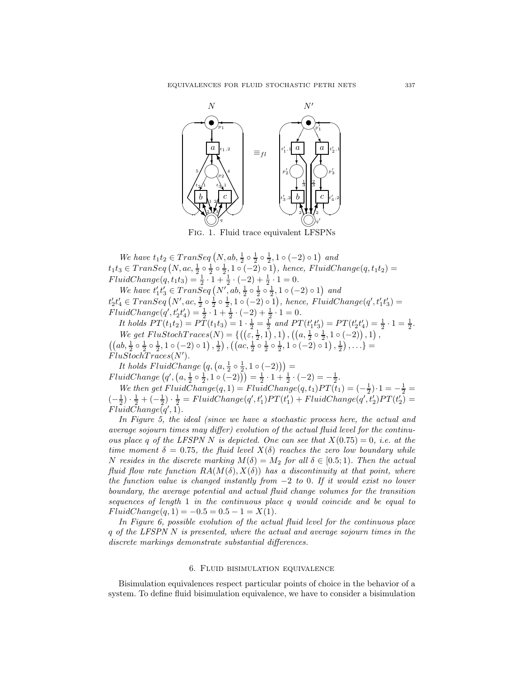

We have  $t_1t_2 \in Transeq(N, ab, \frac{1}{2} \circ \frac{1}{2} \circ \frac{1}{2}, 1 \circ (-2) \circ 1)$  and  $u_1u_2 \in I_1$  and  $u_1u_2 \in I_1$  and  $u_2 \in \frac{1}{2}$  o  $\frac{1}{2}$  o  $\frac{1}{2}$  o  $\frac{1}{2}$ , 1 ∘ (-2) ∘ 1), hence, FluidChange(q, t<sub>1</sub>t<sub>2</sub>) =  $FluidChange(q, t_1t_3) = \frac{1}{2} \cdot 1 + \frac{1}{2} \cdot (-2) + \frac{1}{2} \cdot 1 = 0.$ 

We have  $t_1't_3 \in Trans\bar{S}eq(N',ab,\frac{1}{2} \circ \frac{1}{2} \circ \frac{1}{2}, 1 \circ (-2) \circ 1)$  and  $t_2't_4' \in Transeq(N', ac, \frac{1}{2} \circ \frac{1}{2} \circ \frac{1}{2}, 1 \circ (-2) \circ 1), \text{ hence, FluidChange}(q', t_1't_3') =$  $FluidChange(q', t'_2 t'_4) = \frac{1}{2} \cdot 1 + \frac{1}{2} \cdot (-2) + \frac{1}{2} \cdot 1 = 0.$ 

It holds  $PT(t_1t_2) = PT(t_1t_3) = 1 \cdot \frac{1}{2} = \frac{1}{2}$  and  $PT(t'_1t'_3) = PT(t'_2t'_4) = \frac{1}{2} \cdot 1 = \frac{1}{2}$ . We get  $FlustochTrace(N) = \left\{ \left( \left( \varepsilon, \frac{1}{2}, 1 \right), 1 \right), \left( \left( a, \frac{1}{2} \circ \frac{1}{2}, 1 \circ (-2) \right), 1 \right), \right\}$  $((ab, \frac{1}{2} \circ \frac{1}{2} \circ \frac{1}{2}, 1 \circ (-2) \circ 1), \frac{1}{2}), ((ac, \frac{1}{2} \circ \frac{1}{2} \circ \frac{1}{2}, 1 \circ (-2) \circ 1), \frac{1}{2}), \ldots) =$  $FluStochTrace(N').$ 

It holds  $FluidChange(g, (a, \frac{1}{2} \circ \frac{1}{2}, 1 \circ (-2))) =$  $FluidChange\left(q',\left(a,\frac{1}{2}\circ\frac{1}{2},1\circ(-2)\right)\right)=\frac{1}{2}\cdot1+\frac{1}{2}\cdot(-2)=-\frac{1}{2}.$ 

We then get  $FluidChange(q, 1) = FluidChange(q, t_1)PT(t_1) = (-\frac{1}{2}) \cdot 1 = -\frac{1}{2}$  $\left(-\frac{1}{2}\right) \cdot \frac{1}{2} + \left(-\frac{1}{2}\right) \cdot \frac{1}{2} = FluidChange(q', t'_1) PT(t'_1) + FluidChange(q', t'_2) PT(t'_2) =$  $FluidChange(q', 1).$ 

In Figure 5, the ideal (since we have a stochastic process here, the actual and average sojourn times may differ) evolution of the actual fluid level for the continuous place q of the LFSPN N is depicted. One can see that  $X(0.75) = 0$ , i.e. at the time moment  $\delta = 0.75$ , the fluid level  $X(\delta)$  reaches the zero low boundary while N resides in the discrete marking  $M(\delta) = M_2$  for all  $\delta \in [0.5; 1)$ . Then the actual fluid flow rate function  $RA(M(\delta), X(\delta))$  has a discontinuity at that point, where the function value is changed instantly from  $-2$  to 0. If it would exist no lower boundary, the average potential and actual fluid change volumes for the transition sequences of length 1 in the continuous place q would coincide and be equal to  $FluidChange(q, 1) = -0.5 = 0.5 - 1 = X(1).$ 

In Figure 6, possible evolution of the actual fluid level for the continuous place q of the LFSPN N is presented, where the actual and average sojourn times in the discrete markings demonstrate substantial differences.

#### 6. Fluid bisimulation equivalence

Bisimulation equivalences respect particular points of choice in the behavior of a system. To define fluid bisimulation equivalence, we have to consider a bisimulation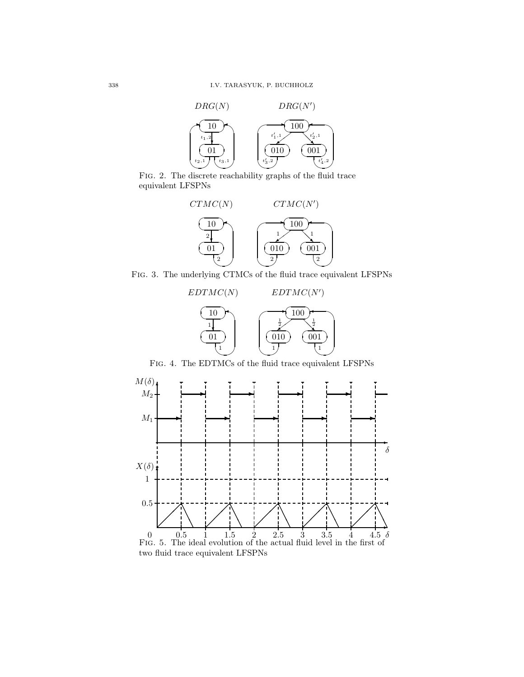

Fig. 2. The discrete reachability graphs of the fluid trace equivalent LFSPNs



Fig. 3. The underlying CTMCs of the fluid trace equivalent LFSPNs



Fig. 4. The EDTMCs of the fluid trace equivalent LFSPNs

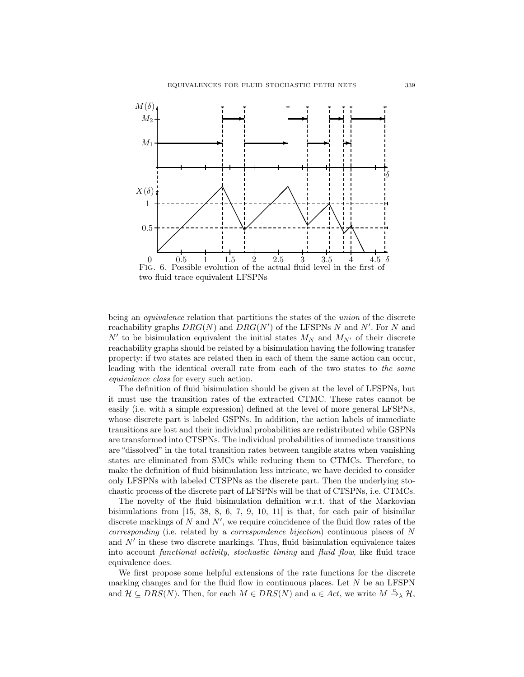

being an *equivalence* relation that partitions the states of the union of the discrete reachability graphs  $DRG(N)$  and  $DRG(N')$  of the LFSPNs N and N'. For N and N' to be bisimulation equivalent the initial states  $M_N$  and  $M_{N'}$  of their discrete reachability graphs should be related by a bisimulation having the following transfer property: if two states are related then in each of them the same action can occur, leading with the identical overall rate from each of the two states to the same equivalence class for every such action.

The definition of fluid bisimulation should be given at the level of LFSPNs, but it must use the transition rates of the extracted CTMC. These rates cannot be easily (i.e. with a simple expression) defined at the level of more general LFSPNs, whose discrete part is labeled GSPNs. In addition, the action labels of immediate transitions are lost and their individual probabilities are redistributed while GSPNs are transformed into CTSPNs. The individual probabilities of immediate transitions are "dissolved" in the total transition rates between tangible states when vanishing states are eliminated from SMCs while reducing them to CTMCs. Therefore, to make the definition of fluid bisimulation less intricate, we have decided to consider only LFSPNs with labeled CTSPNs as the discrete part. Then the underlying stochastic process of the discrete part of LFSPNs will be that of CTSPNs, i.e. CTMCs.

The novelty of the fluid bisimulation definition w.r.t. that of the Markovian bisimulations from [15, 38, 8, 6, 7, 9, 10, 11] is that, for each pair of bisimilar discrete markings of N and  $N'$ , we require coincidence of the fluid flow rates of the corresponding (i.e. related by a correspondence bijection) continuous places of N and  $N'$  in these two discrete markings. Thus, fluid bisimulation equivalence takes into account functional activity, stochastic timing and fluid flow, like fluid trace equivalence does.

We first propose some helpful extensions of the rate functions for the discrete marking changes and for the fluid flow in continuous places. Let  $N$  be an LFSPN and  $\mathcal{H} \subseteq DRS(N)$ . Then, for each  $M \in DRS(N)$  and  $a \in Act$ , we write  $M \stackrel{a}{\rightarrow} \chi \mathcal{H}$ ,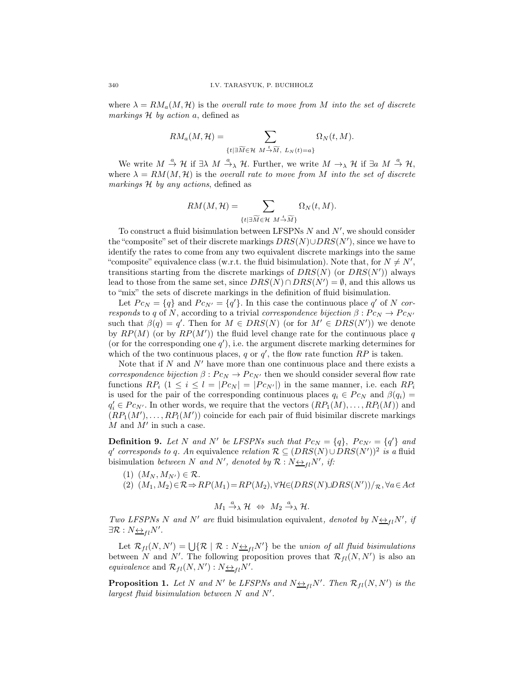where  $\lambda = RM_a(M, \mathcal{H})$  is the overall rate to move from M into the set of discrete markings  $H$  by action a, defined as

$$
RM_a(M,\mathcal{H}) = \sum_{\{t \mid \exists \widetilde{M} \in \mathcal{H} \ M \stackrel{t}{\rightarrow} \widetilde{M}, \ L_N(t)=a\}} \Omega_N(t,M).
$$

We write  $M \stackrel{a}{\rightarrow} \mathcal{H}$  if  $\exists \lambda \ M \stackrel{a}{\rightarrow} \lambda \mathcal{H}$ . Further, we write  $M \rightarrow_{\lambda} \mathcal{H}$  if  $\exists a \ M \stackrel{a}{\rightarrow} \mathcal{H}$ , where  $\lambda = RM(M, \mathcal{H})$  is the overall rate to move from M into the set of discrete markings H by any actions, defined as

$$
RM(M,\mathcal{H}) = \sum_{\{t \mid \exists \widetilde{M} \in \mathcal{H} \ M \stackrel{t}{\rightarrow} \widetilde{M}\}} \Omega_N(t,M).
$$

To construct a fluid bisimulation between LFSPNs N and N', we should consider the "composite" set of their discrete markings  $DRS(N) \cup DRS(N')$ , since we have to identify the rates to come from any two equivalent discrete markings into the same "composite" equivalence class (w.r.t. the fluid bisimulation). Note that, for  $N \neq N'$ , transitions starting from the discrete markings of  $DRS(N)$  (or  $DRS(N')$ ) always lead to those from the same set, since  $DRS(N) \cap DRS(N') = \emptyset$ , and this allows us to "mix" the sets of discrete markings in the definition of fluid bisimulation.

Let  $P c_N = \{q\}$  and  $P c_{N'} = \{q'\}$ . In this case the continuous place q' of N corresponds to q of N, according to a trivial correspondence bijection  $\beta : P c_N \to P c_{N'}$ such that  $\beta(q) = q'$ . Then for  $M \in DRS(N)$  (or for  $M' \in DRS(N')$ ) we denote by  $RP(M)$  (or by  $RP(M')$ ) the fluid level change rate for the continuous place q (or for the corresponding one  $q'$ ), i.e. the argument discrete marking determines for which of the two continuous places, q or  $q'$ , the flow rate function  $RP$  is taken.

Note that if  $N$  and  $N'$  have more than one continuous place and there exists a correspondence bijection  $\beta$ :  $P c_N \rightarrow P c_{N'}$  then we should consider several flow rate functions  $RP_i$   $(1 \leq i \leq l = |P c_N| = |P c_{N'}|)$  in the same manner, i.e. each  $RP_i$ is used for the pair of the corresponding continuous places  $q_i \in Pc_N$  and  $\beta(q_i)$  $q'_{i} \in P c_{N'}$ . In other words, we require that the vectors  $(RP_{1}(M), \ldots, RP_{l}(M))$  and  $(RP_1(M'), \ldots, RP_l(M'))$  coincide for each pair of fluid bisimilar discrete markings  $M$  and  $M'$  in such a case.

**Definition 9.** Let N and N' be LFSPNs such that  $P c_N = \{q\}$ ,  $P c_{N'} = \{q'\}$  and q' corresponds to q. An equivalence relation  $\mathcal{R} \subseteq (DRS(N) \cup DRS(N'))^2$  is a fluid bisimulation between N and N', denoted by  $\mathcal{R}: N \rightarrow H \circ N'$ , if:

- (1)  $(M_N, M_{N'}) \in \mathcal{R}$ .
- (2)  $(M_1, M_2) \in \mathcal{R} \Rightarrow RP(M_1) = RP(M_2), \forall H \in (DRS(N) \cup DRS(N'))/R, \forall a \in Act$

$$
M_1 \xrightarrow{a} \mathcal{H} \Leftrightarrow M_2 \xrightarrow{a} \mathcal{H}.
$$

Two LFSPNs N and N' are fluid bisimulation equivalent, denoted by  $N \leftrightarrow_{fl} N'$ , if  $\exists \mathcal{R}: N_{\frac{\leftrightarrow}{\rightarrow} l}N'.$ 

Let  $\mathcal{R}_{fl}(N, N') = \bigcup \{ \mathcal{R} \mid \mathcal{R} : N \underline{\leftrightarrow}_{fl} N' \}$  be the union of all fluid bisimulations between N and N'. The following proposition proves that  $\mathcal{R}_{fl}(N, N')$  is also an *equivalence* and  $\mathcal{R}_{fl}(N, N') : N \underline{\leftrightarrow}_{fl} N'$ .

**Proposition 1.** Let N and N' be LFSPNs and  $N \nleftrightarrow_{fl} N'$ . Then  $\mathcal{R}_{fl}(N, N')$  is the largest fluid bisimulation between N and N′ .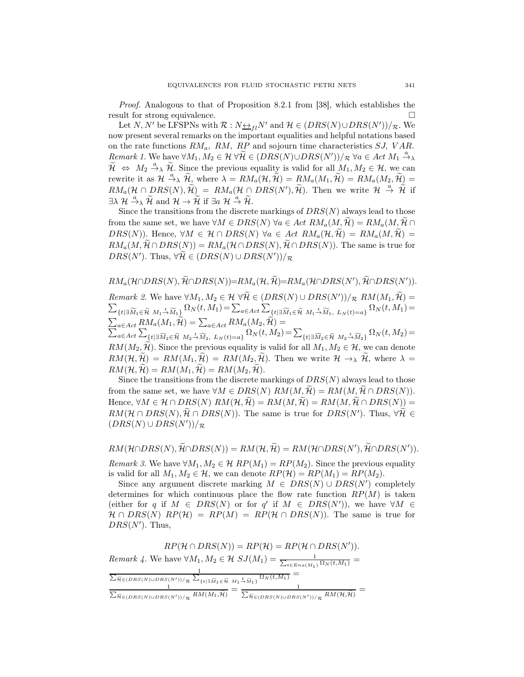Proof. Analogous to that of Proposition 8.2.1 from [38], which establishes the result for strong equivalence.

Let  $N, N'$  be LFSPNs with  $\mathcal{R}: N \rightarrow H \cap N'$  and  $\mathcal{H} \in (DRS(N) \cup DRS(N'))/R$ . We now present several remarks on the important equalities and helpful notations based on the rate functions  $RM_a$ ,  $RM$ ,  $RP$  and sojourn time characteristics  $SJ$ ,  $VAR$ . Remark 1. We have  $\forall M_1, M_2 \in \mathcal{H} \ \forall \widetilde{\mathcal{H}} \in (DRS(N) \cup DRS(N'))/R \ \forall a \in Act \ M_1 \stackrel{a}{\rightarrow} \lambda$  $\widetilde{\mathcal{H}} \Leftrightarrow M_2 \stackrel{a}{\rightarrow} \widetilde{\mathcal{H}}$ . Since the previous equality is valid for all  $M_1, M_2 \in \mathcal{H}$ , we can rewrite it as  $\mathcal{H} \stackrel{a}{\rightarrow} \lambda \widetilde{\mathcal{H}}_{\lambda}$  where  $\lambda = RM_a(\mathcal{H}, \widetilde{\mathcal{H}}) = RM_a(M_1, \widetilde{\mathcal{H}}) = RM_a(M_2, \widetilde{\mathcal{H}}) =$  $RM_a(\mathcal{H} \cap DRS(N), \tilde{\mathcal{H}}) = RM_a(\mathcal{H} \cap DRS(N'), \tilde{\mathcal{H}})$ . Then we write  $\mathcal{H} \stackrel{a}{\rightarrow} \tilde{\mathcal{H}}$  if  $\exists \lambda \mathcal{H} \stackrel{a}{\rightarrow}_{\lambda} \widetilde{\mathcal{H}} \text{ and } \mathcal{H} \rightarrow \widetilde{\mathcal{H}} \text{ if } \exists a \mathcal{H} \stackrel{a}{\rightarrow} \widetilde{\mathcal{H}}.$ 

Since the transitions from the discrete markings of  $DRS(N)$  always lead to those from the same set, we have  $\forall M \in DRS(N)$   $\forall a \in Act \ RM_a(M, \widetilde{\mathcal{H}}) = RM_a(M, \widetilde{\mathcal{H}})$ DRS(N)). Hence,  $\forall M \in \mathcal{H} \cap DRS(N)$   $\forall a \in Act \ RM_a(\mathcal{H}, \widetilde{\mathcal{H}}) = RM_a(M, \widetilde{\mathcal{H}}) =$  $RM_a(M, \widetilde{\mathcal{H}} \cap DRS(N)) = RM_a(\mathcal{H} \cap DRS(N), \widetilde{\mathcal{H}} \cap DRS(N)).$  The same is true for  $DRS(N')$ . Thus,  $\forall \mathcal{H} \in (DRS(N) \cup DRS(N'))/\mathcal{R}$ 

 $RM_a(\mathcal{H} \cap DRS(N), \mathcal{H} \cap DRS(N)) = RM_a(\mathcal{H}, \mathcal{H}) = RM_a(\mathcal{H} \cap DRS(N'), \mathcal{H} \cap DRS(N')).$ Remark 2. We have  $\forall M_1, M_2 \in \mathcal{H} \ \forall \mathcal{H} \in (DRS(N) \cup DRS(N'))/\mathcal{R} \ RM(M_1, \mathcal{H}) =$  $\sum_{\{t\mid \exists \widetilde{M}_1\in \widetilde{\mathcal{H}} \ M_1\stackrel{t}{\rightarrow} \widetilde{M}_1\}} \Omega_N(t,M_1) = \sum_{a\in Act} \sum_{\{t\mid \exists \widetilde{M}_1\in \widetilde{\mathcal{H}} \ M_1\stackrel{t}{\rightarrow} \widetilde{M}_1, \ L_N(t)=a\}} \Omega_N(t,M_1) =$  $\sum_{a \in Act} RM_a(M_1, \widetilde{\mathcal{H}}) = \sum_{a \in Act} RM_a(M_2, \widetilde{\mathcal{H}}) = \sum_{a \in Act} \sum_{\{t | \exists \widetilde{M}_2 \in \widetilde{\mathcal{H}} \ M_2 \stackrel{+}{\rightarrow} \widetilde{M}_2, \ L_N(t) = a\}} \Omega_N(t, M_2)$  $\{t|\exists \widetilde{M}_2 \in \widetilde{\mathcal{H}} \,\, M_2 \xrightarrow{t} \widetilde{M}_2, \,\, L_N(t) = a\} \,\, \Omega_N(t, M_2) = \sum_{\{t|\exists \widetilde{M}_2 \in \widetilde{\mathcal{H}} \,\, M_2 \xrightarrow{t} \widetilde{M}_2\}} \Omega_N(t, M_2) =$  $RM(M_2, \mathcal{H})$ . Since the previous equality is valid for all  $M_1, M_2 \in \mathcal{H}$ , we can denote  $RM(\mathcal{H}, \widetilde{\mathcal{H}}) = RM(M_1, \widetilde{\mathcal{H}}) = RM(M_2, \widetilde{\mathcal{H}})$ . Then we write  $\mathcal{H} \to_{\lambda} \widetilde{\mathcal{H}}$ , where  $\lambda =$  $RM(\mathcal{H}, \widetilde{\mathcal{H}}) = RM(M_1, \widetilde{\mathcal{H}}) = RM(M_2, \widetilde{\mathcal{H}}).$ 

Since the transitions from the discrete markings of  $DRS(N)$  always lead to those from the same set, we have  $\forall M \in DRS(N) \ RM(M, \mathcal{H}) = RM(M, \mathcal{H} \cap DRS(N)).$ Hence,  $\forall M \in \mathcal{H} \cap DRS(N) \ RM(\mathcal{H}, \widetilde{\mathcal{H}}) = RM(M, \widetilde{\mathcal{H}}) = RM(M, \widetilde{\mathcal{H}} \cap DRS(N)) =$  $RM(\mathcal{H} \cap DRS(N), \mathcal{H} \cap DRS(N)).$  The same is true for  $DRS(N')$ . Thus,  $\forall \mathcal{H} \in \mathcal{H} \subset \mathcal{H} \subset \mathcal{H} \subset \mathcal{H}$  $(DRS(N) \cup DRS(N'))/R$ 

 $RM(\mathcal{H} \cap DRS(N), \mathcal{H} \cap DRS(N)) = RM(\mathcal{H}, \mathcal{H}) = RM(\mathcal{H} \cap DRS(N'), \mathcal{H} \cap DRS(N')).$ 

Remark 3. We have  $\forall M_1, M_2 \in \mathcal{H}$   $RP(M_1) = RP(M_2)$ . Since the previous equality is valid for all  $M_1, M_2 \in \mathcal{H}$ , we can denote  $RP(\mathcal{H}) = RP(M_1) = RP(M_2)$ .

Since any argument discrete marking  $M \in DRS(N) \cup DRS(N')$  completely determines for which continuous place the flow rate function  $RP(M)$  is taken (either for q if  $M \in \text{DRS}(N)$  or for q' if  $M \in \text{DRS}(N')$ ), we have  $\forall M \in$  $\mathcal{H} \cap DRS(N)$   $RP(\mathcal{H}) = RP(M) = RP(\mathcal{H} \cap DRS(N)).$  The same is true for  $DRS(N')$ . Thus,

| $RP(\mathcal{H} \cap DRS(N)) = RP(\mathcal{H}) = RP(\mathcal{H} \cap DRS(N')).$                                                                                                                     |
|-----------------------------------------------------------------------------------------------------------------------------------------------------------------------------------------------------|
| <i>Remark 4.</i> We have $\forall M_1, M_2 \in \mathcal{H}$ $SJ(M_1) = \frac{1}{\sum_{t \in Ena(M_1)} \Omega_N(t, M_1)}$                                                                            |
| $\sum_{\widetilde{H} \in (DRS(N) \cup DRS(N'))/R} \sum_{\{t \mid \exists \widetilde{M}_1 \in \widetilde{\mathcal{H}} \ M_1 \stackrel{t}{\rightarrow} \widetilde{M}_1\}} \Omega_N(t, M_1)$           |
| $\sum_{\widetilde{\mathcal{H}} \in (DRS(N) \cup DRS(N'))/R} RM(M_1, \widetilde{\mathcal{H}}) = \sum_{\widetilde{\mathcal{H}} \in (DRS(N) \cup DRS(N'))/R} RM(\mathcal{H}, \widetilde{\mathcal{H}})$ |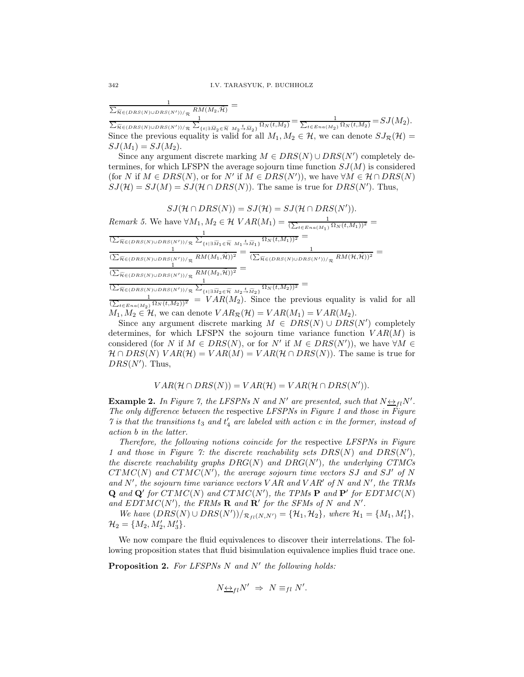$\frac{1}{\sum_{\widetilde{\alpha}} \sum_{i=1}^n \sum_{i=1}^n \alpha_i}$  $\frac{1}{\widetilde{\pi} \in (DRS(N) \cup DRS(N')) / R} \frac{RM(M_2, \widetilde{\pi})}{M}$ 

 $\frac{1}{\sum_{\widetilde{v}}\widetilde{v}$  $\widetilde{\pi}_{\in (DRS(N)\cup DRS(N'))/\mathcal{R}}\frac{1}{\sum_{\{t\mid \exists \widetilde{M}_2\in \widetilde{\mathcal{H}} \ M_2\stackrel{t}{\rightarrow} \widetilde{M}_2\}}\Omega_N(t,M_2)}=\frac{1}{\sum_{t\in Ena(M_2)}\Omega_N(t,M_2)}=SJ(M_2).$ Since the previous equality is valid for all  $M_1, M_2 \in \mathcal{H}$ , we can denote  $SJ_{\mathcal{R}}(\mathcal{H}) =$  $SJ(M_1) = SJ(M_2).$ 

Since any argument discrete marking  $M \in DRS(N) \cup DRS(N')$  completely determines, for which LFSPN the average sojourn time function  $SJ(M)$  is considered (for N if  $M \in DRS(N)$ , or for N' if  $M \in DRS(N')$ ), we have  $\forall M \in \mathcal{H} \cap DRS(N)$  $SJ(\mathcal{H}) = SJ(M) = SJ(\mathcal{H} \cap DRS(N)).$  The same is true for  $DRS(N')$ . Thus,

 $SJ(\mathcal{H} \cap DRS(N)) = SJ(\mathcal{H}) = SJ(\mathcal{H} \cap DRS(N')).$ Remark 5. We have  $\forall M_1, M_2 \in \mathcal{H} \; VAR(M_1) = \frac{1}{(\sum_{t \in Ena(M_1)} \Omega_N(t, M_1))^2}$  $\frac{1}{(\sum_{\widetilde{\mathcal{H}} \in (DRS(N) \cup DRS(N'))/R} \sum_{\{t \mid \exists \widetilde{M}_1 \in \widetilde{\mathcal{H}}_M_1 \stackrel{t}{\to} \widetilde{M}_1\}} \Omega_N(t,M_1))^2} =$ 1  $\frac{1}{(\sum_{\widetilde{\pi}\in(DRS(N)\cup DRS(N'))/\mathcal{R}}RM(M_1,\widetilde{\mathcal{H}}))^2}=\frac{1}{(\sum_{\widetilde{\pi}\in(DRS(N)\cup DRS(N))}RM(M_1,\widetilde{\mathcal{H}}))^2}$  $\frac{1}{(N')/\pi}$   $RM(M_1, \widetilde{\mathcal{H}}))^2$  =  $\frac{1}{(\sum_{\widetilde{\mathcal{H}} \in (DRS(N) \cup DRS(N'))/\pi}$   $RM(\mathcal{H}, \widetilde{\mathcal{H}}))^2$  =  $\frac{1}{(\sum_{\widetilde{\mathcal{H}} \in (DRS(N) \cup DRS(N'))/\mathcal{R}} \frac{RM(M_2,\widetilde{\mathcal{H}}))^2}{1}} =$  $\frac{1}{(\sum_{\widetilde{\mathcal{H}} \in (DRS(N) \cup DRS(N'))/R} \sum_{\{t \mid \exists \widetilde{M}_2 \in \widetilde{\mathcal{H}} \ M_2 \stackrel{t}{\rightarrow} \widetilde{M}_2\}} \Omega_N(t,M_2))^2}$ 

 $\frac{1}{(\sum_{t \in Ena(M_2)} \Omega_N(t, M_2))^2} = VAR(M_2)$ . Since the previous equality is valid for all  $M_1, M_2 \in \mathcal{H}$ , we can denote  $VAR_{\mathcal{R}}(\mathcal{H}) = VAR(M_1) = VAR(M_2)$ .

Since any argument discrete marking  $M \in DRS(N) \cup DRS(N')$  completely determines, for which LFSPN the sojourn time variance function  $VAR(M)$  is considered (for N if  $M \in DRS(N)$ , or for N' if  $M \in DRS(N')$ ), we have  $\forall M \in$  $\mathcal{H} \cap DRS(N) \; VAR(\mathcal{H}) = VAR(M) = VAR(\mathcal{H} \cap DRS(N)).$  The same is true for  $DRS(N')$ . Thus,

$$
VAR(\mathcal{H} \cap DRS(N)) = VAR(\mathcal{H}) = VAR(\mathcal{H} \cap DRS(N')).
$$

**Example 2.** In Figure 7, the LFSPNs N and N' are presented, such that  $N \nightharpoonup_{fl} N'$ . The only difference between the respective LFSPNs in Figure 1 and those in Figure  $\gamma$  is that the transitions  $t_3$  and  $t'_4$  are labeled with action c in the former, instead of action b in the latter.

Therefore, the following notions coincide for the respective LFSPNs in Figure 1 and those in Figure 7: the discrete reachability sets  $DRS(N)$  and  $DRS(N')$ , the discrete reachability graphs  $DRG(N)$  and  $DRG(N')$ , the underlying CTMCs  $CTMC(N)$  and  $CTMC(N')$ , the average sojourn time vectors SJ and SJ' of N and  $N'$ , the sojourn time variance vectors  $VAR$  and  $VAR'$  of  $N$  and  $N'$ , the TRMs  ${\bf Q}$  and  ${\bf Q}'$  for  $CTMC(N)$  and  $CTMC(N')$ , the TPMs  ${\bf P}$  and  ${\bf P}'$  for  $EDTMC(N)$ and  $EDTMC(N')$ , the FRMs **R** and **R'** for the SFMs of N and N'.

We have  $(DRS(N) \cup DRS(N'))/_{\mathcal{R}_{fl}(N,N')} = {\mathcal{H}_1, \mathcal{H}_2},$  where  $\mathcal{H}_1 = {M_1, M'_1},$  $\mathcal{H}_2 = \{M_2, M'_2, M'_3\}.$ 

We now compare the fluid equivalences to discover their interrelations. The following proposition states that fluid bisimulation equivalence implies fluid trace one.

**Proposition 2.** For LFSPNs  $N$  and  $N'$  the following holds:

$$
N_{\frac{\leftrightarrow}{\longrightarrow}l}N' \Rightarrow N \equiv_{fl} N'.
$$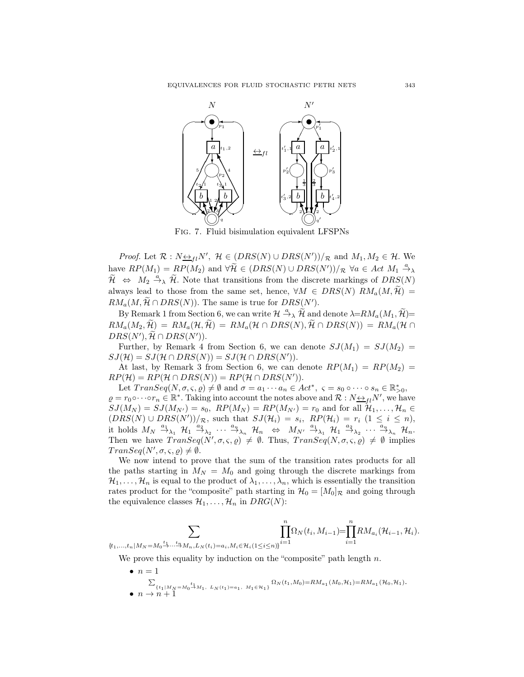

*Proof.* Let  $\mathcal{R}: N \rightarrow_{fl} N'$ ,  $\mathcal{H} \in (DRS(N) \cup DRS(N'))/R$  and  $M_1, M_2 \in \mathcal{H}$ . We have  $RP(M_1) = RP(M_2)$  and  $\forall \widetilde{\mathcal{H}} \in (DRS(N) \cup DRS(N'))/R$   $\forall a \in Act M_1 \stackrel{a}{\rightarrow} \lambda$  $\widetilde{\mathcal{H}} \Leftrightarrow M_2 \stackrel{a}{\rightarrow} \widetilde{\mathcal{H}}$ . Note that transitions from the discrete markings of  $DRS(N)$ always lead to those from the same set, hence,  $\forall M \in DRS(N)$   $RM_a(M, \mathcal{H}) =$  $RM_a(M, \mathcal{H} \cap DRS(N))$ . The same is true for  $DRS(N')$ .

By Remark 1 from Section 6, we can write  $\mathcal{H} \stackrel{a}{\rightarrow} _{\lambda} \widetilde{\mathcal{H}}$  and denote  $\lambda = RM_a(M_1, \widetilde{\mathcal{H}}) =$  $RM_a(M_2, \widetilde{\mathcal{H}}) = RM_a(\mathcal{H}, \widetilde{\mathcal{H}}) = RM_a(\mathcal{H} \cap DRS(N), \widetilde{\mathcal{H}} \cap DRS(N)) = RM_a(\mathcal{H} \cap$  $DRS(N'), \mathcal{H} \cap DRS(N')).$ 

Further, by Remark 4 from Section 6, we can denote  $SJ(M_1) = SJ(M_2)$  $SJ(\mathcal{H}) = SJ(\mathcal{H} \cap DRS(N)) = SJ(\mathcal{H} \cap DRS(N')).$ 

At last, by Remark 3 from Section 6, we can denote  $RP(M_1) = RP(M_2)$  $RP(\mathcal{H}) = RP(\mathcal{H} \cap DRS(N)) = RP(\mathcal{H} \cap DRS(N')).$ 

Let  $TransSeq(N, \sigma, \varsigma, \varrho) \neq \emptyset$  and  $\sigma = a_1 \cdots a_n \in Act^*$ ,  $\varsigma = s_0 \circ \cdots \circ s_n \in \mathbb{R}_{\geq 0}^*$ ,  $\rho = r_0 \circ \cdots \circ r_n \in \mathbb{R}^*$ . Taking into account the notes above and  $\mathcal{R}: N \leftrightarrow_{fl} N'$ , we have  $SJ(M_N) = SJ(M_{N'}) = s_0$ ,  $RP(M_N) = RP(M_{N'}) = r_0$  and for all  $\mathcal{H}_1, \ldots, \mathcal{H}_n \in$  $(DRS(N) \cup DRS(N'))/R$ , such that  $SJ(\mathcal{H}_i) = s_i$ ,  $RP(\mathcal{H}_i) = r_i$   $(1 \leq i \leq n)$ , it holds  $M_N \stackrel{a_1}{\rightarrow}_{\lambda_1} H_1 \stackrel{a_2}{\rightarrow}_{\lambda_2} \cdots \stackrel{a_n}{\rightarrow}_{\lambda_n} H_n \Leftrightarrow M_{N'} \stackrel{a_1}{\rightarrow}_{\lambda_1} H_1 \stackrel{a_2}{\rightarrow}_{\lambda_2} \cdots \stackrel{a_n}{\rightarrow}_{\lambda_n} H_n$ Then we have  $TransSeq(N', \sigma, \varsigma, \varrho) \neq \emptyset$ . Thus,  $TransSeq(N, \sigma, \varsigma, \varrho) \neq \emptyset$  implies  $TransSeq(N', \sigma, \varsigma, \varrho) \neq \emptyset.$ 

We now intend to prove that the sum of the transition rates products for all the paths starting in  $M_N = M_0$  and going through the discrete markings from  $\mathcal{H}_1, \ldots, \mathcal{H}_n$  is equal to the product of  $\lambda_1, \ldots, \lambda_n$ , which is essentially the transition rates product for the "composite" path starting in  $\mathcal{H}_0 = [M_0]_{\mathcal{R}}$  and going through the equivalence classes  $\mathcal{H}_1, \ldots, \mathcal{H}_n$  in  $DRG(N)$ :

$$
\sum_{\{t_1,\ldots,t_n\mid M_N=M_0\stackrel{t_1}{\to}\ldots\stackrel{t_n}{\to}M_n,L_N(t_i)=a_i,M_i\in\mathcal{H}_i(1\leq i\leq n)\}}\prod_{i=1}^n\Omega_N(t_i,M_{i-1})=\prod_{i=1}^nRM_{a_i}(\mathcal{H}_{i-1},\mathcal{H}_i).
$$

We prove this equality by induction on the "composite" path length  $n$ .

•  $n=1$  $\{\iota_1|_{M_N=M_0}\overset{t_1}{\rightarrow} M_1,\ L_N(\iota_1)=a_1,\ M_1\in\mathcal{H}_1\}\Omega_N(t_1,M_0)=RM_{a_1}(M_0,\mathcal{H}_1)=RM_{a_1}(\mathcal{H}_0,\mathcal{H}_1).$ •  $n \to n+1$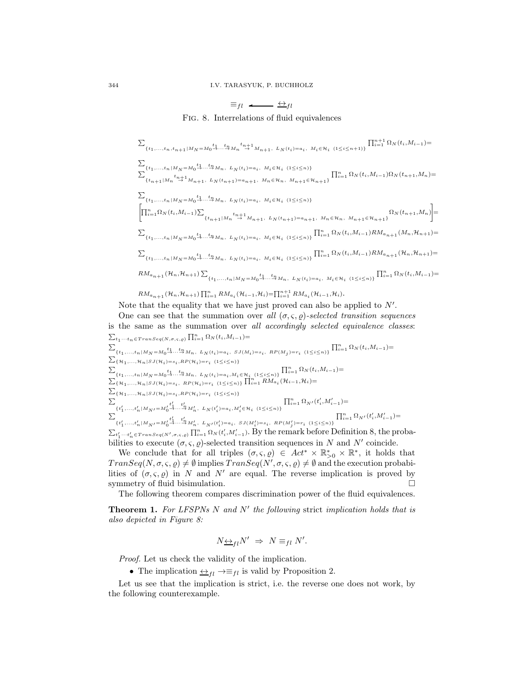# $\equiv_{fl} \leftarrow$   $\leftrightarrow_{fl}$ Fig. 8. Interrelations of fluid equivalences

 $\sum$  $\{t_1,\ldots,t_n,t_{n+1}\hspace{0.03cm}|\hspace{0.03cm}M_N\hspace{0.03cm}=\hspace{0.03cm}M_0\overset{t_1}{\to}\hspace{0.03cm}\cdots\overset{t_n}{\to}\hspace{0.03cm}M_n\overset{t_{n+1}}{\to}M_{n+1},\hspace{0.03cm}L_N(t_i)\hspace{0.03cm}=\hspace{0.03cm}a_i,\hspace{0.03cm}M_i\hspace{0.03cm}\in\hspace{0.03cm} \mathcal{H}_i\hspace{0.03cm}(\hspace{0.03cm}1\$  $\prod_{i=1}^{n+1} \Omega_N(t_i, M_{i-1}) =$  $\sum$  $\sum_{i=1}^{n} \{t_1,...,t_n | M_N = M_0 \xrightarrow{t_1} ... \xrightarrow{t_n} M_n, L_N(t_i) = a_i, M_i \in \mathcal{H}_i \quad (1 \leq i \leq n)\}$  $\prod_{i=1}^n \Omega_N(t_i,M_{i-1})\Omega_N(t_{n+1},M_n) = \\ \{t_{n+1}|M_n\stackrel{t_{n+1}}{\rightarrow} M_{n+1},\ L_N(t_{n+1})=a_{n+1},\ M_n\in\mathcal{H}_n,\ M_{n+1}\in\mathcal{H}_{n+1}\}$  $\sum$  $\{t_1,\ldots,t_n\,|\, M_N\!=\!M_0\mathop{\to}\limits^{t_1}\cdots\mathop{\to}\limits^{t_n} M_n\,,\;\;L_N(t_i)\!=\!a_i\,,\;\;M_i\!\in\!\mathcal{H}_i\;\; (1\!\leq\! i\!\leq\! n)\}$  $\left[\prod_{i=1}^n \Omega_N(t_i, M_{i-1})\right]$  ${t_{n+1|M_n}}^{t_n+1}$   ${t_{n+1}M_{n+1}}$ ,  $L_N(t_{n+1})=a_{n+1}$ ,  $M_n \in \mathcal{H}_n$ ,  $M_{n+1} \in \mathcal{H}_{n+1}$   $\Omega_N(t_{n+1}, M_n)$ 1 =  $\begin{array}{l}\sum_{\{t_1,...,t_n|M_N=M_0}\xrightarrow{t_1}...x_{\overline{n}M_n,~~L_N(t_i)=a_i,~~M_i\in \mathcal{H}_i~~(1\leq i\leq n)\}}\prod_{i=1}^n\Omega_N\big(t_i,M_{i-1}\big)RM_{a_{n+1}}(M_n,\mathcal{H}_{n+1})=\\ \end{array}$  $\begin{array}{l}\sum_{\{t_1,...,t_n|M_N=M_0}\xrightarrow{t_1}...x_{\overline{m}}M_n,\;\;L_N(t_i)=a_i,\;\;M_i\in \mathcal{H}_i\;\;(1\leq i\leq n)\}\prod_{i=1}^n\Omega_N\big(t_i,M_{i-1}\big)RM_{a_{n+1}}(\mathcal{H}_n,\mathcal{H}_{n+1})=\\ \end{array}$  $RM_{a_{n+1}}(\mathcal{H}_n, \mathcal{H}_{n+1})\sum$ {t1,...,tn|MN =M0→··· <sup>t</sup><sup>1</sup> <sup>t</sup>→nMn, LN (ti )=ai , Mi∈Hi (1≤i≤n)} Qn <sup>i</sup>=1 Ω<sup>N</sup> (ti,Mi−1)=  $RM_{a_{n+1}}(\mathcal{H}_n, \mathcal{H}_{n+1}) \prod_{i=1}^n RM_{a_i}(\mathcal{H}_{i-1}, \mathcal{H}_i) = \prod_{i=1}^{n+1} RM_{a_i}(\mathcal{H}_{i-1}, \mathcal{H}_i).$ Note that the equality that we have just proved can also be applied to  $N'$ .

One can see that the summation over all  $(\sigma, \varsigma, \rho)$ -selected transition sequences is the same as the summation over all accordingly selected equivalence classes:  $\sum_{t_1\cdots t_n\in Transeq(N,\sigma,\varsigma,\varrho)}\prod_{i=1}^n\Omega_N(t_i,M_{i-1})=$  $\begin{array}{l} \sum_{\{t_1,...,t_n\,|\,M_N=M_0^{\,t_1}... \stackrel{t_n}{\rightarrow} M_n,\text{ }L_N(t_i)=a_i,\text{ }SJ(M_i)=s_i,\text{ }RP(M_j)=r_i\text{ } \left(1\leq i\leq n\right)\} \prod_{i=1}^n \Omega_N(t_i,M_{i-1})=\\ \end{array}$  $\begin{array}{l}\sum_{\left\{\mathcal{H}_1,...,\mathcal{H}_n\left|SJ(\mathcal{H}_i)=s_i,RP(\mathcal{H}_i)=r_i\right.\right.\left.\left(1\leq i\leq n\right)\right\} \end{array}$  $\begin{array}{l} \sum_{\{t_1,\ldots,t_n\,|\,M_N=M_0}\xrightarrow{t_1\ldots t_n}M_n,\ L_N(t_i)=a_i,M_i\in\mathcal{H}_i\ \ (\mathbf{1}\leq i\leq n)\} } \prod_{i=1}^n \Omega_N(t_i,M_{i-1})= \end{array}$  $\sum_{\{\mathcal{H}_1,...,\mathcal{H}_n\mid SJ(\mathcal{H}_i)=s_i, \ R P(\mathcal{H}_i)=r_i \ (1\leq i\leq n)\}} \prod_{i=1}^n RM_{a_i}(\mathcal{H}_{i-1},\mathcal{H}_i)=$  $\begin{array}{l}\sum_{\left\{\mathcal{H}_1,...,\mathcal{H}_n\left|SJ(\mathcal{H}_i)=s_i,RP(\mathcal{H}_i)=r_i\right.\right.\left.\left(1\leq i\leq n\right)\right\} \end{array}$  $\sum$  $\{ \, t_{1}^{\prime} , \ldots , t_{n}^{\prime} \, | \, M_{N^{\prime}} \! = \! M_{0}^{\prime} \! \stackrel{t_{1}^{\prime}}{\rightarrow} \! \cdots \! \stackrel{t_{n}^{\prime}}{\rightarrow} \! M_{n}^{\prime} , \; \; L_{N} \! \; (t_{i}^{\prime}) \! = \! a_{i} , M_{i}^{\prime} \! \in \! \mathcal{H}_{i} \; \; (1 \! \leq \! i \! \leq \! n) \}$  $\textstyle \prod_{i=1}^n \Omega_{N'}(t'_i,M'_{i-1}) =$  $\sum$  $\{t_1',...,t_n'|M_N\!=\!M_0'\overset{t_1'}{\rightarrow}\!\cdots\overset{t_n'}{\rightarrow}\!M_n',\ L_{N'}(t_i')\!=\!a_i,\ SJ(M_i')\!=\!s_i,\ RP(M_j')\!=\!r_i\ \ (1\!\leq\! i\!\leq\! n)\}$  $\textstyle \prod_{i=1}^n \Omega_{N'}(t'_i,M'_{i-1}) =$  $\sum_{t'_1 \cdots t'_n \in Transeq(N',\sigma,s,e)} \prod_{i=1}^n \Omega_N(t'_i,M'_{i-1})$ . By the remark before Definition 8, the probabilities to execute  $(\sigma, \varsigma, \varrho)$ -selected transition sequences in N and N' coincide.

We conclude that for all triples  $(\sigma, \varsigma, \varrho) \in Act^* \times \mathbb{R}_{\geq 0}^* \times \mathbb{R}^*$ , it holds that  $TransSeq(N, \sigma, \varsigma, \varrho) \neq \emptyset$  implies  $TransSeq(N', \sigma, \varsigma, \varrho) \neq \emptyset$  and the execution probabilities of  $(\sigma, \varsigma, \varrho)$  in N and N' are equal. The reverse implication is proved by symmetry of fluid bisimulation.

The following theorem compares discrimination power of the fluid equivalences.

**Theorem 1.** For LFSPNs  $N$  and  $N'$  the following strict implication holds that is also depicted in Figure 8:

$$
N_{\frac{\leftrightarrow}{\longrightarrow}l}N' \Rightarrow N \equiv_{fl} N'.
$$

Proof. Let us check the validity of the implication.

• The implication  $\leftrightarrow_{fl} \rightarrow \equiv_{fl}$  is valid by Proposition 2.

Let us see that the implication is strict, i.e. the reverse one does not work, by the following counterexample.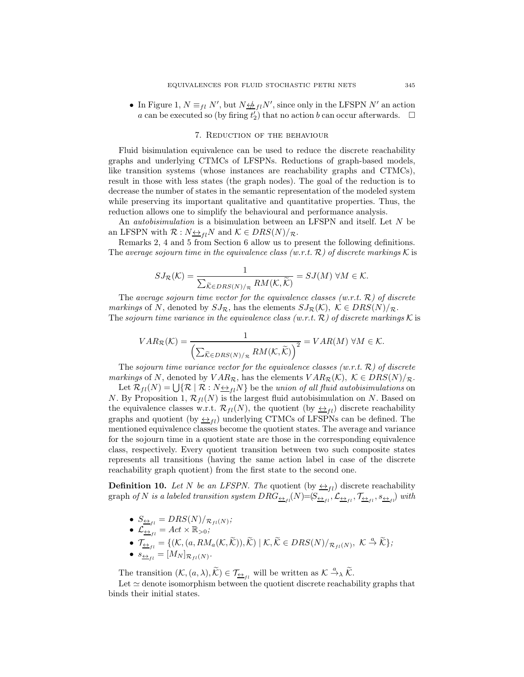• In Figure 1,  $N \equiv_{fl} N'$ , but  $N \not\leftrightarrow_{fl} N'$ , since only in the LFSPN  $N'$  an action a can be executed so (by firing  $t_2'$ ) that no action b can occur afterwards.  $\Box$ 

#### 7. Reduction of the behaviour

Fluid bisimulation equivalence can be used to reduce the discrete reachability graphs and underlying CTMCs of LFSPNs. Reductions of graph-based models, like transition systems (whose instances are reachability graphs and CTMCs), result in those with less states (the graph nodes). The goal of the reduction is to decrease the number of states in the semantic representation of the modeled system while preserving its important qualitative and quantitative properties. Thus, the reduction allows one to simplify the behavioural and performance analysis.

An *autobisimulation* is a bisimulation between an LFSPN and itself. Let N be an LFSPN with  $\mathcal{R}: N \leftrightarrow_{fl} N$  and  $\mathcal{K} \in DRS(N)/_{\mathcal{R}}$ .

Remarks 2, 4 and 5 from Section 6 allow us to present the following definitions. The average sojourn time in the equivalence class (w.r.t.  $\mathcal{R}$ ) of discrete markings K is

$$
SJ_{\mathcal{R}}(\mathcal{K}) = \frac{1}{\sum_{\widetilde{\mathcal{K}} \in DRS(N)/_{\mathcal{R}}} RM(\mathcal{K}, \widetilde{\mathcal{K}})} = SJ(M) \ \forall M \in \mathcal{K}.
$$

The average sojourn time vector for the equivalence classes  $(w.r.t. \mathcal{R})$  of discrete markings of N, denoted by  $SJ_{\mathcal{R}}$ , has the elements  $SJ_{\mathcal{R}}(\mathcal{K})$ ,  $\mathcal{K} \in DRS(N)/_{\mathcal{R}}$ . The sojourn time variance in the equivalence class (w.r.t.  $\mathcal{R}$ ) of discrete markings K is

$$
VAR_{\mathcal{R}}(\mathcal{K}) = \frac{1}{\left(\sum_{\widetilde{\mathcal{K}} \in DRS(N)/_{\mathcal{R}}} RM(\mathcal{K}, \widetilde{\mathcal{K}})\right)^2} = VAR(M) \ \forall M \in \mathcal{K}.
$$

The sojourn time variance vector for the equivalence classes (w.r.t.  $\mathcal{R}$ ) of discrete markings of N, denoted by  $VAR_{\mathcal{R}}$ , has the elements  $VAR_{\mathcal{R}}(\mathcal{K})$ ,  $\mathcal{K} \in DRS(N)/_{\mathcal{R}}$ .

Let  $\mathcal{R}_{fl}(N) = \bigcup \{ \mathcal{R} \mid \mathcal{R} : N \Leftrightarrow_{fl} N \}$  be the union of all fluid autobisimulations on N. By Proposition 1,  $\mathcal{R}_{fl}(N)$  is the largest fluid autobisimulation on N. Based on the equivalence classes w.r.t.  $\mathcal{R}_{fl}(N)$ , the quotient (by  $\leftrightarrow_{fl}$ ) discrete reachability graphs and quotient (by  $\leftrightarrow$ <sub>fl</sub>) underlying CTMCs of LFSPNs can be defined. The mentioned equivalence classes become the quotient states. The average and variance for the sojourn time in a quotient state are those in the corresponding equivalence class, respectively. Every quotient transition between two such composite states represents all transitions (having the same action label in case of the discrete reachability graph quotient) from the first state to the second one.

**Definition 10.** Let N be an LFSPN. The quotient (by  $\leftrightarrow$ <sub>fl</sub>) discrete reachability graph of N is a labeled transition system  $DRG_{\underline{\leftrightarrow}_{fl}}(N){=}(S_{\underline{\leftrightarrow}_{fl}},\mathcal{L}_{\underline{\leftrightarrow}_{fl}},\mathcal{T}_{\underline{\leftrightarrow}_{fl}},s_{\underline{\leftrightarrow}_{fl}})$  with

 $\bullet \ \ S_{\underline{\leftrightarrow}_{fl}}=DRS(N)/_{\mathcal{R}_{fl}(N)};$ 

• 
$$
\mathcal{L}_{\underline{\leftrightarrow}_{fl}} = Act \times \mathbb{R}_{>0}
$$
;

- $\mathcal{T}_{\underline{\leftrightarrow}_{fl}} = \{(\mathcal{K}, (a, RM_a(\mathcal{K}, \widetilde{\mathcal{K}})), \widetilde{\mathcal{K}}) \mid \mathcal{K}, \widetilde{\mathcal{K}} \in DRS(N)/_{\mathcal{R}_{fl}(N)}, \ \mathcal{K} \stackrel{a}{\rightarrow} \widetilde{\mathcal{K}}\};$
- $s_{\underline{\leftrightarrow}_{fl}} = [M_N]_{\mathcal{R}_{fl}(N)}.$

The transition  $(\mathcal{K}, (a, \lambda), \widetilde{\mathcal{K}}) \in \mathcal{T}_{\underline{\leftrightarrow}_{fl}}$  will be written as  $\mathcal{K} \stackrel{a}{\rightarrow}_{\lambda} \widetilde{\mathcal{K}}$ .

Let  $\simeq$  denote isomorphism between the quotient discrete reachability graphs that binds their initial states.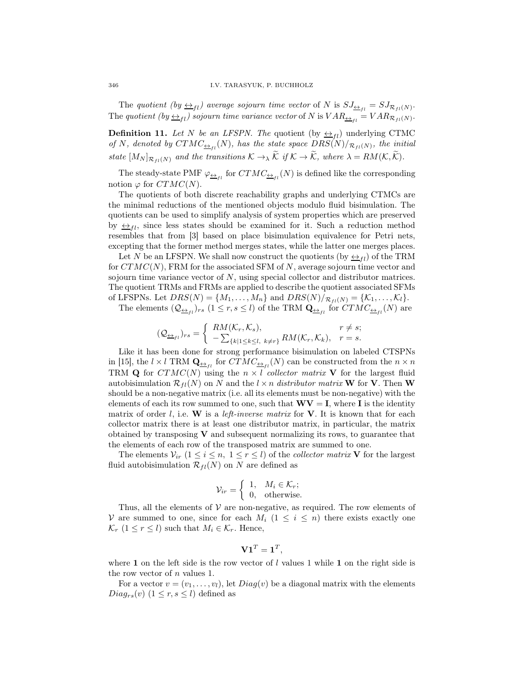The quotient  $(by \leftrightarrow_{fl})$  average sojourn time vector of N is  $SJ_{\leftrightarrow_{fl}} = SJ_{\mathcal{R}_{fl}(N)}$ . The quotient (by  $\Delta_{fl}$ ) sojourn time variance vector of N is  $VAR_{\Delta_{fl}} = VAR_{\mathcal{R}_{fl}(N)}$ .

**Definition 11.** Let N be an LFSPN. The quotient (by  $\leftrightarrow$ <sub>fl</sub>) underlying CTMC of N, denoted by  $CTMC_{\frac{\leftarrow}{1}}(N)$ , has the state space  $DRS(N)/_{\mathcal{R}_{fl}(N)}$ , the initial state  $[M_N]_{\mathcal{R}_{fl}(N)}$  and the transitions  $\mathcal{K} \to \tilde{\mathcal{K}}$  if  $\mathcal{K} \to \tilde{\mathcal{K}}$ , where  $\lambda = RM(\mathcal{K}, \tilde{\mathcal{K}})$ .

The steady-state PMF  $\varphi_{\underline{\leftrightarrow}_{fl}}$  for  $CTMC_{\underline{\leftrightarrow}_{fl}}(N)$  is defined like the corresponding notion  $\varphi$  for  $CTMC(N)$ .

The quotients of both discrete reachability graphs and underlying CTMCs are the minimal reductions of the mentioned objects modulo fluid bisimulation. The quotients can be used to simplify analysis of system properties which are preserved by  $\leftrightarrow$ <sub>fl</sub>, since less states should be examined for it. Such a reduction method resembles that from [3] based on place bisimulation equivalence for Petri nets, excepting that the former method merges states, while the latter one merges places.

Let N be an LFSPN. We shall now construct the quotients (by  $\leftrightarrow_{fl}$ ) of the TRM for  $CTMC(N)$ , FRM for the associated SFM of N, average sojourn time vector and sojourn time variance vector of N, using special collector and distributor matrices. The quotient TRMs and FRMs are applied to describe the quotient associated SFMs of LFSPNs. Let  $DRS(N) = \{M_1, \ldots, M_n\}$  and  $DRS(N)/R_{fl}(N) = \{K_1, \ldots, K_l\}.$ 

The elements  $(Q_{\underline{\leftrightarrow}_{fl}})_{rs}$   $(1 \leq r, s \leq l)$  of the TRM  $\mathbf{Q}_{\underline{\leftrightarrow}_{fl}}$  for  $CTMC_{\underline{\leftrightarrow}_{fl}}(N)$  are

$$
(\mathcal{Q}_{\underline{\leftrightarrow}_{fl}})_{rs} = \begin{cases} RM(\mathcal{K}_r, \mathcal{K}_s), & r \neq s; \\ -\sum_{\{k|1 \leq k \leq l, \ k \neq r\}} RM(\mathcal{K}_r, \mathcal{K}_k), & r = s. \end{cases}
$$

Like it has been done for strong performance bisimulation on labeled CTSPNs in [15], the  $l \times l$  TRM  $\mathbf{Q}_{\underline{\leftrightarrow}_{fl}}$  for  $CTMC_{\underline{\leftrightarrow}_{fl}}(N)$  can be constructed from the  $n \times n$ TRM Q for  $CTMC(N)$  using the  $n \times l$  collector matrix V for the largest fluid autobisimulation  $\mathcal{R}_{fl}(N)$  on N and the  $l \times n$  distributor matrix **W** for **V**. Then **W** should be a non-negative matrix (i.e. all its elements must be non-negative) with the elements of each its row summed to one, such that  $\mathbf{W}\mathbf{V} = \mathbf{I}$ , where I is the identity matrix of order l, i.e.  $W$  is a *left-inverse matrix* for  $V$ . It is known that for each collector matrix there is at least one distributor matrix, in particular, the matrix obtained by transposing V and subsequent normalizing its rows, to guarantee that the elements of each row of the transposed matrix are summed to one.

The elements  $V_{ir}$   $(1 \leq i \leq n, 1 \leq r \leq l)$  of the *collector matrix* V for the largest fluid autobisimulation  $\mathcal{R}_{fl}(N)$  on N are defined as

$$
\mathcal{V}_{ir} = \begin{cases} 1, & M_i \in \mathcal{K}_r; \\ 0, & \text{otherwise.} \end{cases}
$$

Thus, all the elements of  $V$  are non-negative, as required. The row elements of V are summed to one, since for each  $M_i$  ( $1 \leq i \leq n$ ) there exists exactly one  $\mathcal{K}_r$   $(1 \leq r \leq l)$  such that  $M_i \in \mathcal{K}_r$ . Hence,

$$
\mathbf{V1}^T=\mathbf{1}^T,
$$

where 1 on the left side is the row vector of  $l$  values 1 while 1 on the right side is the row vector of  $n$  values 1.

For a vector  $v = (v_1, \ldots, v_l)$ , let  $Diag(v)$  be a diagonal matrix with the elements  $Diag_{rs}(v)$   $(1 \leq r, s \leq l)$  defined as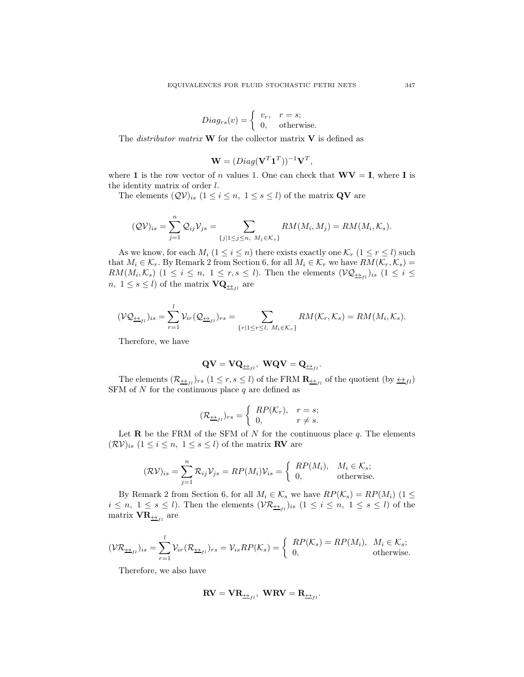$$
Diag_{rs}(v) = \begin{cases} v_r, & r = s; \\ 0, & \text{otherwise.} \end{cases}
$$

The *distributor matrix* **W** for the collector matrix **V** is defined as

$$
\mathbf{W} = (Diag(\mathbf{V}^T \mathbf{1}^T))^{-1} \mathbf{V}^T,
$$

where 1 is the row vector of n values 1. One can check that  $\mathbf{W}\mathbf{V} = \mathbf{I}$ , where I is the identity matrix of order  $l$ .

The elements  $(QV)_{is}$   $(1 \leq i \leq n, 1 \leq s \leq l)$  of the matrix **QV** are

$$
(\mathcal{QV})_{is} = \sum_{j=1}^{n} \mathcal{Q}_{ij} \mathcal{V}_{js} = \sum_{\{j|1 \leq j \leq n, M_j \in \mathcal{K}_s\}} RM(M_i, M_j) = RM(M_i, \mathcal{K}_s).
$$

As we know, for each  $M_i$   $(1 \leq i \leq n)$  there exists exactly one  $\mathcal{K}_r$   $(1 \leq r \leq l)$  such that  $M_i \in \mathcal{K}_r$ . By Remark 2 from Section 6, for all  $M_i \in \mathcal{K}_r$  we have  $RM(\mathcal{K}_r, \mathcal{K}_s)$  =  $RM(M_i,\mathcal{K}_s)$  (1  $\leq i \leq n, 1 \leq r,s \leq l$ ). Then the elements  $(\mathcal{VQ}_{\underline{\leftrightarrow}_{fl}})_{is}$  (1  $\leq i \leq$  $n, 1 \leq s \leq l$ ) of the matrix  $\mathbf{VQ}_{\underline{\leftrightarrow}_{fl}}$  are

$$
(\mathcal{VQ}_{\underline{\leftrightarrow}_{fl}})_{is} = \sum_{r=1}^l \mathcal{V}_{ir}(\mathcal{Q}_{\underline{\leftrightarrow}_{fl}})_{rs} = \sum_{\{r|1 \leq r \leq l, M_i \in \mathcal{K}_r\}} RM(\mathcal{K}_r, \mathcal{K}_s) = RM(M_i, \mathcal{K}_s).
$$

Therefore, we have

$$
\mathbf{Q}\mathbf{V} = \mathbf{V}\mathbf{Q}_{\underline{\leftrightarrow}_{fl}}, \ \mathbf{W}\mathbf{Q}\mathbf{V} = \mathbf{Q}_{\underline{\leftrightarrow}_{fl}}.
$$

The elements  $(\mathcal{R}_{\frac{\leftrightarrow}{f}})_r$ ,  $(1 \leq r, s \leq l)$  of the FRM  $\mathbf{R}_{\frac{\leftrightarrow}{f}}$  of the quotient  $(\text{by } \frac{\leftrightarrow}{f}l)$ SFM of  $N$  for the continuous place  $q$  are defined as

$$
(\mathcal{R}_{\underline{\leftrightarrow}_{fl}})_{rs} = \begin{cases} RP(\mathcal{K}_r), & r = s; \\ 0, & r \neq s. \end{cases}
$$

Let  $\bf{R}$  be the FRM of the SFM of N for the continuous place q. The elements  $(\mathcal{RV})_{is}$   $(1 \leq i \leq n, 1 \leq s \leq l)$  of the matrix **RV** are

$$
(\mathcal{RV})_{is} = \sum_{j=1}^{n} \mathcal{R}_{ij} \mathcal{V}_{js} = RP(M_i)\mathcal{V}_{is} = \begin{cases} RP(M_i), & M_i \in \mathcal{K}_s; \\ 0, & \text{otherwise.} \end{cases}
$$

By Remark 2 from Section 6, for all  $M_i \in \mathcal{K}_s$  we have  $RP(\mathcal{K}_s) = RP(M_i)$  (1  $\leq$  $i \leq n, \ 1 \leq s \leq l$ ). Then the elements  $(\mathcal{VR}_{\underline{\leftrightarrow}_{fl}})_{is} \ (1 \leq i \leq n, \ 1 \leq s \leq l)$  of the matrix  $\text{VR}_{\underline{\leftrightarrow}_{fl}}$  are

$$
(\mathcal{VR}_{\underline{\leftrightarrow}_{fl}})_{is} = \sum_{r=1}^{l} \mathcal{V}_{ir}(\mathcal{R}_{\underline{\leftrightarrow}_{fl}})_{rs} = \mathcal{V}_{is}RP(\mathcal{K}_s) = \begin{cases} RP(\mathcal{K}_s) = RP(M_i), & M_i \in \mathcal{K}_s; \\ 0, & \text{otherwise.} \end{cases}
$$

Therefore, we also have

$$
\mathbf{RV} = \mathbf{VR}_{\underleftarrow{\leftrightarrow}_{fl}}, \ \mathbf{WRV} = \mathbf{R}_{\underleftarrow{\leftrightarrow}_{fl}}.
$$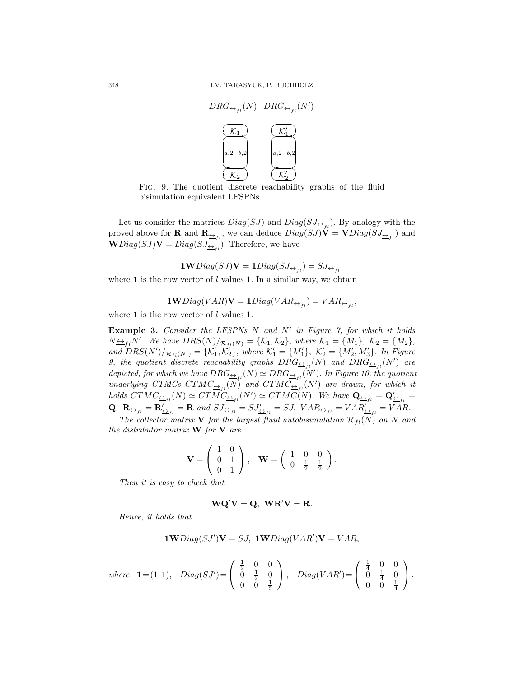

FIG. 9. The quotient discrete reachability graphs of the fluid bisimulation equivalent LFSPNs

Let us consider the matrices  $Diag(SJ)$  and  $Diag(SJ_{\underline{\leftrightarrow}_{fl}})$ . By analogy with the proved above for **R** and  $\mathbf{R}_{\underline{\leftrightarrow}_{fl}}$ , we can deduce  $Diag(SJ)\mathbf{V} = \mathbf{V}Diag(SJ_{\underline{\leftrightarrow}_{fl}})$  and  $\mathbf{W}Diag(SJ)\mathbf{V}=Diag(SJ_{\frac{\leftrightarrow}{1}})$ . Therefore, we have

 $\textbf{1W}Diag(SJ)\textbf{V}=\textbf{1}Diag(SJ_{\underleftarrow{\Delta}_{fl}})=SJ_{\underleftarrow{\Delta}_{fl}},$ 

where 1 is the row vector of  $l$  values 1. In a similar way, we obtain

$$
1 \mathbf{W} Diag(VAR)\mathbf{V} = 1 Diag(VAR_{\frac{\leftrightarrow}{1}}) = VAR_{\frac{\leftrightarrow}{1}}.
$$

where  $1$  is the row vector of  $l$  values 1.

**Example 3.** Consider the LFSPNs  $N$  and  $N'$  in Figure 7, for which it holds  $N \underline{\leftrightarrow}_{fl} N'$ . We have  $DRS(N)/_{\mathcal{R}_{fl}(N)} = {\mathcal{K}_1, \mathcal{K}_2}$ , where  $\mathcal{K}_1 = \{M_1\}, \ \mathcal{K}_2 = \{M_2\},\$ and  $DRS(N')/_{\mathcal{R}_{fl}(N')} = \{\mathcal{K}'_1, \mathcal{K}'_2\}$ , where  $\mathcal{K}'_1 = \{M'_1\}$ ,  $\mathcal{K}'_2 = \{M'_2, M'_3\}$ . In Figure 9, the quotient discrete reachability graphs  $DRG_{\underline{\leftrightarrow}_{fl}}(N)$  and  $DRG_{\underline{\leftrightarrow}_{fl}}(N')$  are depicted, for which we have  $DRG_{\underline{\leftrightarrow}_{fl}}(N) \simeq DRG_{\underline{\leftrightarrow}_{fl}}(N')$ . In Figure 10, the quotient underlying CTMCs  $CTMC_{\frac{\leftrightarrow}{1}}(N)$  and  $CTMC_{\frac{\leftrightarrow}{1}}(N')$  are drawn, for which it holds  $CTMC_{\underline{\leftrightarrow}_{fl}}(N) \simeq CTMC_{\underline{\leftrightarrow}_{fl}}(N') \simeq CTMC(N)$ . We have  $\mathbf{Q}_{\underline{\leftrightarrow}_{fl}} = \mathbf{Q}'_{\underline{\leftrightarrow}_{fl}} =$  $\mathbf{Q}, \ \mathbf{R}_{\underline{\leftrightarrow}_{fl}} = \mathbf{R}'_{\underline{\leftrightarrow}_{fl}} = \mathbf{R} \ and \ SJ_{\underline{\leftrightarrow}_{fl}} = SJ'_{\underline{\leftrightarrow}_{fl}} = SJ, \ VAR_{\underline{\leftrightarrow}_{fl}} = VAR'_{\underline{\leftrightarrow}_{fl}} = VAR.$ 

The collector matrix **V** for the largest fluid autobisimulation  $\mathcal{R}_{fl}(N)$  on N and the distributor matrix  $\bf{W}$  for  $\bf{V}$  are

$$
\mathbf{V} = \left( \begin{array}{cc} 1 & 0 \\ 0 & 1 \\ 0 & 1 \end{array} \right), \quad \mathbf{W} = \left( \begin{array}{cc} 1 & 0 & 0 \\ 0 & \frac{1}{2} & \frac{1}{2} \end{array} \right).
$$

Then it is easy to check that

$$
WQ'V = Q, \quad WR'V = R.
$$

Hence, it holds that

$$
1 \mathbf{W} Diag(SJ')\mathbf{V} = SJ, \ \mathbf{1W} Diag(VAR')\mathbf{V} = VAR,
$$

where 
$$
\mathbf{1} = (1, 1), \quad Diag(SJ') = \begin{pmatrix} \frac{1}{2} & 0 & 0 \\ 0 & \frac{1}{2} & 0 \\ 0 & 0 & \frac{1}{2} \end{pmatrix}, \quad Diag(VAR') = \begin{pmatrix} \frac{1}{4} & 0 & 0 \\ 0 & \frac{1}{4} & 0 \\ 0 & 0 & \frac{1}{4} \end{pmatrix}.
$$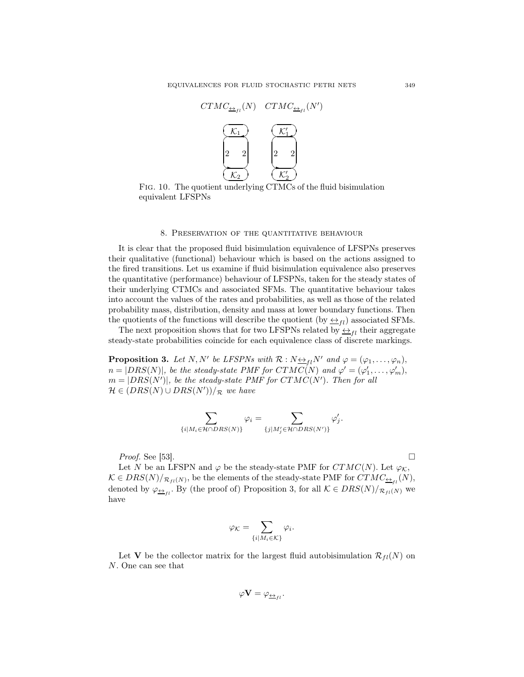

FIG. 10. The quotient underlying CTMCs of the fluid bisimulation equivalent LFSPNs

#### 8. Preservation of the quantitative behaviour

It is clear that the proposed fluid bisimulation equivalence of LFSPNs preserves their qualitative (functional) behaviour which is based on the actions assigned to the fired transitions. Let us examine if fluid bisimulation equivalence also preserves the quantitative (performance) behaviour of LFSPNs, taken for the steady states of their underlying CTMCs and associated SFMs. The quantitative behaviour takes into account the values of the rates and probabilities, as well as those of the related probability mass, distribution, density and mass at lower boundary functions. Then the quotients of the functions will describe the quotient (by  $\leftrightarrow$ <sub>fl</sub>) associated SFMs.

The next proposition shows that for two LFSPNs related by  $\leftrightarrow_{fl}$  their aggregate steady-state probabilities coincide for each equivalence class of discrete markings.

**Proposition 3.** Let N, N' be LFSPNs with  $\mathcal{R}: N \rightarrow_{fl} N'$  and  $\varphi = (\varphi_1, \ldots, \varphi_n)$ ,  $n = |DRS(N)|$ , be the steady-state PMF for  $CTMC(N)$  and  $\varphi' = (\varphi'_1, \ldots, \varphi'_m)$ ,  $m = |DRS(N')|$ , be the steady-state PMF for  $CTMC(N')$ . Then for all  $\mathcal{H} \in (DRS(N) \cup DRS(N'))/\pi$  we have

$$
\sum_{\{i \mid M_i \in \mathcal{H} \cap DRS(N)\}} \varphi_i = \sum_{\{j \mid M'_j \in \mathcal{H} \cap DRS(N')\}} \varphi'_j.
$$

*Proof.* See [53].

Let N be an LFSPN and  $\varphi$  be the steady-state PMF for  $CTMC(N)$ . Let  $\varphi_K$ ,  $\mathcal{K} \in DRS(N)/_{\mathcal{R}_{fl}(N)},$  be the elements of the steady-state PMF for  $CTMC_{\frac{\leftarrow}{1},l}(N),$ denoted by  $\varphi_{\underline{\leftrightarrow}_{fl}}$ . By (the proof of) Proposition 3, for all  $\mathcal{K} \in DRS(N)/_{\mathcal{R}_{fl}(N)}$  we have

$$
\varphi_{\mathcal{K}} = \sum_{\{i \mid M_i \in \mathcal{K}\}} \varphi_i.
$$

Let V be the collector matrix for the largest fluid autobisimulation  $\mathcal{R}_{fl}(N)$  on N. One can see that

$$
\varphi \mathbf{V} = \varphi_{\underline{\leftrightarrow}_{fl}}.
$$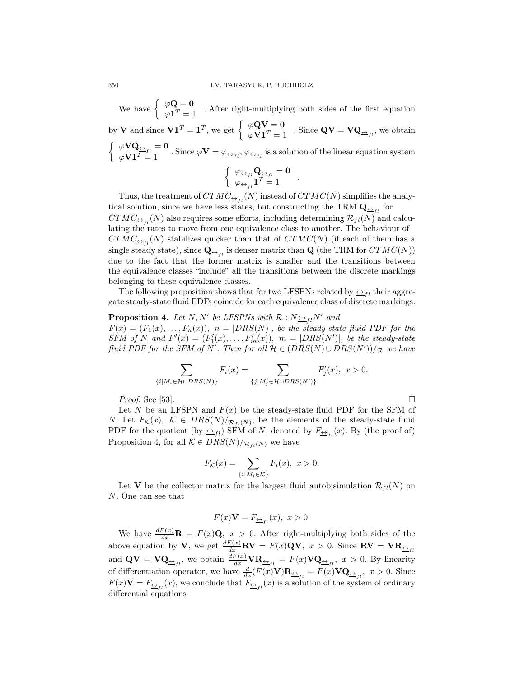We have  $\begin{cases} \varphi \mathbf{Q} = \mathbf{0} \\ \varphi \mathbf{1}^T \end{cases}$  $\varphi \bullet \varphi$  -  $\varphi$  . After right-multiplying both sides of the first equation by **V** and since  $V1^T = 1^T$ , we get  $\begin{cases} \varphi QV = 0 \\ \varphi V1^T = 1 \end{cases}$ . Since  $QV = VQ_{\underline{\leftrightarrow}_{f_l}}$ , we obtain  $\begin{cases} \n\varphi \mathbf{V} \mathbf{Q}_{\leftrightarrow} \\
\varphi \mathbf{V} \mathbf{1}^T = 1 \n\end{cases}$ . Since  $\varphi \mathbf{V} = \varphi_{\leftrightarrow}$ ,  $\varphi_{\leftrightarrow}$ , is a solution of the linear equation system  $\int \varphi_{\underline{\leftrightarrow}_{fl}} \mathbf{Q}_{\underline{\leftrightarrow}_{fl}} = 0$  $\varphi_{\frac{\leftrightarrow}{f}l}$   $\mathbf{1}^T = 1$  .

Thus, the treatment of  $CTMC_{\frac{\leftarrow}{1}}$  (N) instead of  $CTMC(N)$  simplifies the analytical solution, since we have less states, but constructing the TRM  $\mathbf{Q}_{\underline{\leftrightarrow}_{fl}}$  for  $CTMC_{\frac{\leftarrow}{1}}(N)$  also requires some efforts, including determining  $\mathcal{R}_{fl}(N)$  and calculating the rates to move from one equivalence class to another. The behaviour of  $CTMC_{\underline{\leftrightarrow}_{fl}}(N)$  stabilizes quicker than that of  $CTMC(N)$  (if each of them has a single steady state), since  $\mathbf{Q}_{\underline{\leftrightarrow}_{fl}}$  is denser matrix than  $\mathbf{Q}$  (the TRM for  $CTMC(N))$ due to the fact that the former matrix is smaller and the transitions between the equivalence classes "include" all the transitions between the discrete markings belonging to these equivalence classes.

The following proposition shows that for two LFSPNs related by  $\leftrightarrow$ <sub>*tl*</sub> their aggregate steady-state fluid PDFs coincide for each equivalence class of discrete markings.

**Proposition 4.** Let N, N' be LFSPNs with  $\mathcal{R}: N \rightarrow L_{fl}N'$  and  $F(x) = (F_1(x), \ldots, F_n(x)), n = |DRS(N)|$ , be the steady-state fluid PDF for the  $SFM$  of N and  $F'(x) = (F'_1(x), \ldots, F'_m(x)), m = |DRS(N')|$ , be the steady-state fluid PDF for the SFM of N'. Then for all  $\mathcal{H} \in (DRS(N) \cup DRS(N'))/\mathcal{R}$  we have

$$
\sum_{\{i|M_i\in\mathcal{H}\cap DRS(N)\}} F_i(x) = \sum_{\{j|M'_j\in\mathcal{H}\cap DRS(N')\}} F'_j(x), \ x > 0.
$$

*Proof.* See [53].

Let N be an LFSPN and  $F(x)$  be the steady-state fluid PDF for the SFM of N. Let  $F_{\mathcal{K}}(x)$ ,  $\mathcal{K} \in \text{DRS}(N)/_{\mathcal{R}_{fl}(N)}$ , be the elements of the steady-state fluid PDF for the quotient (by  $\leftrightarrow_{fl}$ ) SFM of N, denoted by  $F_{\leftrightarrow_{fl}}(x)$ . By (the proof of) Proposition 4, for all  $\mathcal{K} \in DRS(N)/_{\mathcal{R}_{fl}(N)}$  we have

$$
F_{\mathcal{K}}(x) = \sum_{\{i \mid M_i \in \mathcal{K}\}} F_i(x), \ x > 0.
$$

Let V be the collector matrix for the largest fluid autobisimulation  $\mathcal{R}_{fl}(N)$  on N. One can see that

$$
F(x)\mathbf{V} = F_{\underline{\leftrightarrow}_{fl}}(x), \ x > 0.
$$

We have  $\frac{dF(x)}{dx}$ **R** =  $F(x)$ **Q**,  $x > 0$ . After right-multiplying both sides of the above equation by V, we get  $\frac{dF(x)}{dx}$ **RV** =  $F(x)$ **QV**,  $x > 0$ . Since **RV** =  $VR_{\underline{\leftrightarrow}_{fl}}$ and  $\mathbf{Q}\mathbf{V} = \mathbf{V}\mathbf{Q}_{\underline{\leftrightarrow}_{fl}}$ , we obtain  $\frac{dF(x)}{dx}\mathbf{VR}_{\underline{\leftrightarrow}_{fl}} = F(x)\mathbf{V}\mathbf{Q}_{\underline{\leftrightarrow}_{fl}}, x > 0$ . By linearity of differentiation operator, we have  $\frac{d}{dx}(F(x)V)\mathbf{R}_{\frac{\leftarrow}{\pm}I} = F(x)V\mathbf{Q}_{\frac{\leftarrow}{\pm}I}$ ,  $x > 0$ . Since  $F(x)\mathbf{V} = F_{\frac{\epsilon}{2}f_l}(x)$ , we conclude that  $F_{\frac{\epsilon}{2}f_l}(x)$  is a solution of the system of ordinary differential equations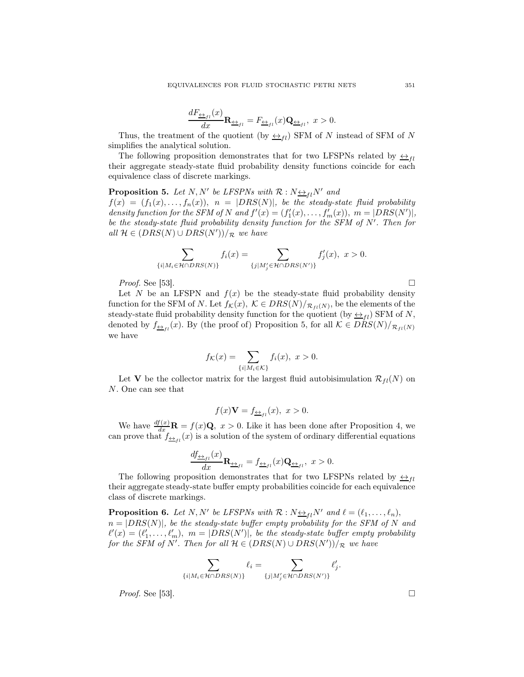$$
\frac{dF_{\underline{\leftrightarrow}_{fl}}(x)}{dx}\mathbf{R}_{\underline{\leftrightarrow}_{fl}} = F_{\underline{\leftrightarrow}_{fl}}(x)\mathbf{Q}_{\underline{\leftrightarrow}_{fl}}, \ x > 0.
$$

Thus, the treatment of the quotient (by  $\leftrightarrow_{fl}$ ) SFM of N instead of SFM of N simplifies the analytical solution.

The following proposition demonstrates that for two LFSPNs related by  $\leftrightarrow_{\text{fl}}$ their aggregate steady-state fluid probability density functions coincide for each equivalence class of discrete markings.

**Proposition 5.** Let N, N' be LFSPNs with  $\mathcal{R}: N \rightarrow L_{fl}N'$  and

 $f(x) = (f_1(x), \ldots, f_n(x)), \ \ n = |DRS(N)|$ , be the steady-state fluid probability density function for the SFM of N and  $f'(x) = (f'_1(x), \ldots, f'_m(x)), m = |DRS(N')|,$ be the steady-state fluid probability density function for the SFM of  $N'$ . Then for all  $H \in (DRS(N) \cup DRS(N'))/R$  we have

$$
\sum_{\{i|M_i\in\mathcal{H}\cap DRS(N)\}} f_i(x) = \sum_{\{j|M'_j\in\mathcal{H}\cap DRS(N')\}} f'_j(x), \ x > 0.
$$

*Proof.* See [53].

Let N be an LFSPN and  $f(x)$  be the steady-state fluid probability density function for the SFM of N. Let  $f_{\mathcal{K}}(x)$ ,  $\mathcal{K} \in DRS(N)/_{\mathcal{R}_{fl}(N)}$ , be the elements of the steady-state fluid probability density function for the quotient (by  $\leftrightarrow_{fl}$ ) SFM of N, denoted by  $f_{\frac{\leftrightarrow}{f}}(x)$ . By (the proof of) Proposition 5, for all  $\mathcal{K} \in DRS(N)/_{\mathcal{R}_{fl}(N)}$ we have

$$
f_{\mathcal{K}}(x) = \sum_{\{i \mid M_i \in \mathcal{K}\}} f_i(x), \ x > 0.
$$

Let V be the collector matrix for the largest fluid autobisimulation  $\mathcal{R}_{fl}(N)$  on N. One can see that

$$
f(x)\mathbf{V} = f_{\frac{\leftrightarrow}{\rightarrow}t}(x), \ x > 0.
$$

We have  $\frac{df(x)}{dx}$ **R** =  $f(x)$ **Q**,  $x > 0$ . Like it has been done after Proposition 4, we can prove that  $f_{\frac{\leftarrow}{i}}(x)$  is a solution of the system of ordinary differential equations

$$
\frac{df_{\underline{\leftrightarrow}_{fl}}(x)}{dx}\mathbf{R}_{\underline{\leftrightarrow}_{fl}} = f_{\underline{\leftrightarrow}_{fl}}(x)\mathbf{Q}_{\underline{\leftrightarrow}_{fl}}, \ x > 0.
$$

The following proposition demonstrates that for two LFSPNs related by  $\leftrightarrow$ <sub>fl</sub> their aggregate steady-state buffer empty probabilities coincide for each equivalence class of discrete markings.

**Proposition 6.** Let N, N' be LFSPNs with  $\mathcal{R}: N \rightarrow_{fl} N'$  and  $\ell = (\ell_1, \ldots, \ell_n)$ ,  $n = |DRS(N)|$ , be the steady-state buffer empty probability for the SFM of N and  $\ell'(x) = (\ell'_1, \ldots, \ell'_m), \ m = |DRS(N')|, \ be \ the \ steady-state \ buffer \ empty \ probability$ for the SFM of N'. Then for all  $\mathcal{H} \in (DRS(N) \cup DRS(N'))/\mathcal{R}$  we have

$$
\sum_{\{i \mid M_i \in \mathcal{H} \cap DRS(N)\}} \ell_i = \sum_{\{j \mid M'_j \in \mathcal{H} \cap DRS(N')\}} \ell'_j.
$$

*Proof.* See [53].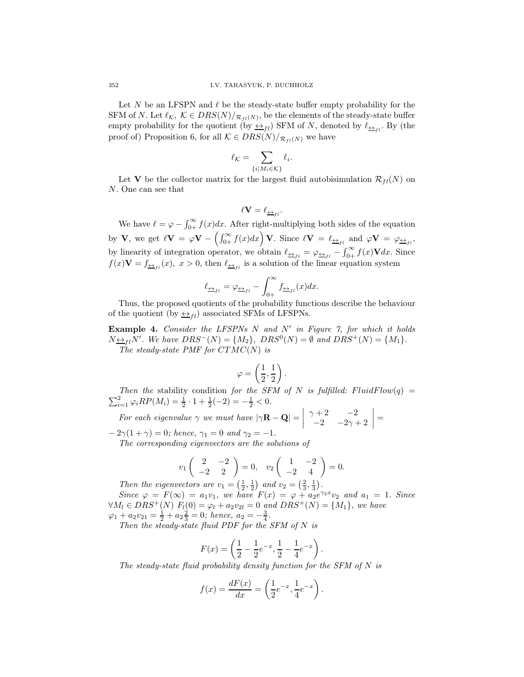Let N be an LFSPN and  $\ell$  be the steady-state buffer empty probability for the SFM of N. Let  $\ell_{\mathcal{K}}$ ,  $\mathcal{K} \in DRS(N)/_{\mathcal{R}_{f^l}(N)}$ , be the elements of the steady-state buffer empty probability for the quotient (by  $\leftrightarrow_{fl}$ ) SFM of N, denoted by  $\ell_{\leftrightarrow_{fl}}$ . By (the proof of) Proposition 6, for all  $\mathcal{K} \in DRS(N)/_{\mathcal{R}_{fl}(N)}$  we have

$$
\ell_{\mathcal{K}} = \sum_{\{i \mid M_i \in \mathcal{K}\}} \ell_i.
$$

Let V be the collector matrix for the largest fluid autobisimulation  $\mathcal{R}_{fl}(N)$  on N. One can see that

$$
\ell \mathbf{V} = \ell_{\underline{\leftrightarrow}_{fl}}
$$

.

We have  $\ell = \varphi - \int_{0+}^{\infty} f(x) dx$ . After right-multiplying both sides of the equation by **V**, we get  $\ell \mathbf{V} = \varphi \mathbf{V} - \left( \int_{0+}^{\infty} f(x) dx \right) \mathbf{V}$ . Since  $\ell \mathbf{V} = \ell_{\underline{\leftrightarrow}_{fl}}$  and  $\varphi \mathbf{V} = \varphi_{\underline{\leftrightarrow}_{fl}}$ , by linearity of integration operator, we obtain  $\ell_{\pm f} = \varphi_{\pm f} - \int_{0+}^{\infty} f(x) \mathbf{V} dx$ . Since  $f(x)\mathbf{V} = f_{\frac{\boldsymbol{\leftrightarrow}}{f}(t)}(x), x > 0$ , then  $\ell_{\frac{\boldsymbol{\leftrightarrow}}{f}(t)}$  is a solution of the linear equation system

$$
\ell_{\underline{\leftrightarrow}_{fl}} = \varphi_{\underline{\leftrightarrow}_{fl}} - \int_{0+}^{\infty} f_{\underline{\leftrightarrow}_{fl}}(x) dx.
$$

Thus, the proposed quotients of the probability functions describe the behaviour of the quotient (by  $\leftrightarrow_{fl}$ ) associated SFMs of LFSPNs.

**Example 4.** Consider the LFSPNs  $N$  and  $N'$  in Figure 7, for which it holds  $N \underline{\leftrightarrow}_{fl} N'$ . We have  $DRS^{-}(N) = \{M_2\}$ ,  $DRS^{0}(N) = \emptyset$  and  $DRS^{+}(N) = \{M_1\}$ . The steady-state PMF for  $CTMC(N)$  is

$$
\varphi=\left(\frac{1}{2},\frac{1}{2}\right)
$$

.

Then the stability condition for the SFM of N is fulfilled:  $FluidFlow(q) =$  $\sum_{i=1}^{2} \varphi_i RP(M_i) = \frac{1}{2} \cdot 1 + \frac{1}{2}(-2) = -\frac{1}{2} < 0.$ 

For each eigenvalue  $\gamma$  we must have  $|\gamma \mathbf{R} - \mathbf{Q}| =$   $\gamma + 2$  -2  $-2$   $-2\gamma + 2$  $\vert$  =

 $-2\gamma(1+\gamma) = 0$ ; hence,  $\gamma_1 = 0$  and  $\gamma_2 = -1$ . The corresponding eigenvectors are the solutions of

$$
v_1\begin{pmatrix} 2 & -2 \ -2 & 2 \end{pmatrix} = 0, \quad v_2\begin{pmatrix} 1 & -2 \ -2 & 4 \end{pmatrix} = 0.
$$

Then the eigenvectors are  $v_1 = \left(\frac{1}{2}, \frac{1}{2}\right)$  and  $v_2 = \left(\frac{2}{3}, \frac{1}{3}\right)$ .

Since  $\varphi = F(\infty) = a_1v_1$ , we have  $F(x) = \varphi + a_2e^{\gamma_2x}v_2$  and  $a_1 = 1$ . Since  $\forall M_l \in DRS^+(N) \ F_l(0) = \varphi_l + a_2v_{2l} = 0 \ and \ DRS^+(N) = \{M_1\}, \ we \ have$  $\varphi_1 + a_2 v_{21} = \frac{1}{2} + a_2 \frac{2}{3} = 0$ ; hence,  $a_2 = -\frac{3}{4}$ .

Then the steady-state fluid PDF for the SFM of  $N$  is

$$
F(x) = \left(\frac{1}{2} - \frac{1}{2}e^{-x}, \frac{1}{2} - \frac{1}{4}e^{-x}\right).
$$

The steady-state fluid probability density function for the SFM of N is

$$
f(x) = \frac{dF(x)}{dx} = \left(\frac{1}{2}e^{-x}, \frac{1}{4}e^{-x}\right).
$$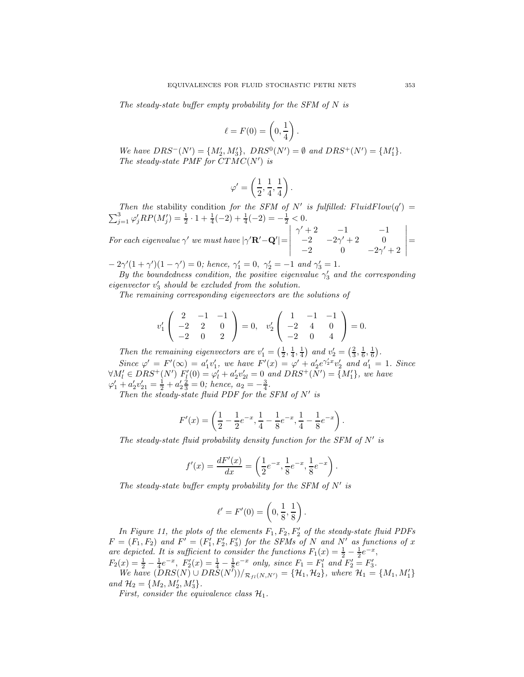The steady-state buffer empty probability for the SFM of N is

$$
\ell = F(0) = \left(0, \frac{1}{4}\right).
$$

We have  $DRS^{-}(N') = \{M'_{2}, M'_{3}\}, \ DRS^{0}(N') = \emptyset \text{ and } DRS^{+}(N') = \{M'_{1}\}.$ The steady-state PMF for  $CTMC(N')$  is

$$
\varphi'=\left(\frac{1}{2},\frac{1}{4},\frac{1}{4}\right).
$$

Then the stability condition for the SFM of N' is fulfilled:  $FluidFlow(q') =$  $\sum_{j=1}^{3} \varphi'_j RP(M'_j) = \frac{1}{2} \cdot 1 + \frac{1}{4}(-2) + \frac{1}{4}(-2) = -\frac{1}{2} < 0.$ 

For each eigenvalue  $\gamma'$  we must have  $|\gamma' {\bf R}' - {\bf Q}'|$  =  $\begin{array}{c} \begin{array}{c} \begin{array}{c} \begin{array}{c} \end{array} \\ \end{array} \end{array} \end{array}$  $\gamma' + 2$   $-1$   $-1$  $-2$   $-2\gamma' + 2$  0  $-2$  0  $-2\gamma' + 2$  $\begin{array}{c} \begin{array}{c} \begin{array}{c} \begin{array}{c} \end{array} \\ \end{array} \end{array} \end{array}$ =

 $-2\gamma'(1+\gamma')(1-\gamma')=0$ ; hence,  $\gamma'_1=0$ ,  $\gamma'_2=-1$  and  $\gamma'_3=1$ .

By the boundedness condition, the positive eigenvalue  $\gamma'_3$  and the corresponding eigenvector  $v'_3$  should be excluded from the solution.

The remaining corresponding eigenvectors are the solutions of

$$
v_1'\begin{pmatrix} 2 & -1 & -1 \\ -2 & 2 & 0 \\ -2 & 0 & 2 \end{pmatrix} = 0, \quad v_2'\begin{pmatrix} 1 & -1 & -1 \\ -2 & 4 & 0 \\ -2 & 0 & 4 \end{pmatrix} = 0.
$$

Then the remaining eigenvectors are  $v'_1 = \left(\frac{1}{2}, \frac{1}{4}, \frac{1}{4}\right)$  and  $v'_2 = \left(\frac{2}{3}, \frac{1}{6}, \frac{1}{6}\right)$ . Since  $\varphi' = F'(\infty) = a'_1v'_1$ , we have  $F'(x) = \varphi' + a'_2e^{\gamma'_2x}v'_2$  and  $a'_1 = 1$ . Since  $\forall M'_{l} \in DRS^{+}(N')$   $F'_{l}(0) = \varphi'_{l} + a'_{2}v'_{2l} = 0$  and  $DRS^{+}(N') = \{M'_{1}\},$  we have  $\varphi'_1 + a'_2 v'_{21} = \frac{1}{2} + a'_2 \frac{2}{3} = 0$ ; hence,  $a_2 = -\frac{3}{4}$ .

Then the steady-state fluid PDF for the SFM of  $N'$  is

$$
F'(x) = \left(\frac{1}{2} - \frac{1}{2}e^{-x}, \frac{1}{4} - \frac{1}{8}e^{-x}, \frac{1}{4} - \frac{1}{8}e^{-x}\right).
$$

The steady-state fluid probability density function for the SFM of  $N'$  is

$$
f'(x) = \frac{dF'(x)}{dx} = \left(\frac{1}{2}e^{-x}, \frac{1}{8}e^{-x}, \frac{1}{8}e^{-x}\right).
$$

The steady-state buffer empty probability for the SFM of  $N'$  is

$$
\ell' = F'(0) = \left(0, \frac{1}{8}, \frac{1}{8}\right).
$$

In Figure 11, the plots of the elements  $F_1, F_2, F'_2$  of the steady-state fluid PDFs  $F = (F_1, F_2)$  and  $F' = (F_1', F_2', F_3')$  for the SFMs of N and N' as functions of x are depicted. It is sufficient to consider the functions  $F_1(x) = \frac{1}{2} - \frac{1}{2}e^{-x}$ ,  $F_2(x) = \frac{1}{2} - \frac{1}{4}e^{-x}$ ,  $F'_2(x) = \frac{1}{4} - \frac{1}{8}e^{-x}$  only, since  $F_1 = F'_1$  and  $F'_2 = F'_3$ .

We have  $(DRS(N) \cup DRS(N'))/_{\mathcal{R}_{fl}(N,N')} = {\mathcal{H}_1, \mathcal{H}_2},$  where  $\mathcal{H}_1 = {M_1, M'_1}$ and  $\mathcal{H}_2 = \{M_2, M'_2, M'_3\}.$ 

First, consider the equivalence class  $\mathcal{H}_1$ .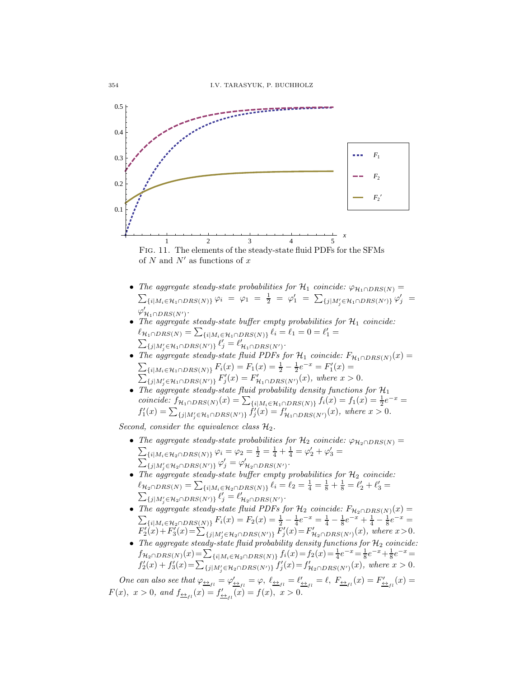

of  $N$  and  $N'$  as functions of  $x$ 

- The aggregate steady-state probabilities for  $\mathcal{H}_1$  coincide:  $\varphi_{\mathcal{H}_1 \cap DRS(N)} =$ <br>  $\sum_{\{i | M_i \in \mathcal{H}_1 \cap DRS(N)\}} \varphi_i = \varphi_1 = \frac{1}{2} = \varphi_1' = \sum_{\{j | M_j' \in \mathcal{H}_1 \cap DRS(N')\}} \varphi_j' =$  $\varphi'_{\mathcal{H}_1\cap DRS(N')}.$
- The aggregate steady-state buffer empty probabilities for  $\mathcal{H}_1$  coincide:  $\ell_{\mathcal{H}_1 \cap DRS(N)} = \sum_{\{i | M_i \in \mathcal{H}_1 \cap DRS(N)\}} \ell_i = \ell_1 = 0 = \ell'_1 = \sum_{\{i | M_i \in \mathcal{H}_1 \cap DRS(N)\}} \ell_i = \ell_1 = 0$  $\{j|M'_j \in \mathcal{H}_1 \cap DRS(N')\}$   $\ell'_j = \ell'_{\mathcal{H}_1 \cap DRS(N')}$ .
- The aggregate steady-state fluid PDFs for  $\mathcal{H}_1$  coincide:  $F_{\mathcal{H}_1 \cap DRS(N)}(x) =$  $\sum_{i} {\sum_{i} | N_i \in \mathcal{H}_1 \cap DRS(N)} F_i(x) = F_1(x) = \frac{1}{2} - \frac{1}{2} e^{-x} = F'_1(x) =$  $\sum_{j} \sum_{j} \sum_{j=1}^{N} F'_{j}(x) = F'_{\mathcal{H}_{1} \cap DRS(N')}(x)$ , where  $x > 0$ .
- The aggregate steady-state fluid probability density functions for  $\mathcal{H}_1$ coincide:  $f_{\mathcal{H}_1 \cap DRS(N)}(x) = \sum_{\{i | M_i \in \mathcal{H}_1 \cap DRS(N)\}} f_i(x) = f_1(x) = \frac{1}{2}e^{-x} =$  $f'_{1}(x) = \sum_{\{j | M'_{j} \in \mathcal{H}_{1} \cap DRS(N')\}} \dot{f}'_{j}(x) = f'_{\mathcal{H}_{1} \cap DRS(N')}(x)$ , where  $x > 0$ .

Second, consider the equivalence class  $\mathcal{H}_2$ .

- The aggregate steady-state probabilities for  $\mathcal{H}_2$  coincide:  $\varphi_{\mathcal{H}_2 \cap DRS(N)} =$  $\sum_{i} \sum_{i} |M_i \in \mathcal{H}_2 \cap DRS(N)\} \varphi_i = \varphi_2 = \frac{1}{2} = \frac{1}{4} + \frac{1}{4} = \varphi_2' + \varphi_3' = \sum_{i} |M_i \cap DRS(N)\rangle \varphi_i' = \varphi_3'$  $\{j|M'_{j} \in \mathcal{H}_{2} \cap DRS(N')\} \varphi'_{j} = \varphi'_{\mathcal{H}_{2} \cap DRS(N')}.$
- The aggregate steady-state buffer empty probabilities for  $\mathcal{H}_2$  coincide:  $\ell_{\mathcal{H}_2 \cap DRS(N)} = \sum_{\{i | M_i \in \mathcal{H}_2 \cap DRS(N)\}} \ell_i = \ell_2 = \frac{1}{4} = \frac{1}{8} + \frac{1}{8} = \ell'_2 + \ell'_3 = \sum_{i=1}^{8} \ell_i \sum_{j=1}^{10} \ell'_j = \ell'_4 = \sum_{i=1}^{10} \ell'_i = \ell'_4 = \sum_{i=1}^{10} \ell'_i = \ell'_4 = \ell'_5$  $\{j|M'_{j} \in \mathcal{H}_{2} \cap DRS(N')\}$   $\ell'_{j} = \ell'_{\mathcal{H}_{2} \cap DRS(N')}$ .
- The aggregate steady-state fluid PDFs for  $\mathcal{H}_2$  coincide:  $F_{\mathcal{H}_2 \cap DRS(N)}(x) =$  $\sum_{i} \{i | M_i \in \mathcal{H}_2 \cap DRS(N) \} F_i(x) = F_2(x) = \frac{1}{2} - \frac{1}{4}e^{-x} = \frac{1}{4} - \frac{1}{8}e^{-x} + \frac{1}{4} - \frac{1}{8}e^{-x} =$  $F_2'(x) + F_3'(x) = \sum_{\{j|M'_j \in \mathcal{H}_2 \cap DRS(N')\}} \bar{F}_j'(x) = F_{\mathcal{H}_2 \cap DRS(N')}(x)$ , where  $x > 0$ .
- The aggregate steady-state fluid probability density functions for  $\mathcal{H}_2$  coincide:  $f_{\mathcal{H}_2 \cap DRS(N)}(x) = \sum_{\{i | M_i \in \mathcal{H}_2 \cap DRS(N)\}} f_i(x) = f_2(x) = \frac{1}{4}e^{-x} = \frac{1}{8}e^{-x} + \frac{1}{8}e^{-x} =$  $f'_{2}(x) + f'_{3}(x) = \sum_{\{j|M'_{j} \in \mathcal{H}_{2} \cap DRS(N')\}} f'_{j}(x) = f'_{\mathcal{H}_{2} \cap DRS(N')}(x)$ , where  $x > 0$ .

One can also see that  $\varphi_{\underline{\leftrightarrow}_{fl}} = \varphi'_{\underline{\leftrightarrow}_{fl}} = \varphi$ ,  $\ell_{\underline{\leftrightarrow}_{fl}} = \ell'_{\underline{\leftrightarrow}_{fl}} = \ell$ ,  $F_{\underline{\leftrightarrow}_{fl}}(x) = F'_{\underline{\leftrightarrow}_{fl}}(x) =$  $F(x)$ ,  $x > 0$ , and  $f_{\frac{\leftrightarrow}{1}}(x) = f'_{\frac{\leftrightarrow}{1}}(x) = f(x)$ ,  $x > 0$ .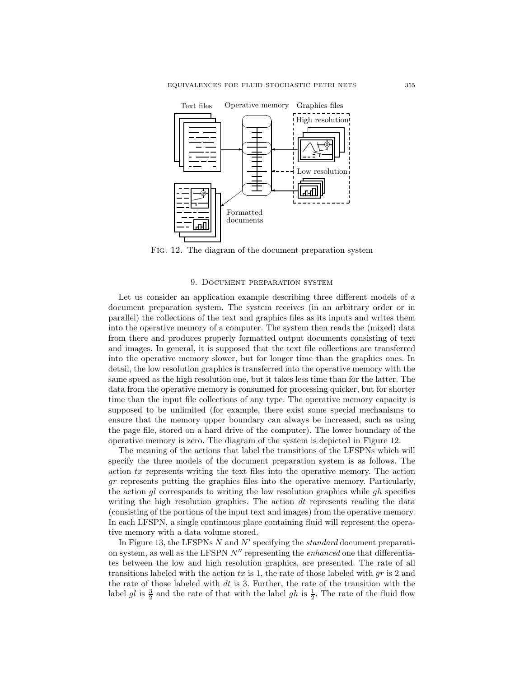

Fig. 12. The diagram of the document preparation system

#### 9. Document preparation system

Let us consider an application example describing three different models of a document preparation system. The system receives (in an arbitrary order or in parallel) the collections of the text and graphics files as its inputs and writes them into the operative memory of a computer. The system then reads the (mixed) data from there and produces properly formatted output documents consisting of text and images. In general, it is supposed that the text file collections are transferred into the operative memory slower, but for longer time than the graphics ones. In detail, the low resolution graphics is transferred into the operative memory with the same speed as the high resolution one, but it takes less time than for the latter. The data from the operative memory is consumed for processing quicker, but for shorter time than the input file collections of any type. The operative memory capacity is supposed to be unlimited (for example, there exist some special mechanisms to ensure that the memory upper boundary can always be increased, such as using the page file, stored on a hard drive of the computer). The lower boundary of the operative memory is zero. The diagram of the system is depicted in Figure 12.

The meaning of the actions that label the transitions of the LFSPNs which will specify the three models of the document preparation system is as follows. The action tx represents writing the text files into the operative memory. The action gr represents putting the graphics files into the operative memory. Particularly, the action  $q_l$  corresponds to writing the low resolution graphics while  $q_l$  specifies writing the high resolution graphics. The action  $dt$  represents reading the data (consisting of the portions of the input text and images) from the operative memory. In each LFSPN, a single continuous place containing fluid will represent the operative memory with a data volume stored.

In Figure 13, the LFSPNs  $N$  and  $N'$  specifying the *standard* document preparation system, as well as the LFSPN  $N''$  representing the *enhanced* one that differentiates between the low and high resolution graphics, are presented. The rate of all transitions labeled with the action  $tx$  is 1, the rate of those labeled with  $gr$  is 2 and the rate of those labeled with  $dt$  is 3. Further, the rate of the transition with the label gl is  $\frac{3}{2}$  and the rate of that with the label gh is  $\frac{1}{2}$ . The rate of the fluid flow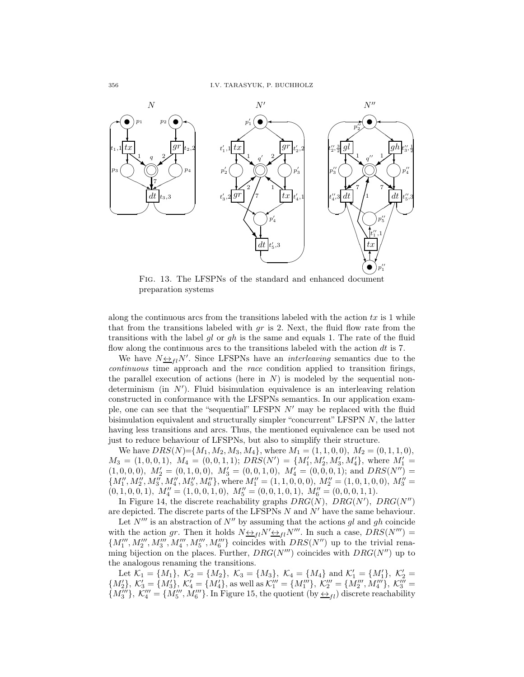

FIG. 13. The LFSPNs of the standard and enhanced document preparation systems

along the continuous arcs from the transitions labeled with the action  $tx$  is 1 while that from the transitions labeled with  $gr$  is 2. Next, the fluid flow rate from the transitions with the label gl or gh is the same and equals 1. The rate of the fluid flow along the continuous arcs to the transitions labeled with the action  $dt$  is 7.

We have  $N \leftrightarrow_{fl} N'$ . Since LFSPNs have an *interleaving* semantics due to the continuous time approach and the race condition applied to transition firings, the parallel execution of actions (here in  $N$ ) is modeled by the sequential nondeterminism (in N′ ). Fluid bisimulation equivalence is an interleaving relation constructed in conformance with the LFSPNs semantics. In our application example, one can see that the "sequential" LFSPN  $N'$  may be replaced with the fluid bisimulation equivalent and structurally simpler "concurrent" LFSPN  $N$ , the latter having less transitions and arcs. Thus, the mentioned equivalence can be used not just to reduce behaviour of LFSPNs, but also to simplify their structure.

We have  $DRS(N)=\{M_1, M_2, M_3, M_4\}$ , where  $M_1 = (1, 1, 0, 0), M_2 = (0, 1, 1, 0),$  $M_3 = (1, 0, 0, 1), M_4 = (0, 0, 1, 1); DRS(N') = \{M'_1, M'_2, M'_3, M'_4\}, \text{ where } M'_1 =$  $(1, 0, 0, 0), M'_2 = (0, 1, 0, 0), M'_3 = (0, 0, 1, 0), M'_4 = (0, 0, 0, 1);$  and  $DRS(N'') =$  ${M''_1, M''_2, M''_3, M''_4, M''_5, M''_6\},$  where  $M''_1 = (1, 1, 0, 0, 0), M''_2 = (1, 0, 1, 0, 0), M''_3 =$  $(0, 1, 0, 0, 1), M''_4 = (1, 0, 0, 1, 0), M''_5 = (0, 0, 1, 0, 1), M''_6 = (0, 0, 0, 1, 1).$ 

In Figure 14, the discrete reachability graphs  $DRG(N)$ ,  $DRG(N')$ ,  $DRG(N'')$ are depicted. The discrete parts of the LFSPNs  $N$  and  $N'$  have the same behaviour.

Let  $N'''$  is an abstraction of  $N''$  by assuming that the actions gl and gh coincide with the action gr. Then it holds  $N \leftrightarrow_{fl} N' \leftrightarrow_{fl} N''$ . In such a case,  $DRS(N'') =$  ${M''_1, M''_2, M''_3, M''_4, M'''_5, M'''_6 \over 2.5 \text{ m} \cdot 2.5 \text{ m} \cdot 2.5 \text{ m} \cdot 2.5 \text{ m} \cdot 2.5 \text{ m} \cdot 2.5 \text{ m} \cdot 2.5 \text{ m} \cdot 2.5 \text{ m} \cdot 2.5 \text{ m} \cdot 2.5 \text{ m} \cdot 2.5 \text{ m} \cdot 2.5 \text{ m} \cdot 2.5 \text{ m} \cdot 2.5 \text{ m} \cdot 2.5 \text{ m} \cdot 2.5 \text{ m} \cdot 2.5 \text{ m} \cdot$ ming bijection on the places. Further,  $DRG(N'')$  coincides with  $DRG(N'')$  up to the analogous renaming the transitions.

Let  $\mathcal{K}_1 = \{M_1\}, \ \mathcal{K}_2 = \{M_2\}, \ \mathcal{K}_3 = \{M_3\}, \ \mathcal{K}_4 = \{M_4\} \text{ and } \mathcal{K}'_1 = \{M'_1\}, \ \mathcal{K}'_2 =$  $\{M'_2\},\ K'_3 = \{M'_3\},\ K'_4 = \{M'_4\},\$ as well as  $\mathcal{K}'''_1 = \{M'''_1\},\ \mathcal{K}'''_2 = \{M'''_2,M'''_4\},\ \mathcal{K}'''_3 =$  $\{M'''_3\},\ \mathcal{K}'''_4=\{M'''_5,M'''_6\}.$  In Figure 15, the quotient  $(by \underline{\leftrightarrow}_{fl})$  discrete reachability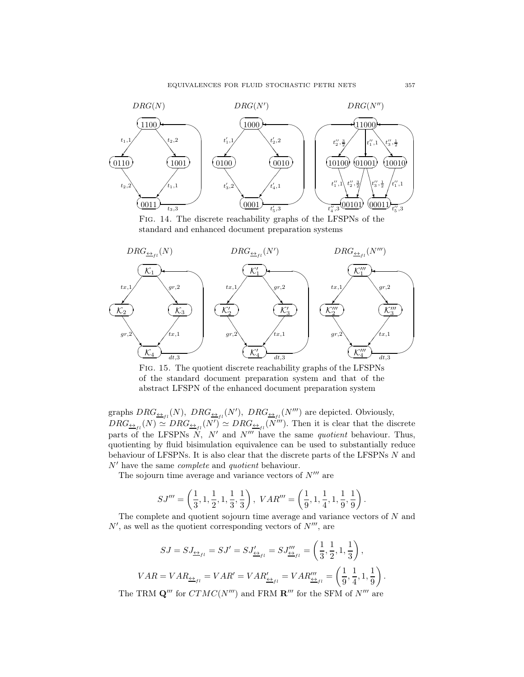

Fig. 14. The discrete reachability graphs of the LFSPNs of the standard and enhanced document preparation systems



Fig. 15. The quotient discrete reachability graphs of the LFSPNs of the standard document preparation system and that of the abstract LFSPN of the enhanced document preparation system

graphs  $DRG_{\underline{\leftrightarrow}_{fl}}(N)$ ,  $DRG_{\underline{\leftrightarrow}_{fl}}(N')$ ,  $DRG_{\underline{\leftrightarrow}_{fl}}(N''')$  are depicted. Obviously,  $DRG_{\underline{\leftrightarrow}_{fl}}(N) \simeq DRG_{\underline{\leftrightarrow}_{fl}}(N') \simeq DRG_{\underline{\leftrightarrow}_{fl}}(N''')$ . Then it is clear that the discrete parts of the LFSPNs  $N$ ,  $N'$  and  $N'''$  have the same *quotient* behaviour. Thus, quotienting by fluid bisimulation equivalence can be used to substantially reduce behaviour of LFSPNs. It is also clear that the discrete parts of the LFSPNs N and  $N'$  have the same *complete* and *quotient* behaviour.

The sojourn time average and variance vectors of  $N^{\prime\prime\prime}$  are

$$
SJ'''=\left(\frac{1}{3},1,\frac{1}{2},1,\frac{1}{3},\frac{1}{3}\right),\; VAR'''=\left(\frac{1}{9},1,\frac{1}{4},1,\frac{1}{9},\frac{1}{9}\right).
$$

The complete and quotient sojourn time average and variance vectors of  $N$  and  $N'$ , as well as the quotient corresponding vectors of  $N'''$ , are

$$
SJ = SJ_{\underline{\leftrightarrow}_{fl}} = SJ' = SJ'_{\underline{\leftrightarrow}_{fl}} = SJ'''_{\underline{\leftrightarrow}_{fl}} = \left(\frac{1}{3}, \frac{1}{2}, 1, \frac{1}{3}\right),
$$
  

$$
VAR = VAR_{\underline{\leftrightarrow}_{fl}} = VAR' = VAR''_{\underline{\leftrightarrow}_{fl}} = VAR'''_{\underline{\leftrightarrow}_{fl}} = \left(\frac{1}{9}, \frac{1}{4}, 1, \frac{1}{9}\right)
$$

The TRM  $\mathbf{Q}'''$  for  $CTMC(N''')$  and FRM  $\mathbf{R}'''$  for the SFM of  $N'''$  are

.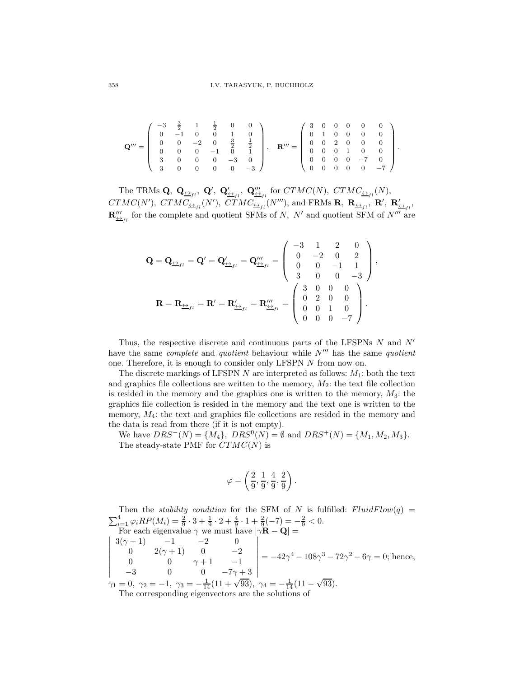$$
\mathbf{Q}''' = \left(\begin{array}{cccccc} -3 & \frac{3}{2} & 1 & \frac{1}{2} & 0 & 0 \\ 0 & -1 & 0 & 0 & 1 & 0 \\ 0 & 0 & -2 & 0 & \frac{3}{2} & \frac{1}{2} \\ 0 & 0 & 0 & -1 & 0 & 1 \\ 3 & 0 & 0 & 0 & -3 & 0 \\ 3 & 0 & 0 & 0 & 0 & -3 \end{array}\right), \quad \mathbf{R}''' = \left(\begin{array}{cccccc} 3 & 0 & 0 & 0 & 0 & 0 \\ 0 & 1 & 0 & 0 & 0 & 0 \\ 0 & 0 & 2 & 0 & 0 & 0 \\ 0 & 0 & 0 & 1 & 0 & 0 \\ 0 & 0 & 0 & 0 & -7 & 0 \\ 0 & 0 & 0 & 0 & 0 & -7 \end{array}\right).
$$

The TRMs  $\mathbf{Q}, \ \mathbf{Q}_{\underline{\leftrightarrow}_{fl}}, \ \mathbf{Q}', \ \mathbf{Q}'_{\underline{\leftrightarrow}_{fl}}, \ \mathbf{Q}'''_{\underline{\leftrightarrow}_{fl}} \text{ for } CTMC(N), \ CTMC_{\underline{\leftrightarrow}_{fl}}(N),$  $CTMC(N'), \; CTMC_{\underline{\leftrightarrow}_{fl}}(N'), \; CTMC_{\underline{\leftrightarrow}_{fl}}(N'''),$  and FRMs  $\mathbf{R}, \; \mathbf{R}_{\underline{\leftrightarrow}_{fl}}, \; \mathbf{R}', \; \mathbf{R}'_{\underline{\leftrightarrow}_{fl}},$  $\mathbf{R}''_{\underline{\leftrightarrow}_{fl}}$  for the complete and quotient SFMs of N, N' and quotient SFM of N''' are

$$
\mathbf{Q} = \mathbf{Q}_{\underline{\leftrightarrow}_{fl}} = \mathbf{Q}' = \mathbf{Q}'_{\underline{\leftrightarrow}_{fl}} = \mathbf{Q}'''_{\underline{\leftrightarrow}_{fl}} = \begin{pmatrix} -3 & 1 & 2 & 0 \\ 0 & -2 & 0 & 2 \\ 0 & 0 & -1 & 1 \\ 3 & 0 & 0 & -3 \end{pmatrix},
$$

$$
\mathbf{R} = \mathbf{R}_{\underline{\leftrightarrow}_{fl}} = \mathbf{R}' = \mathbf{R}'_{\underline{\leftrightarrow}_{fl}} = \mathbf{R}'''_{\underline{\leftrightarrow}_{fl}} = \begin{pmatrix} 3 & 0 & 0 & 0 \\ 0 & 2 & 0 & 0 \\ 0 & 0 & 1 & 0 \\ 0 & 0 & 0 & -7 \end{pmatrix}.
$$

Thus, the respective discrete and continuous parts of the LFSPNs  $N$  and  $N'$ have the same *complete* and *quotient* behaviour while  $N'''$  has the same *quotient* one. Therefore, it is enough to consider only LFSPN N from now on.

The discrete markings of LFSPN  $N$  are interpreted as follows:  $M_1$ : both the text and graphics file collections are written to the memory,  $M_2$ : the text file collection is resided in the memory and the graphics one is written to the memory,  $M_3$ : the graphics file collection is resided in the memory and the text one is written to the memory,  $M_4$ : the text and graphics file collections are resided in the memory and the data is read from there (if it is not empty).

We have  $DRS^{-}(N) = \{M_4\}, \, DRS^{0}(N) = \emptyset$  and  $DRS^{+}(N) = \{M_1, M_2, M_3\}.$ The steady-state PMF for  $CTMC(N)$  is

$$
\varphi=\left(\frac{2}{9},\frac{1}{9},\frac{4}{9},\frac{2}{9}\right).
$$

Then the *stability condition* for the SFM of N is fulfilled:  $FluidFlow(q)$  $\sum_{i=1}^{4} \varphi_i RP(M_i) = \frac{2}{9} \cdot 3 + \frac{1}{9} \cdot 2 + \frac{4}{9} \cdot 1 + \frac{2}{9}(-7) = -\frac{2}{9} < 0.$  $\overline{\phantom{a}}$ For each eigenvalue  $\gamma$  we must have  $|\gamma \mathbf{R} - \mathbf{Q}| =$  $\overline{\phantom{a}}$  $\overline{\phantom{a}}$  $\overline{\phantom{a}}$  $\overline{\phantom{a}}$  $\overline{\phantom{a}}$  $\overline{\phantom{a}}$  $\overline{\phantom{a}}$  $3(\gamma + 1)$   $-1$   $-2$  0 0  $2(\gamma + 1)$  0  $-2$ 0 0  $\gamma + 1$  -1  $-3$  0 0  $-7\gamma+3$   $= -42\gamma^4 - 108\gamma^3 - 72\gamma^2 - 6\gamma = 0$ ; hence,  $\gamma_1 = 0, \ \gamma_2 = -1, \ \gamma_3 = -\frac{1}{14}(11 + \sqrt{93}), \ \gamma_4 = -\frac{1}{14}(11 - \sqrt{93}).$ 

The corresponding eigenvectors are the solutions of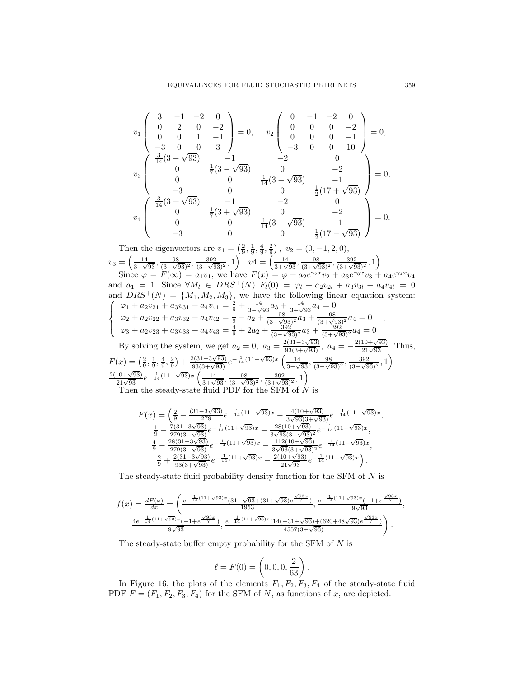$$
v_1 \begin{pmatrix} 3 & -1 & -2 & 0 \\ 0 & 2 & 0 & -2 \\ 0 & 0 & 1 & -1 \\ -3 & 0 & 0 & 3 \end{pmatrix} = 0, \quad v_2 \begin{pmatrix} 0 & -1 & -2 & 0 \\ 0 & 0 & 0 & -2 \\ 0 & 0 & 0 & -1 \\ -3 & 0 & 0 & 10 \end{pmatrix} = 0,
$$
  

$$
v_3 \begin{pmatrix} \frac{3}{14}(3-\sqrt{93}) & -1 & -2 & 0 \\ 0 & 0 & \frac{1}{7}(3-\sqrt{93}) & 0 & -2 \\ 0 & 0 & \frac{1}{14}(3-\sqrt{93}) & -1 \\ -3 & 0 & 0 & \frac{1}{2}(17+\sqrt{93}) \\ 0 & \frac{1}{7}(3+\sqrt{93}) & -1 & -2 & 0 \\ 0 & 0 & \frac{1}{14}(3+\sqrt{93}) & -1 \\ -3 & 0 & 0 & \frac{1}{2}(17-\sqrt{93}) \end{pmatrix} = 0.
$$

Then the eigenvectors are  $v_1 = \left(\frac{2}{9}, \frac{1}{9}, \frac{4}{9}, \frac{2}{9}\right)$ ,  $v_2 = (0, -1, 2, 0)$ ,  $v_3 = \left(\frac{14}{3} \right)$  $\frac{14}{3-\sqrt{93}}, \frac{98}{(3-\sqrt{9})}$  $\frac{98}{(3-\sqrt{93})^2}, \frac{392}{(3-\sqrt{9})^2}$  $\frac{392}{(3-\sqrt{93})^2}, 1$ ,  $v4 = \left(\frac{14}{3+\sqrt{93}}, \frac{98}{(3+\sqrt{93})^2}, \frac{392}{(3+\sqrt{93})^2}, 1\right)$ .

Since  $\varphi = F(\infty) = a_1v_1$ , we have  $F(x) = \varphi + a_2e^{\gamma_2x}v_2 + a_3e^{\gamma_3x}v_3 + a_4e^{\gamma_4x}v_4$ and  $a_1 = 1$ . Since  $\forall M_l \in DRS^+(N)$   $F_l(0) = \varphi_l + a_2v_{2l} + a_3v_{3l} + a_4v_{4l} = 0$ and  $DRS^+$ and  $DRS^{+}(N) = \{M_1, M_2, M_3\}$ , we have the following linear equation system:<br>  $\left(\begin{array}{c}\varphi_1 + a_2y_{21} + a_3y_{31} + a_4y_{41} = \frac{2}{5} + \frac{14}{5}a_3 + \frac{14}{5}a_4 = 0\end{array}\right)$  $\vert$  $\mathbf{I}$  $\varphi_1 + a_2v_{21} + a_3v_{31} + a_4v_{41} = \frac{2}{9} + \frac{14}{3-\sqrt{3}}$  $\frac{14}{3-\sqrt{93}}a_3 + \frac{14}{3+\sqrt{93}}a_4 = 0$  $\varphi_2 + a_2v_{22} + a_3v_{32} + a_4v_{42} = \frac{1}{9} - a_2 + \frac{98}{(3-\sqrt{9})^2}$  $\frac{98}{(3-\sqrt{93})^2}a_3 + \frac{98}{(3+\sqrt{93})^2}a_4 = 0$  $\varphi_3 + a_2v_{23} + a_3v_{33} + a_4v_{43} = \frac{4}{9} + 2a_2 + \frac{392}{(3-\sqrt{9})^2}$  $\frac{392}{(3-\sqrt{93})^2}a_3 + \frac{392}{(3+\sqrt{93})^2}a_4 = 0$ . By solving the system, we get  $a_2 = 0$ ,  $a_3 = \frac{2(31-3\sqrt{93})}{93(3+\sqrt{93})}$ ,  $a_4 = -\frac{2(10+\sqrt{93})}{21\sqrt{93}}$ . Thus,

$$
F(x) = \left(\frac{2}{9}, \frac{1}{9}, \frac{4}{9}, \frac{2}{9}\right) + \frac{2(31 - 3\sqrt{93})}{93(3 + \sqrt{93})}e^{-\frac{1}{14}(11 + \sqrt{93})x} \left(\frac{14}{3 - \sqrt{93}}, \frac{98}{(3 - \sqrt{93})^2}, \frac{392}{(3 - \sqrt{93})^2}, 1\right) - \frac{2(10 + \sqrt{93})}{21\sqrt{93}}e^{-\frac{1}{14}(11 - \sqrt{93})x} \left(\frac{14}{3 + \sqrt{93}}, \frac{98}{(3 + \sqrt{93})^2}, \frac{392}{(3 + \sqrt{93})^2}, 1\right).
$$

Then the steady-state fluid PDF for the SFM of N is

$$
F(x) = \left(\frac{2}{9} - \frac{(31-3\sqrt{93})}{279}e^{-\frac{1}{14}(11+\sqrt{93})x} - \frac{4(10+\sqrt{93})}{3\sqrt{93}(3+\sqrt{93})}e^{-\frac{1}{14}(11-\sqrt{93})x}, \frac{1}{9} - \frac{7(31-3\sqrt{93})}{279(3-\sqrt{93})}e^{-\frac{1}{14}(11+\sqrt{93})x} - \frac{28(10+\sqrt{93})}{3\sqrt{93}(3+\sqrt{93})^2}e^{-\frac{1}{14}(11-\sqrt{93})x}, \frac{4}{9} - \frac{28(31-3\sqrt{93})}{279(3-\sqrt{93})}e^{-\frac{1}{14}(11+\sqrt{93})x} - \frac{112(10+\sqrt{93})}{3\sqrt{93}(3+\sqrt{93})^2}e^{-\frac{1}{14}(11-\sqrt{93})x}, \frac{2}{9} + \frac{2(31-3\sqrt{93})}{93(3+\sqrt{93})}e^{-\frac{1}{14}(11+\sqrt{93})x} - \frac{2(10+\sqrt{93})}{21\sqrt{93}}e^{-\frac{1}{14}(11-\sqrt{93})x}\right).
$$

The steady-state fluid probability density function for the SFM of N is

$$
f(x) = \frac{dF(x)}{dx} = \left(\frac{e^{-\frac{1}{14}(11+\sqrt{93})x}(31-\sqrt{93}+(31+\sqrt{93})e^{\frac{\sqrt{93}x}{7}})}{1953}, \frac{e^{-\frac{1}{14}(11+\sqrt{93})x}(-1+e^{\frac{\sqrt{93}x}{7}})}{9\sqrt{93}}, \frac{4e^{-\frac{1}{14}(11+\sqrt{93})x}(-1+e^{\frac{\sqrt{93}x}{7}})}{9\sqrt{93}}, \frac{e^{-\frac{1}{14}(11+\sqrt{93})x}(14(-31+\sqrt{93})+(620+48\sqrt{93})e^{\frac{\sqrt{93}x}{7}})}{4557(3+\sqrt{93})}\right).
$$

The steady-state buffer empty probability for the SFM of N is

$$
\ell = F(0) = \left(0, 0, 0, \frac{2}{63}\right).
$$

In Figure 16, the plots of the elements  $F_1, F_2, F_3, F_4$  of the steady-state fluid PDF  $F = (F_1, F_2, F_3, F_4)$  for the SFM of N, as functions of x, are depicted.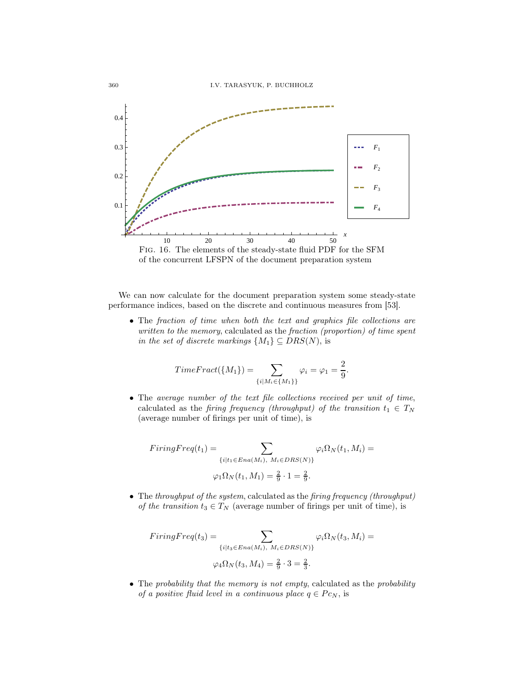

We can now calculate for the document preparation system some steady-state performance indices, based on the discrete and continuous measures from [53].

• The fraction of time when both the text and graphics file collections are written to the memory, calculated as the fraction (proportion) of time spent in the set of discrete markings  $\{M_1\} \subseteq DRS(N)$ , is

$$
TimeFract(\lbrace M_1 \rbrace) = \sum_{\lbrace i \mid M_i \in \lbrace M_1 \rbrace \rbrace} \varphi_i = \varphi_1 = \frac{2}{9}.
$$

• The average number of the text file collections received per unit of time, calculated as the firing frequency (throughput) of the transition  $t_1 \in T_N$ (average number of firings per unit of time), is

$$
FiringFreq(t_1) = \sum_{\{i|t_1 \in Ena(M_i), M_i \in DRS(N)\}} \varphi_i \Omega_N(t_1, M_i) = \varphi_1 \Omega_N(t_1, M_1) = \frac{2}{9} \cdot 1 = \frac{2}{9}.
$$

• The throughput of the system, calculated as the firing frequency (throughput) of the transition  $t_3 \in T_N$  (average number of firings per unit of time), is

$$
FiringFreq(t_3) = \sum_{\{i|t_3 \in Ena(M_i), M_i \in DRS(N)\}} \varphi_i \Omega_N(t_3, M_i) = \varphi_4 \Omega_N(t_3, M_4) = \frac{2}{9} \cdot 3 = \frac{2}{3}.
$$

• The probability that the memory is not empty, calculated as the probability of a positive fluid level in a continuous place  $q \in P_{CN}$ , is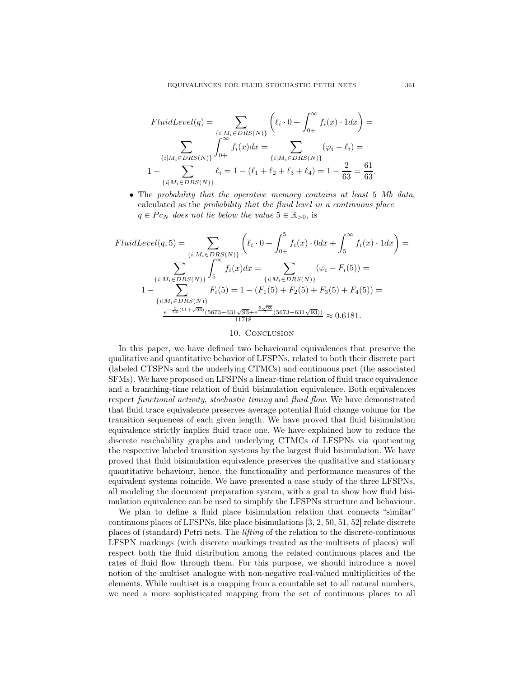$$
FluidLevel(q) = \sum_{\{i \mid M_i \in DRS(N)\}} \left( \ell_i \cdot 0 + \int_{0+}^{\infty} f_i(x) \cdot 1 dx \right) =
$$

$$
\sum_{\{i \mid M_i \in DRS(N)\}} \int_{0+}^{\infty} f_i(x) dx = \sum_{\{i \mid M_i \in DRS(N)\}} (\varphi_i - \ell_i) =
$$

$$
1 - \sum_{\{i \mid M_i \in DRS(N)\}} \ell_i = 1 - (\ell_1 + \ell_2 + \ell_3 + \ell_4) = 1 - \frac{2}{63} = \frac{61}{63}.
$$

• The probability that the operative memory contains at least 5 Mb data, calculated as the probability that the fluid level in a continuous place  $q \in Pc_N$  does not lie below the value  $5 \in \mathbb{R}_{>0}$ , is

$$
FluidLevel(q, 5) = \sum_{\{i \mid M_i \in DRS(N)\}} \left( \ell_i \cdot 0 + \int_{0+}^5 f_i(x) \cdot 0 dx + \int_5^{\infty} f_i(x) \cdot 1 dx \right) =
$$

$$
\sum_{\{i \mid M_i \in DRS(N)\}} \int_5^{\infty} f_i(x) dx = \sum_{\{i \mid M_i \in DRS(N)\}} (\varphi_i - F_i(5)) =
$$

$$
1 - \sum_{\{i \mid M_i \in DRS(N)\}} F_i(5) = 1 - (F_1(5) + F_2(5) + F_3(5) + F_4(5)) =
$$

$$
\frac{e^{-\frac{5}{14}(11 + \sqrt{93})}(5673 - 631\sqrt{93} + e^{-\frac{5\sqrt{93}}{7}}(5673 + 631\sqrt{93}))}{11718} \approx 0.6181.
$$

#### 10. CONCLUSION

In this paper, we have defined two behavioural equivalences that preserve the qualitative and quantitative behavior of LFSPNs, related to both their discrete part (labeled CTSPNs and the underlying CTMCs) and continuous part (the associated SFMs). We have proposed on LFSPNs a linear-time relation of fluid trace equivalence and a branching-time relation of fluid bisimulation equivalence. Both equivalences respect functional activity, stochastic timing and fluid flow. We have demonstrated that fluid trace equivalence preserves average potential fluid change volume for the transition sequences of each given length. We have proved that fluid bisimulation equivalence strictly implies fluid trace one. We have explained how to reduce the discrete reachability graphs and underlying CTMCs of LFSPNs via quotienting the respective labeled transition systems by the largest fluid bisimulation. We have proved that fluid bisimulation equivalence preserves the qualitative and stationary quantitative behaviour, hence, the functionality and performance measures of the equivalent systems coincide. We have presented a case study of the three LFSPNs, all modeling the document preparation system, with a goal to show how fluid bisimulation equivalence can be used to simplify the LFSPNs structure and behaviour.

We plan to define a fluid place bisimulation relation that connects "similar" continuous places of LFSPNs, like place bisimulations [3, 2, 50, 51, 52] relate discrete places of (standard) Petri nets. The lifting of the relation to the discrete-continuous LFSPN markings (with discrete markings treated as the multisets of places) will respect both the fluid distribution among the related continuous places and the rates of fluid flow through them. For this purpose, we should introduce a novel notion of the multiset analogue with non-negative real-valued multiplicities of the elements. While multiset is a mapping from a countable set to all natural numbers, we need a more sophisticated mapping from the set of continuous places to all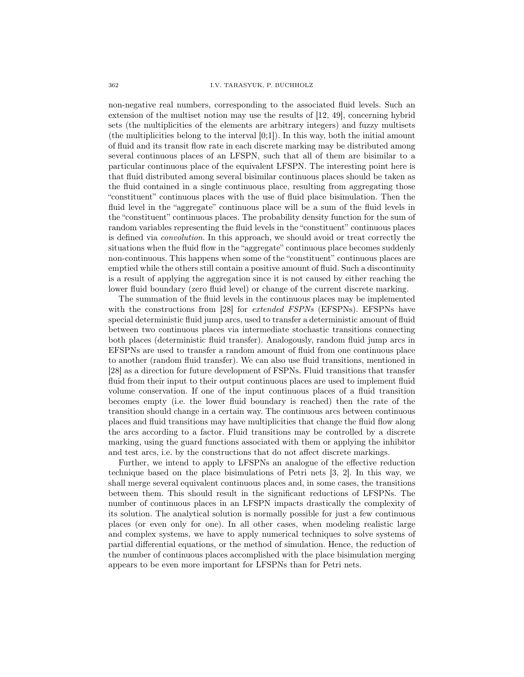non-negative real numbers, corresponding to the associated fluid levels. Such an extension of the multiset notion may use the results of [12, 49], concerning hybrid sets (the multiplicities of the elements are arbitrary integers) and fuzzy multisets (the multiplicities belong to the interval  $[0;1]$ ). In this way, both the initial amount of fluid and its transit flow rate in each discrete marking may be distributed among several continuous places of an LFSPN, such that all of them are bisimilar to a particular continuous place of the equivalent LFSPN. The interesting point here is that fluid distributed among several bisimilar continuous places should be taken as the fluid contained in a single continuous place, resulting from aggregating those "constituent" continuous places with the use of fluid place bisimulation. Then the fluid level in the "aggregate" continuous place will be a sum of the fluid levels in the "constituent" continuous places. The probability density function for the sum of random variables representing the fluid levels in the "constituent" continuous places is defined via convolution. In this approach, we should avoid or treat correctly the situations when the fluid flow in the "aggregate" continuous place becomes suddenly non-continuous. This happens when some of the "constituent" continuous places are emptied while the others still contain a positive amount of fluid. Such a discontinuity is a result of applying the aggregation since it is not caused by either reaching the lower fluid boundary (zero fluid level) or change of the current discrete marking.

The summation of the fluid levels in the continuous places may be implemented with the constructions from [28] for *extended FSPNs* (EFSPNs). EFSPNs have special deterministic fluid jump arcs, used to transfer a deterministic amount of fluid between two continuous places via intermediate stochastic transitions connecting both places (deterministic fluid transfer). Analogously, random fluid jump arcs in EFSPNs are used to transfer a random amount of fluid from one continuous place to another (random fluid transfer). We can also use fluid transitions, mentioned in [28] as a direction for future development of FSPNs. Fluid transitions that transfer fluid from their input to their output continuous places are used to implement fluid volume conservation. If one of the input continuous places of a fluid transition becomes empty (i.e. the lower fluid boundary is reached) then the rate of the transition should change in a certain way. The continuous arcs between continuous places and fluid transitions may have multiplicities that change the fluid flow along the arcs according to a factor. Fluid transitions may be controlled by a discrete marking, using the guard functions associated with them or applying the inhibitor and test arcs, i.e. by the constructions that do not affect discrete markings.

Further, we intend to apply to LFSPNs an analogue of the effective reduction technique based on the place bisimulations of Petri nets [3, 2]. In this way, we shall merge several equivalent continuous places and, in some cases, the transitions between them. This should result in the significant reductions of LFSPNs. The number of continuous places in an LFSPN impacts drastically the complexity of its solution. The analytical solution is normally possible for just a few continuous places (or even only for one). In all other cases, when modeling realistic large and complex systems, we have to apply numerical techniques to solve systems of partial differential equations, or the method of simulation. Hence, the reduction of the number of continuous places accomplished with the place bisimulation merging appears to be even more important for LFSPNs than for Petri nets.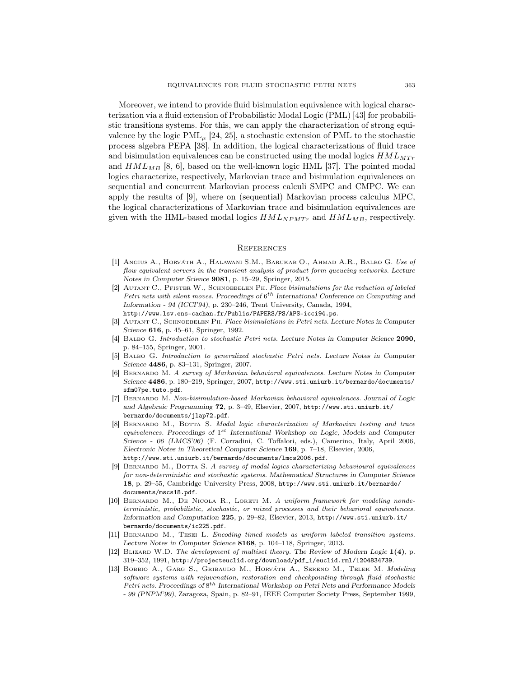Moreover, we intend to provide fluid bisimulation equivalence with logical characterization via a fluid extension of Probabilistic Modal Logic (PML) [43] for probabilistic transitions systems. For this, we can apply the characterization of strong equivalence by the logic PML $_{\mu}$  [24, 25], a stochastic extension of PML to the stochastic process algebra PEPA [38]. In addition, the logical characterizations of fluid trace and bisimulation equivalences can be constructed using the modal logics  $HML_{MTr}$ and  $HML_{MB}$  [8, 6], based on the well-known logic HML [37]. The pointed modal logics characterize, respectively, Markovian trace and bisimulation equivalences on sequential and concurrent Markovian process calculi SMPC and CMPC. We can apply the results of [9], where on (sequential) Markovian process calculus MPC, the logical characterizations of Markovian trace and bisimulation equivalences are given with the HML-based modal logics  $HML_{NPMTr}$  and  $HML_{MB}$ , respectively.

#### **REFERENCES**

- [1] ANGIUS A., HORVÁTH A., HALAWANI S.M., BARUKAB O., AHMAD A.R., BALBO G. Use of flow equivalent servers in the transient analysis of product form queueing networks. *Lecture Notes in Computer Science* 9081, p. 15–29, Springer, 2015.
- [2] Autant C., Pfister W., Schnoebelen Ph. Place bisimulations for the reduction of labeled Petri nets with silent moves. *Proceedings of* 6 th *International Conference on Computing and Information - 94 (ICCI'94)*, p. 230–246, Trent University, Canada, 1994, http://www.lsv.ens-cachan.fr/Publis/PAPERS/PS/APS-icci94.ps.
- [3] Autant C., Schnoebelen Ph. Place bisimulations in Petri nets. *Lecture Notes in Computer Science* 616, p. 45–61, Springer, 1992.
- [4] Balbo G. Introduction to stochastic Petri nets. *Lecture Notes in Computer Science* 2090, p. 84–155, Springer, 2001.
- [5] Balbo G. Introduction to generalized stochastic Petri nets. *Lecture Notes in Computer Science* 4486, p. 83–131, Springer, 2007.
- [6] Bernardo M. A survey of Markovian behavioral equivalences. *Lecture Notes in Computer Science* 4486, p. 180–219, Springer, 2007, http://www.sti.uniurb.it/bernardo/documents/ sfm07pe.tuto.pdf.
- [7] Bernardo M. Non-bisimulation-based Markovian behavioral equivalences. *Journal of Logic and Algebraic Programming* 72, p. 3–49, Elsevier, 2007, http://www.sti.uniurb.it/ bernardo/documents/jlap72.pdf.
- [8] Bernardo M., Botta S. Modal logic characterization of Markovian testing and trace equivalences. *Proceedings of* 1 st *International Workshop on Logic, Models and Computer Science - 06 (LMCS'06)* (F. Corradini, C. Toffalori, eds.), Camerino, Italy, April 2006, *Electronic Notes in Theoretical Computer Science* 169, p. 7–18, Elsevier, 2006, http://www.sti.uniurb.it/bernardo/documents/lmcs2006.pdf.
- [9] Bernardo M., Botta S. A survey of modal logics characterizing behavioural equivalences for non-deterministic and stochastic systems. *Mathematical Structures in Computer Science* 18, p. 29–55, Cambridge University Press, 2008, http://www.sti.uniurb.it/bernardo/ documents/mscs18.pdf.
- [10] BERNARDO M., DE NICOLA R., LORETI M. A uniform framework for modeling nondeterministic, probabilistic, stochastic, or mixed processes and their behavioral equivalences. *Information and Computation* 225, p. 29–82, Elsevier, 2013, http://www.sti.uniurb.it/ bernardo/documents/ic225.pdf.
- [11] BERNARDO M., TESEI L. Encoding timed models as uniform labeled transition systems. *Lecture Notes in Computer Science* 8168, p. 104–118, Springer, 2013.
- [12] Blizard W.D. The development of multiset theory. *The Review of Modern Logic* 1(4), p. 319–352, 1991, http://projecteuclid.org/download/pdf\_1/euclid.rml/1204834739.
- [13] BOBBIO A., GARG S., GRIBAUDO M., HORVÁTH A., SERENO M., TELEK M. Modeling software systems with rejuvenation, restoration and checkpointing through fluid stochastic Petri nets. Proceedings of  $8^{th}$  International Workshop on Petri Nets and Performance Models *- 99 (PNPM'99)*, Zaragoza, Spain, p. 82–91, IEEE Computer Society Press, September 1999,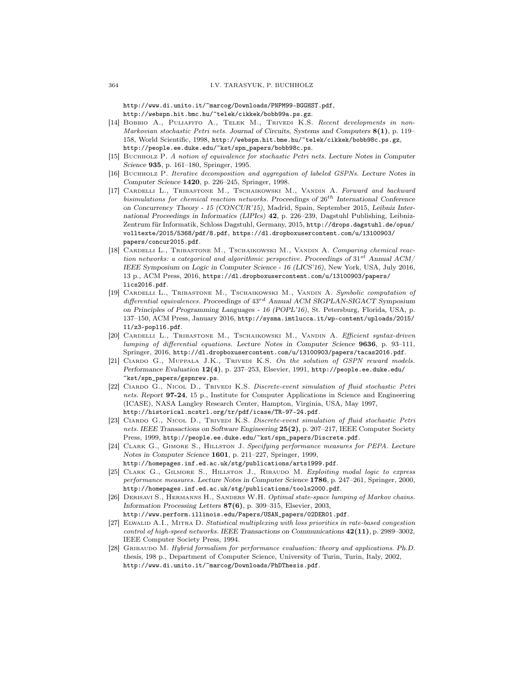http://www.di.unito.it/~marcog/Downloads/PNPM99-BGGHST.pdf, http://webspn.hit.bmc.hu/~telek/cikkek/bobb99a.ps.gz.

- [14] BOBBIO A., PULIAFITO A., TELEK M., TRIVEDI K.S. Recent developments in non-Markovian stochastic Petri nets. *Journal of Circuits, Systems and Computers* 8(1), p. 119– 158, World Scientific, 1998, http://webspn.hit.bme.hu/~telek/cikkek/bobb98c.ps.gz, http://people.ee.duke.edu/~kst/spn\_papers/bobb98c.ps.
- [15] Buchholz P. A notion of equivalence for stochastic Petri nets. *Lecture Notes in Computer Science* 935, p. 161–180, Springer, 1995.
- [16] Buchholz P. Iterative decomposition and aggregation of labeled GSPNs. *Lecture Notes in Computer Science* 1420, p. 226–245, Springer, 1998.
- [17] Cardelli L., Tribastone M., Tschaikowski M., Vandin A. Forward and backward bisimulations for chemical reaction networks. *Proceedings of* 26th *International Conference on Concurrency Theory - 15 (CONCUR'15)*, Madrid, Spain, September 2015, *Leibniz International Proceedings in Informatics (LIPIcs)* 42, p. 226–239, Dagstuhl Publishing, Leibniz-Zentrum für Informatik, Schloss Dagstuhl, Germany, 2015, http://drops.dagstuhl.de/opus/ volltexte/2015/5368/pdf/8.pdf, https://dl.dropboxusercontent.com/u/13100903/ papers/concur2015.pdf.
- [18] Cardelli L., Tribastone M., Tschaikowski M., Vandin A. Comparing chemical reaction networks: a categorical and algorithmic perspective. Proceedings of  $31^{st}$  Annual ACM/ *IEEE Symposium on Logic in Computer Science - 16 (LICS'16)*, New York, USA, July 2016, 13 p., ACM Press, 2016, https://dl.dropboxusercontent.com/u/13100903/papers/ lics2016.pdf.
- [19] Cardelli L., Tribastone M., Tschaikowski M., Vandin A. Symbolic computation of differential equivalences. *Proceedings of* 43rd *Annual ACM SIGPLAN-SIGACT Symposium on Principles of Programming Languages - 16 (POPL'16)*, St. Petersburg, Florida, USA, p. 137–150, ACM Press, January 2016, http://sysma.imtlucca.it/wp-content/uploads/2015/ 11/z3-popl16.pdf.
- [20] Cardelli L., Tribastone M., Tschaikowski M., Vandin A. Efficient syntax-driven lumping of differential equations. *Lecture Notes in Computer Science* 9636, p. 93–111, Springer, 2016, http://dl.dropboxusercontent.com/u/13100903/papers/tacas2016.pdf.
- [21] CIARDO G., MUPPALA J.K., TRIVEDI K.S. On the solution of GSPN reward models. *Performance Evaluation* 12(4), p. 237–253, Elsevier, 1991, http://people.ee.duke.edu/ ~kst/spn\_papers/gspnrew.ps.
- [22] Ciardo G., Nicol D., Trivedi K.S. Discrete-event simulation of fluid stochastic Petri nets. *Report* 97-24, 15 p., Institute for Computer Applications in Science and Engineering (ICASE), NASA Langley Research Center, Hampton, Virginia, USA, May 1997, http://historical.ncstrl.org/tr/pdf/icase/TR-97-24.pdf.
- [23] Ciardo G., Nicol D., Trivedi K.S. Discrete-event simulation of fluid stochastic Petri nets. *IEEE Transactions on Software Engineering* 25(2), p. 207–217, IEEE Computer Society Press, 1999, http://people.ee.duke.edu/~kst/spn\_papers/Discrete.pdf.
- [24] Clark G., Gimore S., Hillston J. Specifying performance measures for PEPA. *Lecture Notes in Computer Science* 1601, p. 211–227, Springer, 1999, http://homepages.inf.ed.ac.uk/stg/publications/arts1999.pdf.
- [25] CLARK G., GILMORE S., HILLSTON J., RIBAUDO M. Exploiting modal logic to express performance measures. *Lecture Notes in Computer Science* 1786, p. 247–261, Springer, 2000, http://homepages.inf.ed.ac.uk/stg/publications/tools2000.pdf.
- [26] Derisavi S., Hermanns H., Sanders W.H. Optimal state-space lumping of Markov chains. *Information Processing Letters* 87(6), p. 309–315, Elsevier, 2003,
- http://www.perform.illinois.edu/Papers/USAN\_papers/02DER01.pdf.
- [27] ELWALID A.I., MITRA D. Statistical multiplexing with loss priorities in rate-based congestion control of high-speed networks. *IEEE Transactions on Communications* 42(11), p. 2989–3002, IEEE Computer Society Press, 1994.
- [28] Gribaudo M. Hybrid formalism for performance evaluation: theory and applications. *Ph.D. thesis*, 198 p., Department of Computer Science, University of Turin, Turin, Italy, 2002, http://www.di.unito.it/~marcog/Downloads/PhDThesis.pdf.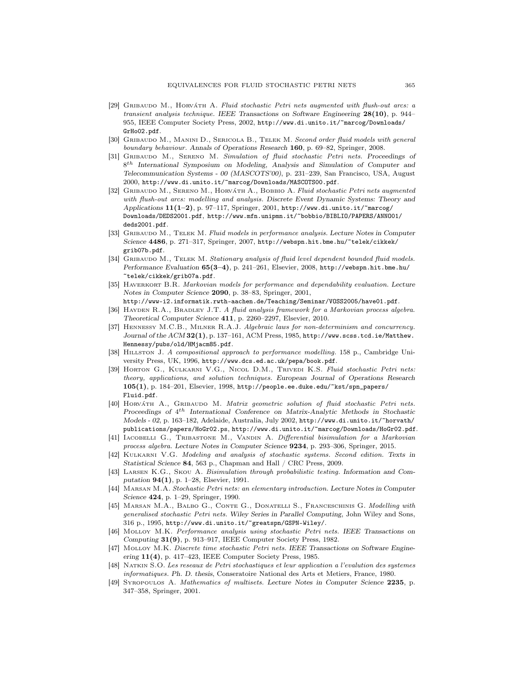- [29] GRIBAUDO M., HORVÁTH A. Fluid stochastic Petri nets augmented with flush-out arcs: a transient analysis technique. *IEEE Transactions on Software Engineering* 28(10), p. 944– 955, IEEE Computer Society Press, 2002, http://www.di.unito.it/~marcog/Downloads/ GrHo02.pdf.
- [30] GRIBAUDO M., MANINI D., SERICOLA B., TELEK M. Second order fluid models with general boundary behaviour. *Annals of Operations Research* 160, p. 69–82, Springer, 2008.
- [31] Gribaudo M., Sereno M. Simulation of fluid stochastic Petri nets. *Proceedings of* 8 th *International Symposium on Modeling, Analysis and Simulation of Computer and Telecommunication Systems - 00 (MASCOTS'00)*, p. 231–239, San Francisco, USA, August 2000, http://www.di.unito.it/~marcog/Downloads/MASCOTS00.pdf.
- [32] GRIBAUDO M., SERENO M., HORVATH A., BOBBIO A. Fluid stochastic Petri nets augmented with flush-out arcs: modelling and analysis. *Discrete Event Dynamic Systems: Theory and Applications* 11(1–2), p. 97–117, Springer, 2001, http://www.di.unito.it/~marcog/ Downloads/DEDS2001.pdf, http://www.mfn.unipmn.it/~bobbio/BIBLIO/PAPERS/ANNO01/ deds2001.pdf.
- [33] GRIBAUDO M., TELEK M. Fluid models in performance analysis. Lecture Notes in Computer *Science* 4486, p. 271–317, Springer, 2007, http://webspn.hit.bme.hu/~telek/cikkek/ grib07b.pdf.
- [34] GRIBAUDO M., TELEK M. Stationary analysis of fluid level dependent bounded fluid models. *Performance Evaluation* 65(3–4), p. 241–261, Elsevier, 2008, http://webspn.hit.bme.hu/ ~telek/cikkek/grib07a.pdf.
- [35] Haverkort B.R. Markovian models for performance and dependability evaluation. *Lecture Notes in Computer Science* 2090, p. 38–83, Springer, 2001, http://www-i2.informatik.rwth-aachen.de/Teaching/Seminar/VOSS2005/have01.pdf.
- [36] HAYDEN R.A., BRADLEY J.T. A fluid analysis framework for a Markovian process algebra. *Theoretical Computer Science* 411, p. 2260–2297, Elsevier, 2010.
- [37] Hennessy M.C.B., Milner R.A.J. Algebraic laws for non-determinism and concurrency. *Journal of the ACM* 32(1), p. 137–161, ACM Press, 1985, http://www.scss.tcd.ie/Matthew. Hennessy/pubs/old/HMjacm85.pdf.
- [38] HILLSTON J. A compositional approach to performance modelling. 158 p., Cambridge University Press, UK, 1996, http://www.dcs.ed.ac.uk/pepa/book.pdf.
- [39] HORTON G., KULKARNI V.G., NICOL D.M., TRIVEDI K.S. Fluid stochastic Petri nets: theory, applications, and solution techniques. *European Journal of Operations Research* 105(1), p. 184–201, Elsevier, 1998, http://people.ee.duke.edu/~kst/spn\_papers/ Fluid.pdf.
- [40] HORVÁTH A., GRIBAUDO M. Matrix geometric solution of fluid stochastic Petri nets. Proceedings of  $4^{th}$  International Conference on Matrix-Analytic Methods in Stochastic *Models - 02*, p. 163–182, Adelaide, Australia, July 2002, http://www.di.unito.it/~horvath/ publications/papers/HoGr02.ps, http://www.di.unito.it/~marcog/Downloads/HoGr02.pdf.
- [41] IACOBELLI G., TRIBASTONE M., VANDIN A. Differential bisimulation for a Markovian process algebra. *Lecture Notes in Computer Science* 9234, p. 293–306, Springer, 2015.
- [42] Kulkarni V.G. Modeling and analysis of stochastic systems. Second edition. *Texts in Statistical Science* 84, 563 p., Chapman and Hall / CRC Press, 2009.
- [43] Larsen K.G., Skou A. Bisimulation through probabilistic testing. *Information and Computation* 94(1), p. 1–28, Elsevier, 1991.
- [44] Marsan M.A. Stochastic Petri nets: an elementary introduction. *Lecture Notes in Computer Science* 424, p. 1–29, Springer, 1990.
- [45] MARSAN M.A., BALBO G., CONTE G., DONATELLI S., FRANCESCHINIS G. Modelling with generalised stochastic Petri nets. *Wiley Series in Parallel Computing*, John Wiley and Sons, 316 p., 1995, http://www.di.unito.it/~greatspn/GSPN-Wiley/.
- [46] Molloy M.K. Performance analysis using stochastic Petri nets. *IEEE Transactions on Computing* 31(9), p. 913–917, IEEE Computer Society Press, 1982.
- [47] Molloy M.K. Discrete time stochastic Petri nets. *IEEE Transactions on Software Engineering* 11(4), p. 417–423, IEEE Computer Society Press, 1985.
- [48] Natkin S.O. Les reseaux de Petri stochastiques et leur application a l'evalution des systemes informatiques. *Ph. D. thesis*, Conseratoire National des Arts et Metiers, France, 1980.
- [49] Syropoulos A. Mathematics of multisets. *Lecture Notes in Computer Science* 2235, p. 347–358, Springer, 2001.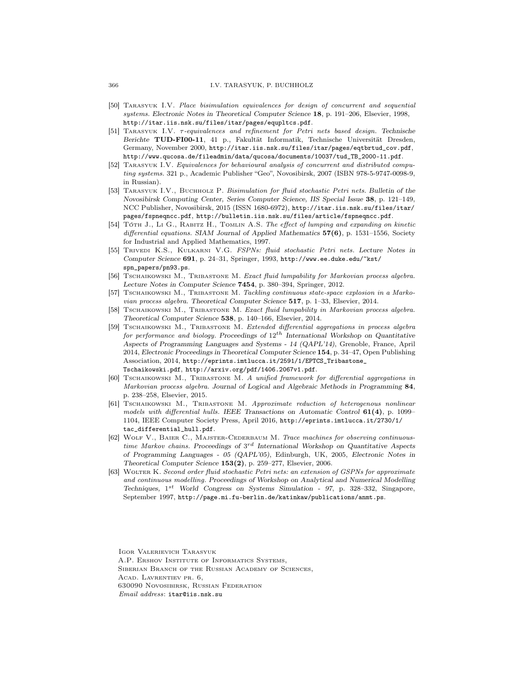- [50] Tarasyuk I.V. Place bisimulation equivalences for design of concurrent and sequential systems. *Electronic Notes in Theoretical Computer Science* 18, p. 191–206, Elsevier, 1998, http://itar.iis.nsk.su/files/itar/pages/equpltcs.pdf.
- [51] Tarasyuk I.V. τ-equivalences and refinement for Petri nets based design. *Technische* Berichte TUD-FI00-11, 41 p., Fakultät Informatik, Technische Universität Dresden, Germany, November 2000, http://itar.iis.nsk.su/files/itar/pages/eqtbrtud\_cov.pdf, http://www.qucosa.de/fileadmin/data/qucosa/documents/10037/tud\_TB\_2000-11.pdf.
- [52] TARASYUK I.V. Equivalences for behavioural analysis of concurrent and distributed computing systems. 321 p., Academic Publisher "Geo", Novosibirsk, 2007 (ISBN 978-5-9747-0098-9, in Russian).
- [53] Tarasyuk I.V., Buchholz P. Bisimulation for fluid stochastic Petri nets. *Bulletin of the Novosibirsk Computing Center, Series Computer Science, IIS Special Issue* 38, p. 121–149, NCC Publisher, Novosibirsk, 2015 (ISSN 1680-6972), http://itar.iis.nsk.su/files/itar/ pages/fspneqncc.pdf, http://bulletin.iis.nsk.su/files/article/fspneqncc.pdf.
- [54] TOTH J., Li G., RABITZ H., TOMLIN A.S. The effect of lumping and expanding on kinetic differential equations. *SIAM Journal of Applied Mathematics* 57(6), p. 1531–1556, Society for Industrial and Applied Mathematics, 1997.
- [55] Trivedi K.S., Kulkarni V.G. FSPNs: fluid stochastic Petri nets. *Lecture Notes in Computer Science* 691, p. 24–31, Springer, 1993, http://www.ee.duke.edu/~kst/ spn\_papers/pn93.ps.
- [56] Tschaikowski M., Tribastone M. Exact fluid lumpability for Markovian process algebra. *Lecture Notes in Computer Science* 7454, p. 380–394, Springer, 2012.
- [57] TSCHAIKOWSKI M., TRIBASTONE M. Tackling continuous state-space explosion in a Markovian process algebra. *Theoretical Computer Science* 517, p. 1–33, Elsevier, 2014.
- [58] Tschaikowski M., Tribastone M. Exact fluid lumpability in Markovian process algebra. *Theoretical Computer Science* 538, p. 140–166, Elsevier, 2014.
- [59] Tschaikowski M., Tribastone M. Extended differential aggregations in process algebra for performance and biology. *Proceedings of* 12th *International Workshop on Quantitative Aspects of Programming Languages and Systems - 14 (QAPL'14)*, Grenoble, France, April 2014, *Electronic Proceedings in Theoretical Computer Science* 154, p. 34–47, Open Publishing Association, 2014, http://eprints.imtlucca.it/2591/1/EPTCS\_Tribastone\_ Tschaikowski.pdf, http://arxiv.org/pdf/1406.2067v1.pdf.
- [60] TSCHAIKOWSKI M., TRIBASTONE M. A unified framework for differential aggregations in Markovian process algebra. *Journal of Logical and Algebraic Methods in Programming* 84, p. 238–258, Elsevier, 2015.
- [61] Tschaikowski M., Tribastone M. Approximate reduction of heterogenous nonlinear models with differential hulls. *IEEE Transactions on Automatic Control* 61(4), p. 1099– 1104, IEEE Computer Society Press, April 2016, http://eprints.imtlucca.it/2730/1/ tac differential hull.pdf.
- [62] Wolf V., Baier C., Majster-Cederbaum M. Trace machines for observing continuoustime Markov chains. *Proceedings of* 3 rd *International Workshop on Quantitative Aspects of Programming Languages - 05 (QAPL'05)*, Edinburgh, UK, 2005, *Electronic Notes in Theoretical Computer Science* 153(2), p. 259–277, Elsevier, 2006.
- [63] Wolter K. Second order fluid stochastic Petri nets: an extension of GSPNs for approximate and continuous modelling. *Proceedings of Workshop on Analytical and Numerical Modelling Techniques,* 1 st *World Congress on Systems Simulation - 97*, p. 328–332, Singapore, September 1997, http://page.mi.fu-berlin.de/katinkaw/publications/anmt.ps.

Igor Valerievich Tarasyuk A.P. Ershov Institute of Informatics Systems, Siberian Branch of the Russian Academy of Sciences, Acad. Lavrentiev pr. 6, 630090 Novosibirsk, Russian Federation Email address: itar@iis.nsk.su